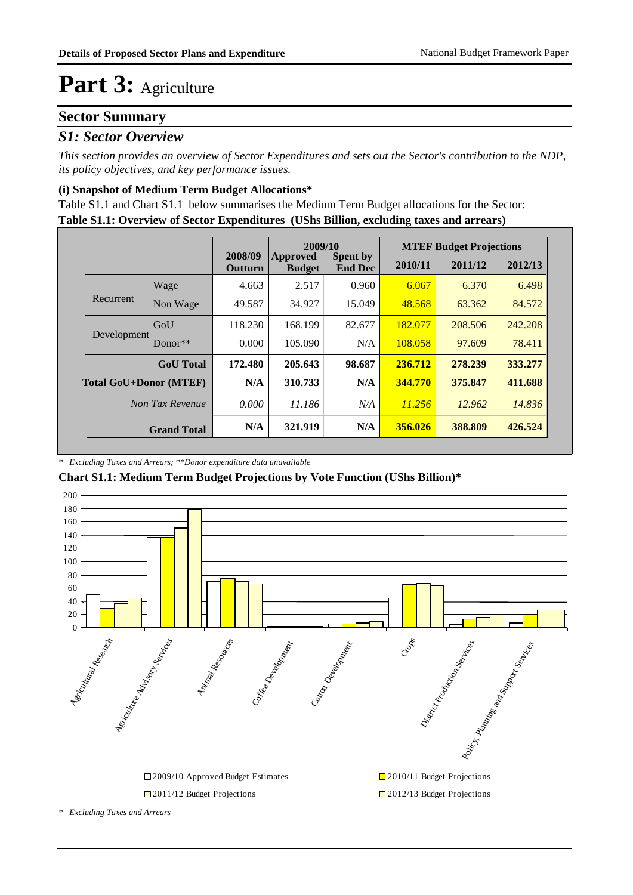#### **Sector Summary**

#### *S1: Sector Overview*

*This section provides an overview of Sector Expenditures and sets out the Sector's contribution to the NDP, its policy objectives, and key performance issues.* 

#### **(i) Snapshot of Medium Term Budget Allocations\***

**Table S1.1: Overview of Sector Expenditures (UShs Billion, excluding taxes and arrears)** Table S1.1 and Chart S1.1 below summarises the Medium Term Budget allocations for the Sector:

|                               |                    |                           | 2009/10                   |                                   | <b>MTEF Budget Projections</b> |         |         |  |
|-------------------------------|--------------------|---------------------------|---------------------------|-----------------------------------|--------------------------------|---------|---------|--|
|                               |                    | 2008/09<br><b>Outturn</b> | Approved<br><b>Budget</b> | <b>Spent by</b><br><b>End Dec</b> | 2010/11                        | 2011/12 | 2012/13 |  |
|                               | Wage               | 4.663                     | 2.517                     | 0.960                             | 6.067                          | 6.370   | 6.498   |  |
| Recurrent                     | Non Wage           | 49.587                    | 34.927                    | 15.049                            | 48.568                         | 63.362  | 84.572  |  |
| Development                   | GoU                | 118.230                   | 168.199                   | 82.677                            | 182.077                        | 208.506 | 242.208 |  |
|                               | Donor $**$         | 0.000                     | 105.090                   | N/A                               | 108.058                        | 97.609  | 78.411  |  |
|                               | <b>GoU</b> Total   | 172.480                   | 205.643                   | 98.687                            | 236.712                        | 278.239 | 333.277 |  |
| <b>Total GoU+Donor (MTEF)</b> |                    | N/A                       | 310.733                   | N/A                               | 344.770                        | 375.847 | 411.688 |  |
| Non Tax Revenue               |                    | 0.000                     | 11.186                    | N/A                               | 11.256                         | 12.962  | 14.836  |  |
|                               | <b>Grand Total</b> | N/A                       | 321.919                   | N/A                               | 356.026                        | 388.809 | 426.524 |  |

#### *\* Excluding Taxes and Arrears; \*\*Donor expenditure data unavailable*

**Chart S1.1: Medium Term Budget Projections by Vote Function (UShs Billion)\***



*\* Excluding Taxes and Arrears*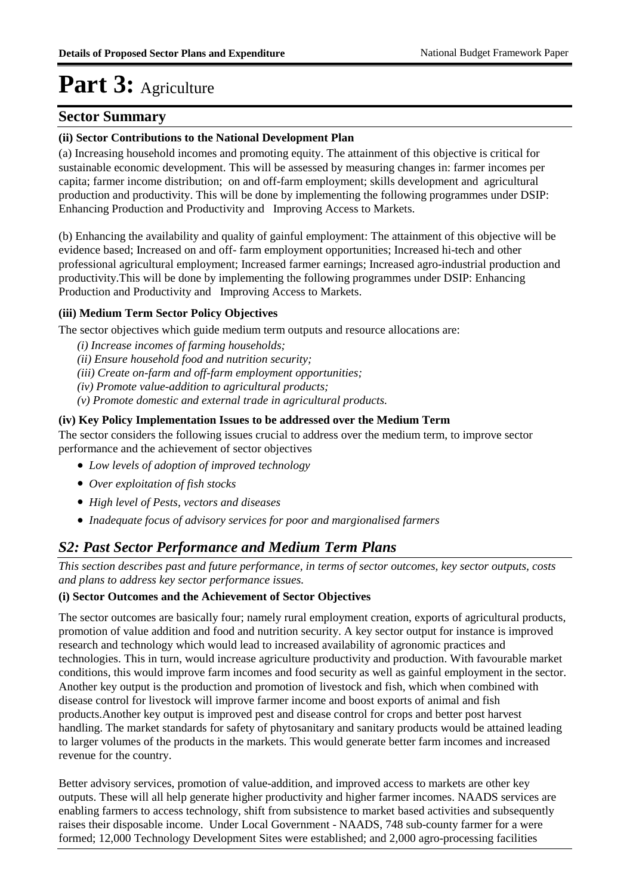#### **Sector Summary**

#### **(ii) Sector Contributions to the National Development Plan**

(a) Increasing household incomes and promoting equity. The attainment of this objective is critical for sustainable economic development. This will be assessed by measuring changes in: farmer incomes per capita; farmer income distribution; on and off-farm employment; skills development and agricultural production and productivity. This will be done by implementing the following programmes under DSIP: Enhancing Production and Productivity and Improving Access to Markets.

(b) Enhancing the availability and quality of gainful employment: The attainment of this objective will be evidence based; Increased on and off- farm employment opportunities; Increased hi-tech and other professional agricultural employment; Increased farmer earnings; Increased agro-industrial production and productivity.This will be done by implementing the following programmes under DSIP: Enhancing Production and Productivity and Improving Access to Markets.

#### **(iii) Medium Term Sector Policy Objectives**

The sector objectives which guide medium term outputs and resource allocations are:

*(i) Increase incomes of farming households;* 

*(ii) Ensure household food and nutrition security;* 

*(iii) Create on-farm and off-farm employment opportunities;* 

*(iv) Promote value-addition to agricultural products;* 

*(v) Promote domestic and external trade in agricultural products.*

#### **(iv) Key Policy Implementation Issues to be addressed over the Medium Term**

The sector considers the following issues crucial to address over the medium term, to improve sector performance and the achievement of sector objectives

- *Low levels of adoption of improved technology*
- *Over exploitation of fish stocks*
- *High level of Pests, vectors and diseases*
- *Inadequate focus of advisory services for poor and margionalised farmers*

#### *S2: Past Sector Performance and Medium Term Plans*

*This section describes past and future performance, in terms of sector outcomes, key sector outputs, costs and plans to address key sector performance issues.* 

#### **(i) Sector Outcomes and the Achievement of Sector Objectives**

The sector outcomes are basically four; namely rural employment creation, exports of agricultural products, promotion of value addition and food and nutrition security. A key sector output for instance is improved research and technology which would lead to increased availability of agronomic practices and technologies. This in turn, would increase agriculture productivity and production. With favourable market conditions, this would improve farm incomes and food security as well as gainful employment in the sector. Another key output is the production and promotion of livestock and fish, which when combined with disease control for livestock will improve farmer income and boost exports of animal and fish products.Another key output is improved pest and disease control for crops and better post harvest handling. The market standards for safety of phytosanitary and sanitary products would be attained leading to larger volumes of the products in the markets. This would generate better farm incomes and increased revenue for the country.

Better advisory services, promotion of value-addition, and improved access to markets are other key outputs. These will all help generate higher productivity and higher farmer incomes. NAADS services are enabling farmers to access technology, shift from subsistence to market based activities and subsequently raises their disposable income. Under Local Government - NAADS, 748 sub-county farmer for a were formed; 12,000 Technology Development Sites were established; and 2,000 agro-processing facilities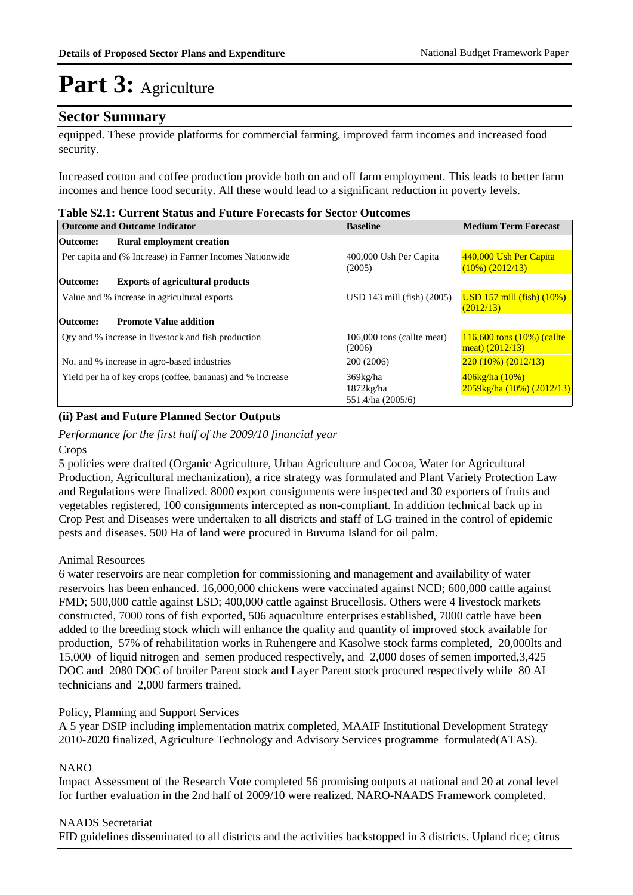#### **Sector Summary**

equipped. These provide platforms for commercial farming, improved farm incomes and increased food security.

Increased cotton and coffee production provide both on and off farm employment. This leads to better farm incomes and hence food security. All these would lead to a significant reduction in poverty levels.

| <b>Table S2.1: Current Status and Future Forecasts for Sector Outcomes</b> |  |  |  |  |  |  |  |  |
|----------------------------------------------------------------------------|--|--|--|--|--|--|--|--|
|----------------------------------------------------------------------------|--|--|--|--|--|--|--|--|

|                 | <b>Outcome and Outcome Indicator</b>                       | <b>Baseline</b>                               | <b>Medium Term Forecast</b>                                   |  |
|-----------------|------------------------------------------------------------|-----------------------------------------------|---------------------------------------------------------------|--|
| Outcome:        | <b>Rural employment creation</b>                           |                                               |                                                               |  |
|                 | Per capita and (% Increase) in Farmer Incomes Nationwide   | 400,000 Ush Per Capita<br>(2005)              | 440,000 Ush Per Capita<br>$(10\%) (2012/13)$                  |  |
| Outcome:        | <b>Exports of agricultural products</b>                    |                                               |                                                               |  |
|                 | Value and % increase in agricultural exports               | $USD 143$ mill (fish) $(2005)$                | $\overline{USD}$ 157 mill (fish) (10%)<br>(2012/13)           |  |
| <b>Outcome:</b> | <b>Promote Value addition</b>                              |                                               |                                                               |  |
|                 | Oty and % increase in livestock and fish production        | 106,000 tons (callte meat)<br>(2006)          | $116,600$ tons $(10%)$ (callte)<br>meat) $(2012/13)$          |  |
|                 | No. and % increase in agro-based industries                | 200 (2006)                                    | $220(10\%)$ (2012/13)                                         |  |
|                 | Yield per ha of key crops (coffee, bananas) and % increase | 369kg/ha<br>$1872$ kg/ha<br>551.4/ha (2005/6) | $406\text{kg/ha}$ (10%)<br>$2059\text{kg/ha}$ (10%) (2012/13) |  |

#### **(ii) Past and Future Planned Sector Outputs**

*Performance for the first half of the 2009/10 financial year*

Crops

5 policies were drafted (Organic Agriculture, Urban Agriculture and Cocoa, Water for Agricultural Production, Agricultural mechanization), a rice strategy was formulated and Plant Variety Protection Law and Regulations were finalized. 8000 export consignments were inspected and 30 exporters of fruits and vegetables registered, 100 consignments intercepted as non-compliant. In addition technical back up in Crop Pest and Diseases were undertaken to all districts and staff of LG trained in the control of epidemic pests and diseases. 500 Ha of land were procured in Buvuma Island for oil palm.

#### Animal Resources

6 water reservoirs are near completion for commissioning and management and availability of water reservoirs has been enhanced. 16,000,000 chickens were vaccinated against NCD; 600,000 cattle against FMD; 500,000 cattle against LSD; 400,000 cattle against Brucellosis. Others were 4 livestock markets constructed, 7000 tons of fish exported, 506 aquaculture enterprises established, 7000 cattle have been added to the breeding stock which will enhance the quality and quantity of improved stock available for production, 57% of rehabilitation works in Ruhengere and Kasolwe stock farms completed, 20,000lts and 15,000 of liquid nitrogen and semen produced respectively, and 2,000 doses of semen imported,3,425 DOC and 2080 DOC of broiler Parent stock and Layer Parent stock procured respectively while 80 AI technicians and 2,000 farmers trained.

#### Policy, Planning and Support Services

A 5 year DSIP including implementation matrix completed, MAAIF Institutional Development Strategy 2010-2020 finalized, Agriculture Technology and Advisory Services programme formulated(ATAS).

#### **NARO**

Impact Assessment of the Research Vote completed 56 promising outputs at national and 20 at zonal level for further evaluation in the 2nd half of 2009/10 were realized. NARO-NAADS Framework completed.

#### NAADS Secretariat

FID guidelines disseminated to all districts and the activities backstopped in 3 districts. Upland rice; citrus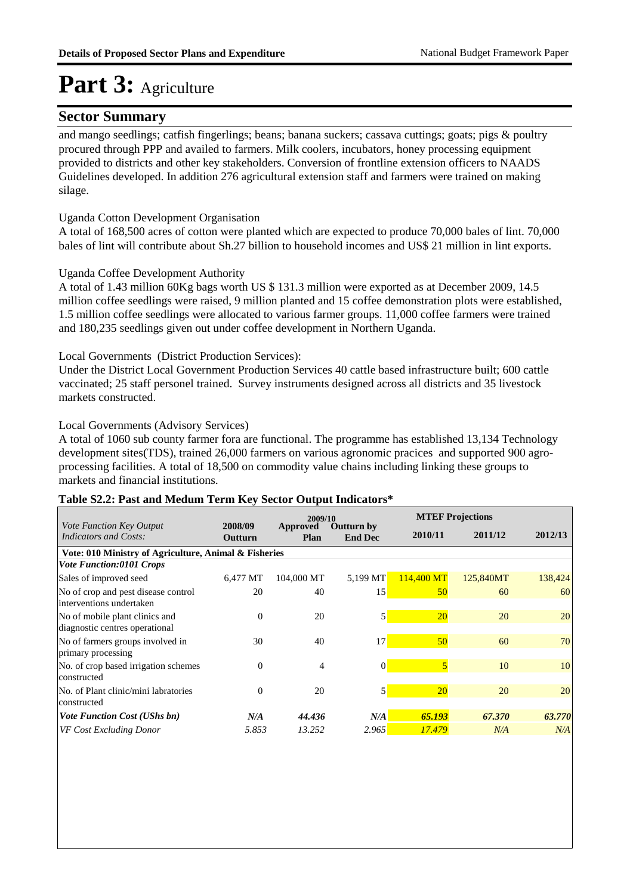#### **Sector Summary**

and mango seedlings; catfish fingerlings; beans; banana suckers; cassava cuttings; goats; pigs & poultry procured through PPP and availed to farmers. Milk coolers, incubators, honey processing equipment provided to districts and other key stakeholders. Conversion of frontline extension officers to NAADS Guidelines developed. In addition 276 agricultural extension staff and farmers were trained on making silage.

#### Uganda Cotton Development Organisation

A total of 168,500 acres of cotton were planted which are expected to produce 70,000 bales of lint. 70,000 bales of lint will contribute about Sh.27 billion to household incomes and US\$ 21 million in lint exports.

#### Uganda Coffee Development Authority

A total of 1.43 million 60Kg bags worth US \$ 131.3 million were exported as at December 2009, 14.5 million coffee seedlings were raised, 9 million planted and 15 coffee demonstration plots were established, 1.5 million coffee seedlings were allocated to various farmer groups. 11,000 coffee farmers were trained and 180,235 seedlings given out under coffee development in Northern Uganda.

#### Local Governments (District Production Services):

Under the District Local Government Production Services 40 cattle based infrastructure built; 600 cattle vaccinated; 25 staff personel trained. Survey instruments designed across all districts and 35 livestock markets constructed.

#### Local Governments (Advisory Services)

A total of 1060 sub county farmer fora are functional. The programme has established 13,134 Technology development sites(TDS), trained 26,000 farmers on various agronomic pracices and supported 900 agroprocessing facilities. A total of 18,500 on commodity value chains including linking these groups to markets and financial institutions.

#### **Table S2.2: Past and Medum Term Key Sector Output Indicators\***

|                                                                  |                    | 2009/10          |                                     |                         | <b>MTEF Projections</b> |         |
|------------------------------------------------------------------|--------------------|------------------|-------------------------------------|-------------------------|-------------------------|---------|
| <i>Vote Function Key Output</i><br>Indicators and Costs:         | 2008/09<br>Outturn | Approved<br>Plan | <b>Outturn by</b><br><b>End Dec</b> | 2010/11                 | 2011/12                 | 2012/13 |
| Vote: 010 Ministry of Agriculture, Animal & Fisheries            |                    |                  |                                     |                         |                         |         |
| <b>Vote Function:0101 Crops</b>                                  |                    |                  |                                     |                         |                         |         |
| Sales of improved seed                                           | 6,477 MT           | 104,000 MT       | $5,199$ MT                          | $114,400 \,\mathrm{MT}$ | 125,840MT               | 138,424 |
| No of crop and pest disease control<br>interventions undertaken  | 20                 | 40               | 15                                  | 50                      | 60                      | 60      |
| No of mobile plant clinics and<br>diagnostic centres operational | $\Omega$           | 20               | 5                                   | <b>20</b>               | 20                      | 20      |
| No of farmers groups involved in<br>primary processing           | 30                 | 40               | 17                                  | 50 <sub>o</sub>         | 60                      | 70      |
| No. of crop based irrigation schemes<br>constructed              | $\Omega$           | 4                | $\Omega$                            | $\overline{5}$          | 10                      | 10      |
| No. of Plant clinic/mini labratories<br>constructed              | $\Omega$           | 20               | 5                                   | <b>20</b>               | 20                      | 20      |
| <b>Vote Function Cost (UShs bn)</b>                              | N/A                | 44.436           | N/A                                 | 65.193                  | 67.370                  | 63.770  |
| VF Cost Excluding Donor                                          | 5.853              | 13.252           | 2.965                               | 17.479                  | N/A                     | N/A     |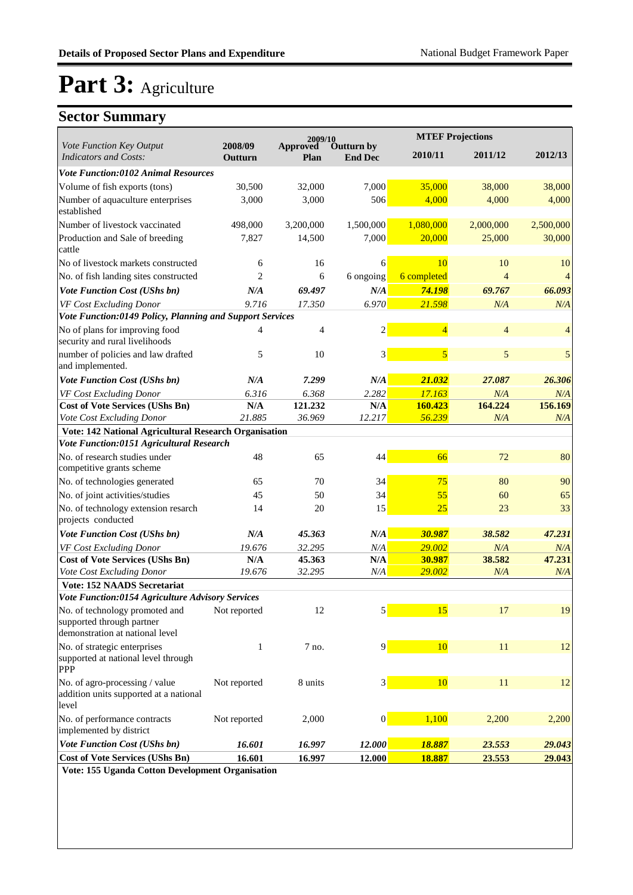### **Sector Summary**

|                                                                                                | 2009/10            |                         |                              | <b>MTEF Projections</b> |                |                          |
|------------------------------------------------------------------------------------------------|--------------------|-------------------------|------------------------------|-------------------------|----------------|--------------------------|
| Vote Function Key Output<br><b>Indicators and Costs:</b>                                       | 2008/09<br>Outturn | <b>Approved</b><br>Plan | Outturn by<br><b>End Dec</b> | 2010/11                 | 2011/12        | 2012/13                  |
| <b>Vote Function:0102 Animal Resources</b>                                                     |                    |                         |                              |                         |                |                          |
| Volume of fish exports (tons)                                                                  | 30,500             | 32,000                  | 7,000                        | 35,000                  | 38,000         | 38,000                   |
| Number of aquaculture enterprises<br>established                                               | 3,000              | 3,000                   | 506                          | 4,000                   | 4,000          | 4,000                    |
| Number of livestock vaccinated                                                                 | 498,000            | 3,200,000               | 1,500,000                    | 1,080,000               | 2,000,000      | 2,500,000                |
| Production and Sale of breeding<br>cattle                                                      | 7,827              | 14,500                  | 7,000                        | 20,000                  | 25,000         | 30,000                   |
| No of livestock markets constructed                                                            | 6                  | 16                      | 6                            | 10                      | 10             | 10                       |
| No. of fish landing sites constructed                                                          | $\overline{c}$     | 6                       | 6 ongoing                    | 6 completed             | $\overline{4}$ | $\overline{\mathcal{L}}$ |
| Vote Function Cost (UShs bn)                                                                   | N/A                | 69.497                  | N/A                          | 74.198                  | 69.767         | 66.093                   |
| VF Cost Excluding Donor                                                                        | 9.716              | 17.350                  | 6.970                        | 21.598                  | N/A            | N/A                      |
| Vote Function:0149 Policy, Planning and Support Services                                       |                    |                         |                              |                         |                |                          |
| No of plans for improving food<br>security and rural livelihoods                               | $\overline{4}$     | 4                       | $\overline{2}$               | $\overline{4}$          | $\overline{4}$ | $\overline{4}$           |
| number of policies and law drafted<br>and implemented.                                         | 5                  | 10                      | 3                            | 5                       | 5              | $\mathfrak{s}$           |
| Vote Function Cost (UShs bn)                                                                   | N/A                | 7.299                   | N/A                          | 21.032                  | 27.087         | 26.306                   |
| VF Cost Excluding Donor                                                                        | 6.316              | 6.368                   | 2.282                        | 17.163                  | N/A            | N/A                      |
| <b>Cost of Vote Services (UShs Bn)</b>                                                         | N/A                | 121.232                 | N/A                          | 160.423                 | 164.224        | 156.169                  |
| Vote Cost Excluding Donor                                                                      | 21.885             | 36.969                  | 12.217                       | 56.239                  | N/A            | N/A                      |
| Vote: 142 National Agricultural Research Organisation                                          |                    |                         |                              |                         |                |                          |
| Vote Function:0151 Agricultural Research                                                       |                    |                         |                              |                         |                |                          |
| No. of research studies under<br>competitive grants scheme                                     | 48                 | 65                      | 44                           | 66                      | 72             | 80                       |
| No. of technologies generated                                                                  | 65                 | 70                      | 34                           | 75                      | 80             | 90                       |
| No. of joint activities/studies                                                                | 45                 | 50                      | 34                           | 55                      | 60             | 65                       |
| No. of technology extension resarch<br>projects conducted                                      | 14                 | 20                      | 15                           | 25                      | 23             | 33                       |
| Vote Function Cost (UShs bn)                                                                   | N/A                | 45.363                  | N/A                          | 30.987                  | 38.582         | 47.231                   |
| VF Cost Excluding Donor                                                                        | 19.676             | 32.295                  | N/A                          | 29.002                  | N/A            | N/A                      |
| <b>Cost of Vote Services (UShs Bn)</b>                                                         | N/A                | 45.363                  | N/A                          | 30.987                  | 38.582         | 47.231                   |
| Vote Cost Excluding Donor                                                                      | 19.676             | 32.295                  | N/A                          | 29.002                  | N/A            | N/A                      |
| <b>Vote: 152 NAADS Secretariat</b>                                                             |                    |                         |                              |                         |                |                          |
| Vote Function:0154 Agriculture Advisory Services                                               |                    |                         |                              |                         |                |                          |
| No. of technology promoted and<br>supported through partner<br>demonstration at national level | Not reported       | 12                      | $\mathbf{5}$                 | 15                      | 17             | 19                       |
| No. of strategic enterprises                                                                   | $\mathbf{1}$       | 7 no.                   | 9                            | 10                      | 11             | 12                       |
| supported at national level through<br><b>PPP</b>                                              |                    |                         |                              |                         |                |                          |
| No. of agro-processing / value<br>addition units supported at a national<br>level              | Not reported       | 8 units                 | 3                            | 10                      | 11             | 12                       |
| No. of performance contracts<br>implemented by district                                        | Not reported       | 2,000                   | $\vert 0 \vert$              | 1,100                   | 2,200          | 2,200                    |
| Vote Function Cost (UShs bn)                                                                   | 16.601             | 16.997                  | 12.000                       | 18.887                  | 23.553         | 29.043                   |
| <b>Cost of Vote Services (UShs Bn)</b>                                                         | 16.601             | 16.997                  | 12.000                       | 18.887                  | 23.553         | 29.043                   |
| Vote: 155 Hannie Cotton Development Organisation                                               |                    |                         |                              |                         |                |                          |

**Vote: 155 Uganda Cotton Development Organisation**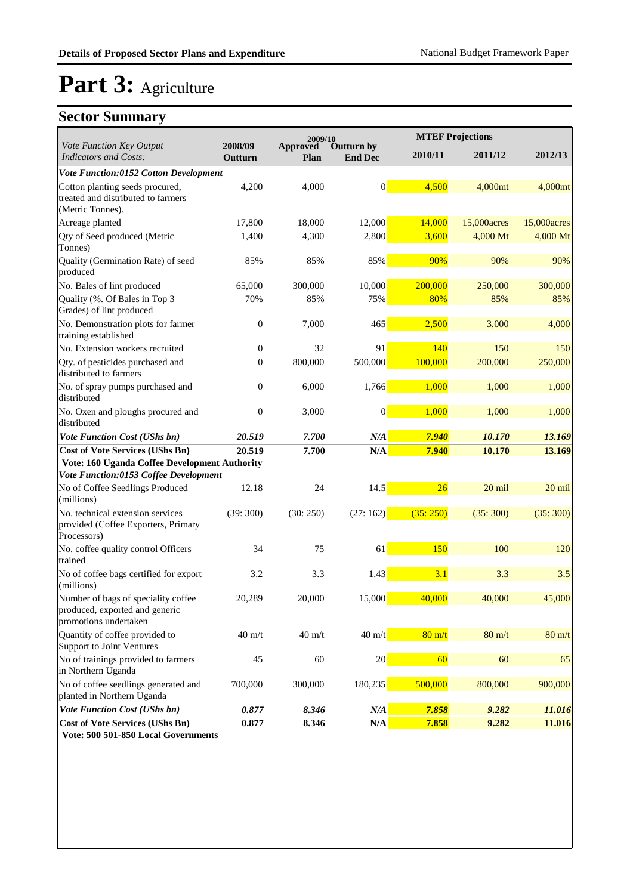### **Sector Summary**

|                                                                                                |                    | 2009/10          |                              |                  | <b>MTEF Projections</b> |                  |
|------------------------------------------------------------------------------------------------|--------------------|------------------|------------------------------|------------------|-------------------------|------------------|
| Vote Function Key Output<br><b>Indicators and Costs:</b>                                       | 2008/09<br>Outturn | Approved<br>Plan | Outturn by<br><b>End Dec</b> | 2010/11          | 2011/12                 | 2012/13          |
| Vote Function:0152 Cotton Development                                                          |                    |                  |                              |                  |                         |                  |
| Cotton planting seeds procured,<br>treated and distributed to farmers<br>(Metric Tonnes).      | 4,200              | 4,000            | $\vert 0 \vert$              | 4,500            | 4,000mt                 | 4,000mt          |
| Acreage planted                                                                                | 17,800             | 18,000           | 12,000                       | 14,000           | 15,000 acres            | 15,000 acres     |
| Qty of Seed produced (Metric<br>Tonnes)                                                        | 1,400              | 4,300            | 2,800                        | 3,600            | 4,000 Mt                | 4,000 Mt         |
| Quality (Germination Rate) of seed<br>produced                                                 | 85%                | 85%              | 85%                          | 90%              | 90%                     | 90%              |
| No. Bales of lint produced                                                                     | 65,000             | 300,000          | 10,000                       | 200,000          | 250,000                 | 300,000          |
| Quality (%. Of Bales in Top 3<br>Grades) of lint produced                                      | 70%                | 85%              | 75%                          | 80%              | 85%                     | 85%              |
| No. Demonstration plots for farmer<br>training established                                     | $\overline{0}$     | 7,000            | 465                          | 2,500            | 3,000                   | 4,000            |
| No. Extension workers recruited                                                                | $\overline{0}$     | 32               | 91                           | 140              | 150                     | 150              |
| Qty. of pesticides purchased and<br>distributed to farmers                                     | $\mathbf{0}$       | 800,000          | 500,000                      | 100,000          | 200,000                 | 250,000          |
| No. of spray pumps purchased and<br>distributed                                                | $\overline{0}$     | 6,000            | 1,766                        | 1,000            | 1,000                   | 1,000            |
| No. Oxen and ploughs procured and<br>distributed                                               | $\overline{0}$     | 3,000            | $\boldsymbol{0}$             | 1,000            | 1,000                   | 1,000            |
| <b>Vote Function Cost (UShs bn)</b>                                                            | 20.519             | 7.700            | N/A                          | 7.940            | 10.170                  | 13.169           |
| <b>Cost of Vote Services (UShs Bn)</b>                                                         | 20.519             | 7.700            | N/A                          | 7.940            | 10.170                  | 13.169           |
| Vote: 160 Uganda Coffee Development Authority                                                  |                    |                  |                              |                  |                         |                  |
| Vote Function:0153 Coffee Development                                                          |                    |                  |                              |                  |                         |                  |
| No of Coffee Seedlings Produced<br>(millions)                                                  | 12.18              | 24               | 14.5                         | 26               | 20 mil                  | $20$ mil         |
| No. technical extension services<br>provided (Coffee Exporters, Primary<br>Processors)         | (39:300)           | (30:250)         | (27:162)                     | (35:250)         | (35:300)                | (35:300)         |
| No. coffee quality control Officers<br>trained                                                 | 34                 | 75               | 61                           | 150              | 100                     | 120              |
| No of coffee bags certified for export<br>(millions)                                           | 3.2                | 3.3              | 1.43                         | 3.1              | 3.3                     | 3.5              |
| Number of bags of speciality coffee<br>produced, exported and generic<br>promotions undertaken | 20,289             | 20,000           | 15,000                       | 40.000           | 40,000                  | 45,000           |
| Quantity of coffee provided to<br>Support to Joint Ventures                                    | $40 \text{ m/t}$   | $40 \text{ m}/t$ | $40 \text{ m}/t$             | $80 \text{ m/t}$ | $80 \text{ m}/t$        | $80 \text{ m/t}$ |
| No of trainings provided to farmers<br>in Northern Uganda                                      | 45                 | 60               | $20\,$                       | 60               | 60                      | 65               |
| No of coffee seedlings generated and<br>planted in Northern Uganda                             | 700,000            | 300,000          | 180,235                      | 500,000          | 800,000                 | 900,000          |
| Vote Function Cost (UShs bn)                                                                   | 0.877              | 8.346            | $N\!/\!A$                    | 7.858            | 9.282                   | 11.016           |
| <b>Cost of Vote Services (UShs Bn)</b>                                                         | 0.877              | 8.346            | $\mathbf{N}/\mathbf{A}$      | 7.858            | 9.282                   | 11.016           |

**Vote: 500 501-850 Local Governments**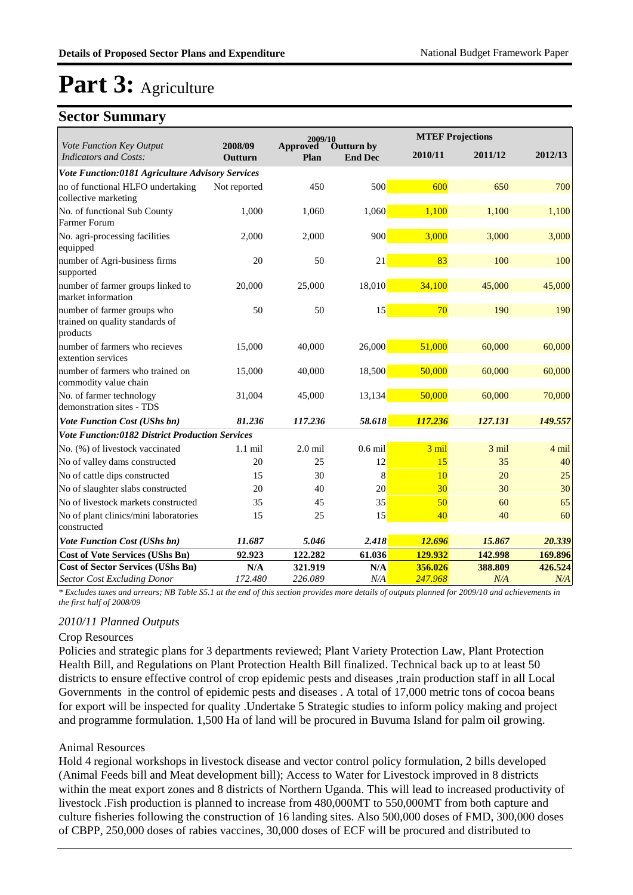#### **Sector Summary**

|                                                                            |                    | 2009/10          |                              |         | <b>MTEF Projections</b> |         |
|----------------------------------------------------------------------------|--------------------|------------------|------------------------------|---------|-------------------------|---------|
| Vote Function Key Output<br><b>Indicators and Costs:</b>                   | 2008/09<br>Outturn | Approved<br>Plan | Outturn by<br><b>End Dec</b> | 2010/11 | 2011/12                 | 2012/13 |
| Vote Function:0181 Agriculture Advisory Services                           |                    |                  |                              |         |                         |         |
| no of functional HLFO undertaking<br>collective marketing                  | Not reported       | 450              | 500                          | 600     | 650                     | 700     |
| No. of functional Sub County<br>Farmer Forum                               | 1.000              | 1.060            | 1,060                        | 1,100   | 1,100                   | 1,100   |
| No. agri-processing facilities<br>equipped                                 | 2,000              | 2,000            | 900                          | 3,000   | 3,000                   | 3,000   |
| number of Agri-business firms<br>supported                                 | 20                 | 50               | 21                           | 83      | 100                     | 100     |
| number of farmer groups linked to<br>market information                    | 20,000             | 25,000           | 18,010                       | 34,100  | 45,000                  | 45,000  |
| number of farmer groups who<br>trained on quality standards of<br>products | 50                 | 50               | 15                           | 70      | 190                     | 190     |
| number of farmers who recieves<br>extention services                       | 15,000             | 40,000           | 26,000                       | 51,000  | 60,000                  | 60,000  |
| number of farmers who trained on<br>commodity value chain                  | 15,000             | 40,000           | 18,500                       | 50,000  | 60,000                  | 60,000  |
| No. of farmer technology<br>demonstration sites - TDS                      | 31,004             | 45,000           | 13,134                       | 50,000  | 60,000                  | 70,000  |
| Vote Function Cost (UShs bn)                                               | 81.236             | 117.236          | 58.618                       | 117.236 | 127.131                 | 149.557 |
| Vote Function:0182 District Production Services                            |                    |                  |                              |         |                         |         |
| No. (%) of livestock vaccinated                                            | $1.1$ mil          | $2.0$ mil        | $0.6$ mil                    | 3 mil   | 3 mil                   | 4 mil   |
| No of valley dams constructed                                              | 20                 | 25               | 12                           | 15      | 35                      | 40      |
| No of cattle dips constructed                                              | 15                 | 30               | 8                            | 10      | 20                      | 25      |
| No of slaughter slabs constructed                                          | 20                 | 40               | 20                           | 30      | 30                      | 30      |
| No of livestock markets constructed                                        | 35                 | 45               | 35                           | 50      | 60                      | 65      |
| No of plant clinics/mini laboratories<br>constructed                       | 15                 | 25               | 15                           | 40      | 40                      | 60      |
| <b>Vote Function Cost (UShs bn)</b>                                        | 11.687             | 5.046            | 2.418                        | 12.696  | 15.867                  | 20.339  |
| <b>Cost of Vote Services (UShs Bn)</b>                                     | 92.923             | 122.282          | 61.036                       | 129.932 | 142.998                 | 169.896 |
| <b>Cost of Sector Services (UShs Bn)</b>                                   | N/A                | 321.919          | N/A                          | 356.026 | 388.809                 | 426.524 |
| <b>Sector Cost Excluding Donor</b>                                         | 172.480            | 226.089          | N/A                          | 247.968 | N/A                     | N/A     |

*\* Excludes taxes and arrears; NB Table S5.1 at the end of this section provides more details of outputs planned for 2009/10 and achievements in the first half of 2008/09*

#### *2010/11 Planned Outputs*

#### Crop Resources

Policies and strategic plans for 3 departments reviewed; Plant Variety Protection Law, Plant Protection Health Bill, and Regulations on Plant Protection Health Bill finalized. Technical back up to at least 50 districts to ensure effective control of crop epidemic pests and diseases ,train production staff in all Local Governments in the control of epidemic pests and diseases . A total of 17,000 metric tons of cocoa beans for export will be inspected for quality .Undertake 5 Strategic studies to inform policy making and project and programme formulation. 1,500 Ha of land will be procured in Buvuma Island for palm oil growing.

#### Animal Resources

Hold 4 regional workshops in livestock disease and vector control policy formulation, 2 bills developed (Animal Feeds bill and Meat development bill); Access to Water for Livestock improved in 8 districts within the meat export zones and 8 districts of Northern Uganda. This will lead to increased productivity of livestock .Fish production is planned to increase from 480,000MT to 550,000MT from both capture and culture fisheries following the construction of 16 landing sites. Also 500,000 doses of FMD, 300,000 doses of CBPP, 250,000 doses of rabies vaccines, 30,000 doses of ECF will be procured and distributed to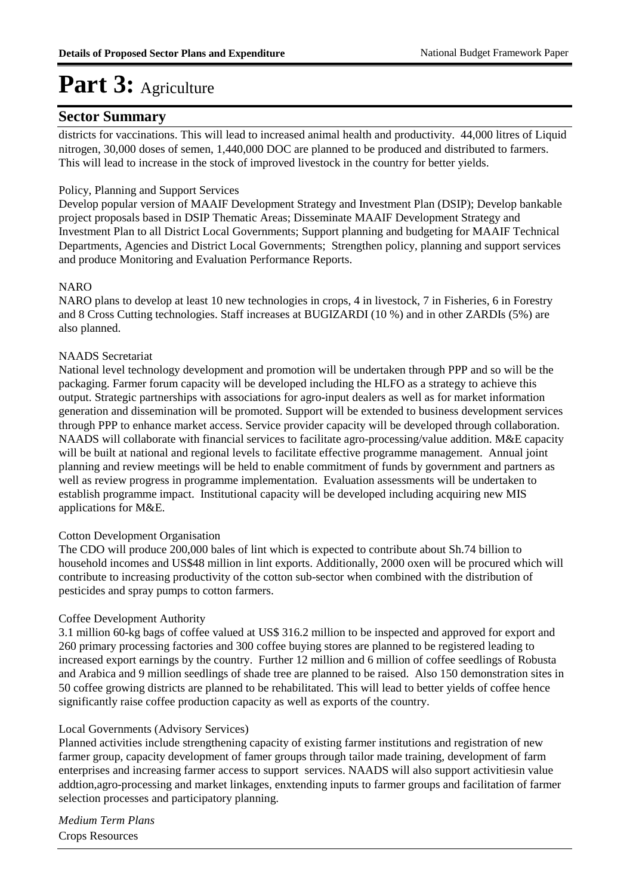#### **Sector Summary**

districts for vaccinations. This will lead to increased animal health and productivity. 44,000 litres of Liquid nitrogen, 30,000 doses of semen, 1,440,000 DOC are planned to be produced and distributed to farmers. This will lead to increase in the stock of improved livestock in the country for better yields.

#### Policy, Planning and Support Services

Develop popular version of MAAIF Development Strategy and Investment Plan (DSIP); Develop bankable project proposals based in DSIP Thematic Areas; Disseminate MAAIF Development Strategy and Investment Plan to all District Local Governments; Support planning and budgeting for MAAIF Technical Departments, Agencies and District Local Governments; Strengthen policy, planning and support services and produce Monitoring and Evaluation Performance Reports.

#### **NARO**

NARO plans to develop at least 10 new technologies in crops, 4 in livestock, 7 in Fisheries, 6 in Forestry and 8 Cross Cutting technologies. Staff increases at BUGIZARDI (10 %) and in other ZARDIs (5%) are also planned.

#### NAADS Secretariat

National level technology development and promotion will be undertaken through PPP and so will be the packaging. Farmer forum capacity will be developed including the HLFO as a strategy to achieve this output. Strategic partnerships with associations for agro-input dealers as well as for market information generation and dissemination will be promoted. Support will be extended to business development services through PPP to enhance market access. Service provider capacity will be developed through collaboration. NAADS will collaborate with financial services to facilitate agro-processing/value addition. M&E capacity will be built at national and regional levels to facilitate effective programme management. Annual joint planning and review meetings will be held to enable commitment of funds by government and partners as well as review progress in programme implementation. Evaluation assessments will be undertaken to establish programme impact. Institutional capacity will be developed including acquiring new MIS applications for M&E.

#### Cotton Development Organisation

The CDO will produce 200,000 bales of lint which is expected to contribute about Sh.74 billion to household incomes and US\$48 million in lint exports. Additionally, 2000 oxen will be procured which will contribute to increasing productivity of the cotton sub-sector when combined with the distribution of pesticides and spray pumps to cotton farmers.

#### Coffee Development Authority

3.1 million 60-kg bags of coffee valued at US\$ 316.2 million to be inspected and approved for export and 260 primary processing factories and 300 coffee buying stores are planned to be registered leading to increased export earnings by the country. Further 12 million and 6 million of coffee seedlings of Robusta and Arabica and 9 million seedlings of shade tree are planned to be raised. Also 150 demonstration sites in 50 coffee growing districts are planned to be rehabilitated. This will lead to better yields of coffee hence significantly raise coffee production capacity as well as exports of the country.

#### Local Governments (Advisory Services)

Planned activities include strengthening capacity of existing farmer institutions and registration of new farmer group, capacity development of famer groups through tailor made training, development of farm enterprises and increasing farmer access to support services. NAADS will also support activitiesin value addtion,agro-processing and market linkages, enxtending inputs to farmer groups and facilitation of farmer selection processes and participatory planning.

Crops Resources *Medium Term Plans*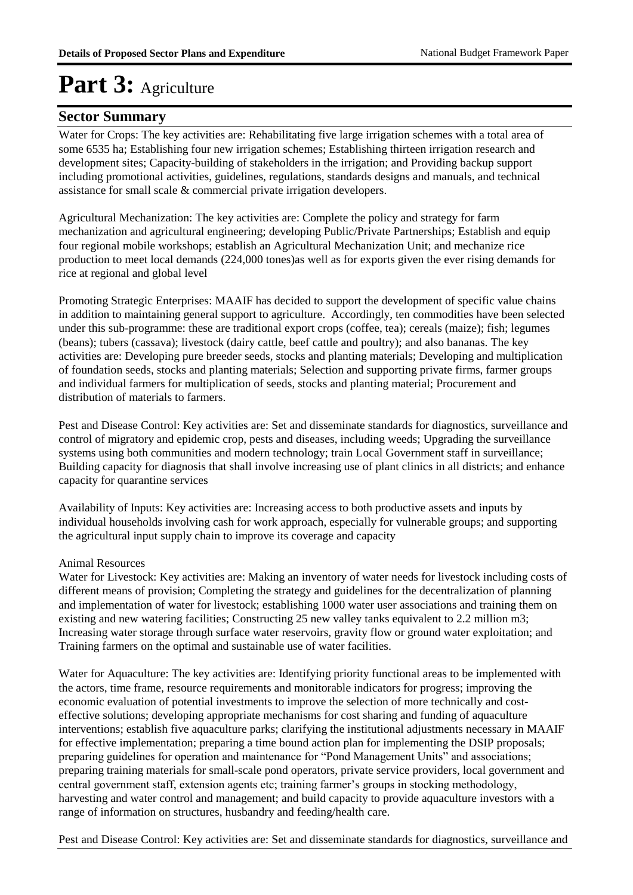#### **Sector Summary**

Water for Crops: The key activities are: Rehabilitating five large irrigation schemes with a total area of some 6535 ha; Establishing four new irrigation schemes; Establishing thirteen irrigation research and development sites; Capacity-building of stakeholders in the irrigation; and Providing backup support including promotional activities, guidelines, regulations, standards designs and manuals, and technical assistance for small scale & commercial private irrigation developers.

Agricultural Mechanization: The key activities are: Complete the policy and strategy for farm mechanization and agricultural engineering; developing Public/Private Partnerships; Establish and equip four regional mobile workshops; establish an Agricultural Mechanization Unit; and mechanize rice production to meet local demands (224,000 tones)as well as for exports given the ever rising demands for rice at regional and global level

Promoting Strategic Enterprises: MAAIF has decided to support the development of specific value chains in addition to maintaining general support to agriculture. Accordingly, ten commodities have been selected under this sub-programme: these are traditional export crops (coffee, tea); cereals (maize); fish; legumes (beans); tubers (cassava); livestock (dairy cattle, beef cattle and poultry); and also bananas. The key activities are: Developing pure breeder seeds, stocks and planting materials; Developing and multiplication of foundation seeds, stocks and planting materials; Selection and supporting private firms, farmer groups and individual farmers for multiplication of seeds, stocks and planting material; Procurement and distribution of materials to farmers.

Pest and Disease Control: Key activities are: Set and disseminate standards for diagnostics, surveillance and control of migratory and epidemic crop, pests and diseases, including weeds; Upgrading the surveillance systems using both communities and modern technology; train Local Government staff in surveillance; Building capacity for diagnosis that shall involve increasing use of plant clinics in all districts; and enhance capacity for quarantine services

Availability of Inputs: Key activities are: Increasing access to both productive assets and inputs by individual households involving cash for work approach, especially for vulnerable groups; and supporting the agricultural input supply chain to improve its coverage and capacity

#### Animal Resources

Water for Livestock: Key activities are: Making an inventory of water needs for livestock including costs of different means of provision; Completing the strategy and guidelines for the decentralization of planning and implementation of water for livestock; establishing 1000 water user associations and training them on existing and new watering facilities; Constructing 25 new valley tanks equivalent to 2.2 million m3; Increasing water storage through surface water reservoirs, gravity flow or ground water exploitation; and Training farmers on the optimal and sustainable use of water facilities.

Water for Aquaculture: The key activities are: Identifying priority functional areas to be implemented with the actors, time frame, resource requirements and monitorable indicators for progress; improving the economic evaluation of potential investments to improve the selection of more technically and costeffective solutions; developing appropriate mechanisms for cost sharing and funding of aquaculture interventions; establish five aquaculture parks; clarifying the institutional adjustments necessary in MAAIF for effective implementation; preparing a time bound action plan for implementing the DSIP proposals; preparing guidelines for operation and maintenance for "Pond Management Units" and associations; preparing training materials for small-scale pond operators, private service providers, local government and central government staff, extension agents etc; training farmer's groups in stocking methodology, harvesting and water control and management; and build capacity to provide aquaculture investors with a range of information on structures, husbandry and feeding/health care.

Pest and Disease Control: Key activities are: Set and disseminate standards for diagnostics, surveillance and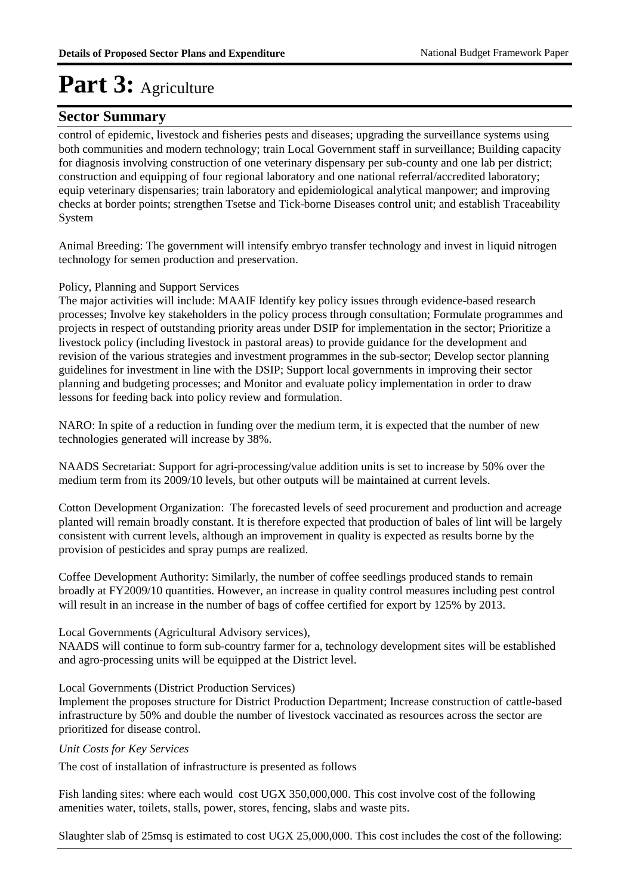#### **Sector Summary**

control of epidemic, livestock and fisheries pests and diseases; upgrading the surveillance systems using both communities and modern technology; train Local Government staff in surveillance; Building capacity for diagnosis involving construction of one veterinary dispensary per sub-county and one lab per district; construction and equipping of four regional laboratory and one national referral/accredited laboratory; equip veterinary dispensaries; train laboratory and epidemiological analytical manpower; and improving checks at border points; strengthen Tsetse and Tick-borne Diseases control unit; and establish Traceability System

Animal Breeding: The government will intensify embryo transfer technology and invest in liquid nitrogen technology for semen production and preservation.

#### Policy, Planning and Support Services

The major activities will include: MAAIF Identify key policy issues through evidence-based research processes; Involve key stakeholders in the policy process through consultation; Formulate programmes and projects in respect of outstanding priority areas under DSIP for implementation in the sector; Prioritize a livestock policy (including livestock in pastoral areas) to provide guidance for the development and revision of the various strategies and investment programmes in the sub-sector; Develop sector planning guidelines for investment in line with the DSIP; Support local governments in improving their sector planning and budgeting processes; and Monitor and evaluate policy implementation in order to draw lessons for feeding back into policy review and formulation.

NARO: In spite of a reduction in funding over the medium term, it is expected that the number of new technologies generated will increase by 38%.

NAADS Secretariat: Support for agri-processing/value addition units is set to increase by 50% over the medium term from its 2009/10 levels, but other outputs will be maintained at current levels.

Cotton Development Organization: The forecasted levels of seed procurement and production and acreage planted will remain broadly constant. It is therefore expected that production of bales of lint will be largely consistent with current levels, although an improvement in quality is expected as results borne by the provision of pesticides and spray pumps are realized.

Coffee Development Authority: Similarly, the number of coffee seedlings produced stands to remain broadly at FY2009/10 quantities. However, an increase in quality control measures including pest control will result in an increase in the number of bags of coffee certified for export by 125% by 2013.

#### Local Governments (Agricultural Advisory services),

NAADS will continue to form sub-country farmer for a, technology development sites will be established and agro-processing units will be equipped at the District level.

#### Local Governments (District Production Services)

Implement the proposes structure for District Production Department; Increase construction of cattle-based infrastructure by 50% and double the number of livestock vaccinated as resources across the sector are prioritized for disease control.

#### *Unit Costs for Key Services*

The cost of installation of infrastructure is presented as follows

Fish landing sites: where each would cost UGX 350,000,000. This cost involve cost of the following amenities water, toilets, stalls, power, stores, fencing, slabs and waste pits.

Slaughter slab of 25msq is estimated to cost UGX 25,000,000. This cost includes the cost of the following: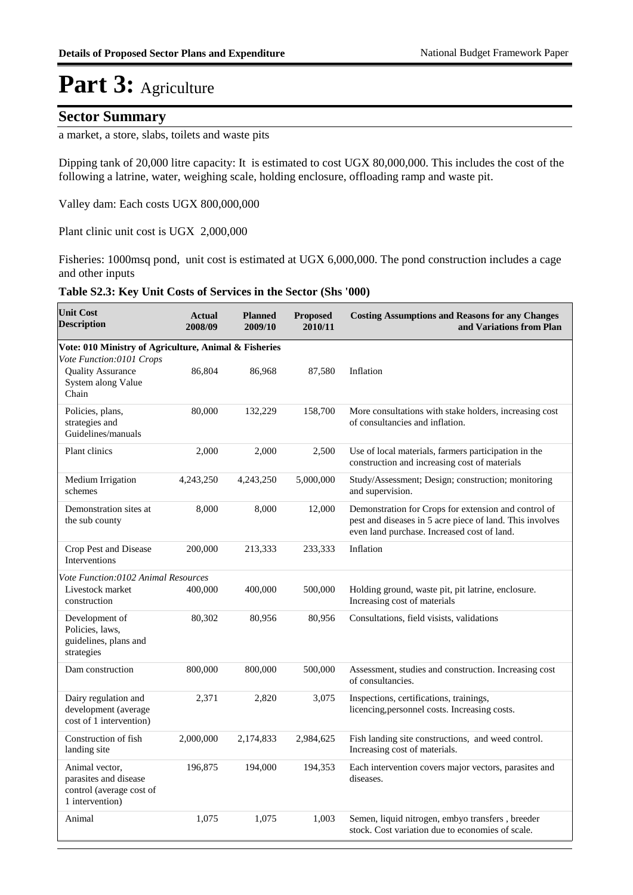#### **Sector Summary**

a market, a store, slabs, toilets and waste pits 

Dipping tank of 20,000 litre capacity: It is estimated to cost UGX 80,000,000. This includes the cost of the following a latrine, water, weighing scale, holding enclosure, offloading ramp and waste pit.

Valley dam: Each costs UGX 800,000,000

Plant clinic unit cost is UGX 2,000,000

Fisheries: 1000msq pond, unit cost is estimated at UGX 6,000,000. The pond construction includes a cage and other inputs

#### **Table S2.3: Key Unit Costs of Services in the Sector (Shs '000)**

| <b>Unit Cost</b><br><b>Description</b>                                                 | <b>Actual</b><br>2008/09 | <b>Planned</b><br>2009/10 | <b>Proposed</b><br>2010/11 | <b>Costing Assumptions and Reasons for any Changes</b><br>and Variations from Plan                                                                              |  |  |  |  |  |
|----------------------------------------------------------------------------------------|--------------------------|---------------------------|----------------------------|-----------------------------------------------------------------------------------------------------------------------------------------------------------------|--|--|--|--|--|
| Vote: 010 Ministry of Agriculture, Animal & Fisheries                                  |                          |                           |                            |                                                                                                                                                                 |  |  |  |  |  |
| Vote Function:0101 Crops<br><b>Quality Assurance</b><br>System along Value<br>Chain    | 86,804                   | 86,968                    | 87,580                     | Inflation                                                                                                                                                       |  |  |  |  |  |
| Policies, plans,<br>strategies and<br>Guidelines/manuals                               | 80,000                   | 132,229                   | 158,700                    | More consultations with stake holders, increasing cost<br>of consultancies and inflation.                                                                       |  |  |  |  |  |
| Plant clinics                                                                          | 2,000                    | 2,000                     | 2,500                      | Use of local materials, farmers participation in the<br>construction and increasing cost of materials                                                           |  |  |  |  |  |
| Medium Irrigation<br>schemes                                                           | 4,243,250                | 4,243,250                 | 5,000,000                  | Study/Assessment; Design; construction; monitoring<br>and supervision.                                                                                          |  |  |  |  |  |
| Demonstration sites at<br>the sub county                                               | 8,000                    | 8,000                     | 12,000                     | Demonstration for Crops for extension and control of<br>pest and diseases in 5 acre piece of land. This involves<br>even land purchase. Increased cost of land. |  |  |  |  |  |
| Crop Pest and Disease<br>Interventions                                                 | 200,000                  | 213,333                   | 233,333                    | Inflation                                                                                                                                                       |  |  |  |  |  |
| Vote Function:0102 Animal Resources                                                    |                          |                           |                            |                                                                                                                                                                 |  |  |  |  |  |
| Livestock market<br>construction                                                       | 400,000                  | 400,000                   | 500,000                    | Holding ground, waste pit, pit latrine, enclosure.<br>Increasing cost of materials                                                                              |  |  |  |  |  |
| Development of<br>Policies, laws,<br>guidelines, plans and<br>strategies               | 80,302                   | 80,956                    | 80,956                     | Consultations, field visists, validations                                                                                                                       |  |  |  |  |  |
| Dam construction                                                                       | 800,000                  | 800,000                   | 500,000                    | Assessment, studies and construction. Increasing cost<br>of consultancies.                                                                                      |  |  |  |  |  |
| Dairy regulation and<br>development (average<br>cost of 1 intervention)                | 2,371                    | 2,820                     | 3,075                      | Inspections, certifications, trainings,<br>licencing, personnel costs. Increasing costs.                                                                        |  |  |  |  |  |
| Construction of fish<br>landing site                                                   | 2,000,000                | 2,174,833                 | 2,984,625                  | Fish landing site constructions, and weed control.<br>Increasing cost of materials.                                                                             |  |  |  |  |  |
| Animal vector,<br>parasites and disease<br>control (average cost of<br>1 intervention) | 196,875                  | 194,000                   | 194,353                    | Each intervention covers major vectors, parasites and<br>diseases.                                                                                              |  |  |  |  |  |
| Animal                                                                                 | 1,075                    | 1,075                     | 1,003                      | Semen, liquid nitrogen, embyo transfers, breeder<br>stock. Cost variation due to economies of scale.                                                            |  |  |  |  |  |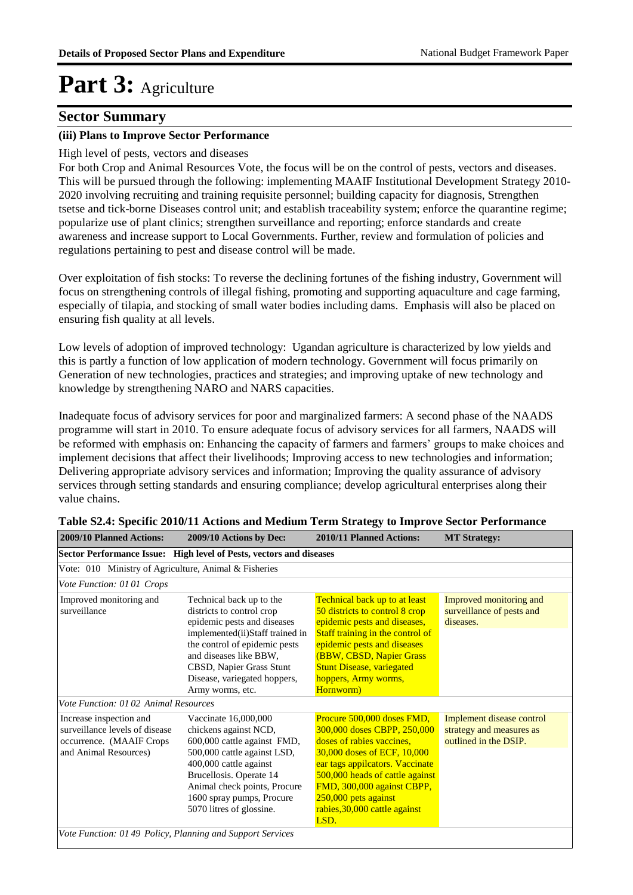#### **Sector Summary**

#### **(iii) Plans to Improve Sector Performance**

#### High level of pests, vectors and diseases

For both Crop and Animal Resources Vote, the focus will be on the control of pests, vectors and diseases. This will be pursued through the following: implementing MAAIF Institutional Development Strategy 2010- 2020 involving recruiting and training requisite personnel; building capacity for diagnosis, Strengthen tsetse and tick-borne Diseases control unit; and establish traceability system; enforce the quarantine regime; popularize use of plant clinics; strengthen surveillance and reporting; enforce standards and create awareness and increase support to Local Governments. Further, review and formulation of policies and regulations pertaining to pest and disease control will be made.

Over exploitation of fish stocks: To reverse the declining fortunes of the fishing industry, Government will focus on strengthening controls of illegal fishing, promoting and supporting aquaculture and cage farming, especially of tilapia, and stocking of small water bodies including dams. Emphasis will also be placed on ensuring fish quality at all levels.

Low levels of adoption of improved technology: Ugandan agriculture is characterized by low yields and this is partly a function of low application of modern technology. Government will focus primarily on Generation of new technologies, practices and strategies; and improving uptake of new technology and knowledge by strengthening NARO and NARS capacities.

Inadequate focus of advisory services for poor and marginalized farmers: A second phase of the NAADS programme will start in 2010. To ensure adequate focus of advisory services for all farmers, NAADS will be reformed with emphasis on: Enhancing the capacity of farmers and farmers' groups to make choices and implement decisions that affect their livelihoods; Improving access to new technologies and information; Delivering appropriate advisory services and information; Improving the quality assurance of advisory services through setting standards and ensuring compliance; develop agricultural enterprises along their value chains.

| 2009/10 Planned Actions:                                                                                       | 2009/10 Actions by Dec:                                                                                                                                                                                                                                            | 2010/11 Planned Actions:                                                                                                                                                                                                                                                                   | <b>MT Strategy:</b>                                                            |  |  |  |  |  |  |
|----------------------------------------------------------------------------------------------------------------|--------------------------------------------------------------------------------------------------------------------------------------------------------------------------------------------------------------------------------------------------------------------|--------------------------------------------------------------------------------------------------------------------------------------------------------------------------------------------------------------------------------------------------------------------------------------------|--------------------------------------------------------------------------------|--|--|--|--|--|--|
| Sector Performance Issue: High level of Pests, vectors and diseases                                            |                                                                                                                                                                                                                                                                    |                                                                                                                                                                                                                                                                                            |                                                                                |  |  |  |  |  |  |
| Vote: 010 Ministry of Agriculture, Animal & Fisheries                                                          |                                                                                                                                                                                                                                                                    |                                                                                                                                                                                                                                                                                            |                                                                                |  |  |  |  |  |  |
| Vote Function: 01 01 Crops                                                                                     |                                                                                                                                                                                                                                                                    |                                                                                                                                                                                                                                                                                            |                                                                                |  |  |  |  |  |  |
| Improved monitoring and<br>surveillance                                                                        | Technical back up to the<br>districts to control crop<br>epidemic pests and diseases<br>implemented(ii)Staff trained in<br>the control of epidemic pests<br>and diseases like BBW,<br>CBSD, Napier Grass Stunt<br>Disease, variegated hoppers,<br>Army worms, etc. | <b>Technical back up to at least</b><br>50 districts to control 8 crop<br>epidemic pests and diseases,<br>Staff training in the control of<br>epidemic pests and diseases<br>(BBW, CBSD, Napier Grass<br><b>Stunt Disease, variegated</b><br>hoppers, Army worms,<br>Hornworm)             | Improved monitoring and<br>surveillance of pests and<br>diseases.              |  |  |  |  |  |  |
| Vote Function: 01 02 Animal Resources                                                                          |                                                                                                                                                                                                                                                                    |                                                                                                                                                                                                                                                                                            |                                                                                |  |  |  |  |  |  |
| Increase inspection and<br>surveillance levels of disease<br>occurrence. (MAAIF Crops<br>and Animal Resources) | Vaccinate 16,000,000<br>chickens against NCD,<br>600,000 cattle against FMD,<br>500,000 cattle against LSD,<br>400,000 cattle against<br>Brucellosis. Operate 14<br>Animal check points, Procure<br>1600 spray pumps, Procure<br>5070 litres of glossine.          | Procure 500,000 doses FMD,<br>300,000 doses CBPP, 250,000<br>doses of rabies vaccines,<br>30,000 doses of ECF, 10,000<br>ear tags appilcators. Vaccinate<br>500,000 heads of cattle against<br>FMD, 300,000 against CBPP,<br>250,000 pets against<br>rabies, 30,000 cattle against<br>LSD. | Implement disease control<br>strategy and measures as<br>outlined in the DSIP. |  |  |  |  |  |  |
| Vote Function: 01 49 Policy, Planning and Support Services                                                     |                                                                                                                                                                                                                                                                    |                                                                                                                                                                                                                                                                                            |                                                                                |  |  |  |  |  |  |

| Table S2.4: Specific 2010/11 Actions and Medium Term Strategy to Improve Sector Performance |  |
|---------------------------------------------------------------------------------------------|--|
|---------------------------------------------------------------------------------------------|--|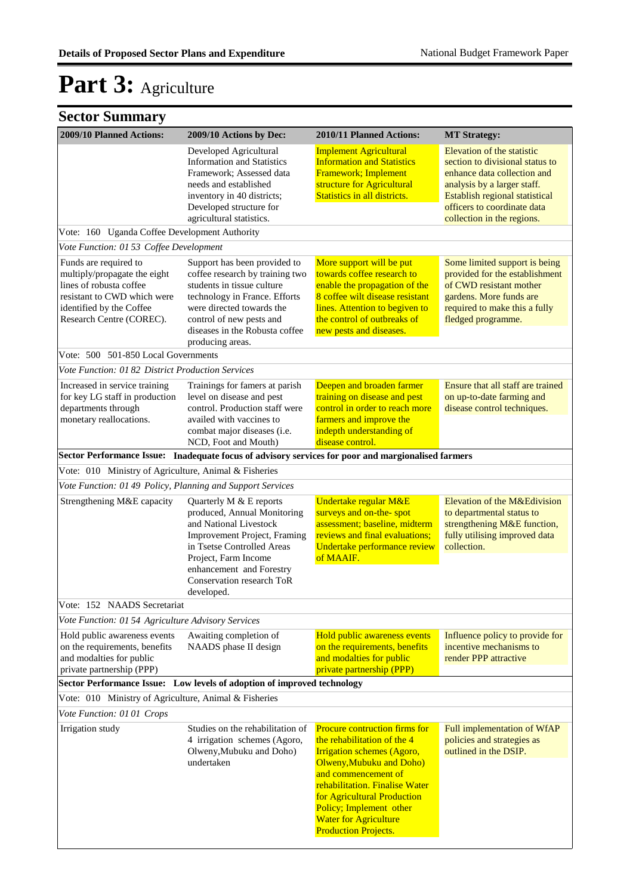|  | <b>Sector Summary</b> |
|--|-----------------------|
|--|-----------------------|

| 2009/10 Planned Actions:                                                                                                                                                | 2009/10 Actions by Dec:                                                                                                                                                                                                                       | 2010/11 Planned Actions:                                                                                                                                                                                                                                                                                               | <b>MT Strategy:</b>                                                                                                                                                                                                        |
|-------------------------------------------------------------------------------------------------------------------------------------------------------------------------|-----------------------------------------------------------------------------------------------------------------------------------------------------------------------------------------------------------------------------------------------|------------------------------------------------------------------------------------------------------------------------------------------------------------------------------------------------------------------------------------------------------------------------------------------------------------------------|----------------------------------------------------------------------------------------------------------------------------------------------------------------------------------------------------------------------------|
|                                                                                                                                                                         | Developed Agricultural<br><b>Information and Statistics</b><br>Framework; Assessed data<br>needs and established<br>inventory in 40 districts;<br>Developed structure for<br>agricultural statistics.                                         | <b>Implement Agricultural</b><br><b>Information and Statistics</b><br>Framework; Implement<br>structure for Agricultural<br>Statistics in all districts.                                                                                                                                                               | Elevation of the statistic<br>section to divisional status to<br>enhance data collection and<br>analysis by a larger staff.<br>Establish regional statistical<br>officers to coordinate data<br>collection in the regions. |
| Vote: 160 Uganda Coffee Development Authority                                                                                                                           |                                                                                                                                                                                                                                               |                                                                                                                                                                                                                                                                                                                        |                                                                                                                                                                                                                            |
| Vote Function: 01 53 Coffee Development                                                                                                                                 |                                                                                                                                                                                                                                               |                                                                                                                                                                                                                                                                                                                        |                                                                                                                                                                                                                            |
| Funds are required to<br>multiply/propagate the eight<br>lines of robusta coffee<br>resistant to CWD which were<br>identified by the Coffee<br>Research Centre (COREC). | Support has been provided to<br>coffee research by training two<br>students in tissue culture<br>technology in France. Efforts<br>were directed towards the<br>control of new pests and<br>diseases in the Robusta coffee<br>producing areas. | More support will be put<br>towards coffee research to<br>enable the propagation of the<br>8 coffee wilt disease resistant<br>lines. Attention to begiven to<br>the control of outbreaks of<br>new pests and diseases.                                                                                                 | Some limited support is being<br>provided for the establishment<br>of CWD resistant mother<br>gardens. More funds are<br>required to make this a fully<br>fledged programme.                                               |
| Vote: 500 501-850 Local Governments                                                                                                                                     |                                                                                                                                                                                                                                               |                                                                                                                                                                                                                                                                                                                        |                                                                                                                                                                                                                            |
| Vote Function: 01 82 District Production Services                                                                                                                       |                                                                                                                                                                                                                                               |                                                                                                                                                                                                                                                                                                                        |                                                                                                                                                                                                                            |
| Increased in service training<br>for key LG staff in production<br>departments through<br>monetary reallocations.                                                       | Trainings for famers at parish<br>level on disease and pest<br>control. Production staff were<br>availed with vaccines to<br>combat major diseases (i.e.<br>NCD, Foot and Mouth)                                                              | Deepen and broaden farmer<br>training on disease and pest<br>control in order to reach more<br>farmers and improve the<br>indepth understanding of<br>disease control.                                                                                                                                                 | Ensure that all staff are trained<br>on up-to-date farming and<br>disease control techniques.                                                                                                                              |
|                                                                                                                                                                         | Sector Performance Issue: Inadequate focus of advisory services for poor and margionalised farmers                                                                                                                                            |                                                                                                                                                                                                                                                                                                                        |                                                                                                                                                                                                                            |
| Vote: 010 Ministry of Agriculture, Animal & Fisheries                                                                                                                   |                                                                                                                                                                                                                                               |                                                                                                                                                                                                                                                                                                                        |                                                                                                                                                                                                                            |
| Vote Function: 01 49 Policy, Planning and Support Services                                                                                                              |                                                                                                                                                                                                                                               |                                                                                                                                                                                                                                                                                                                        |                                                                                                                                                                                                                            |
| Strengthening M&E capacity                                                                                                                                              | Quarterly M & E reports<br>produced, Annual Monitoring<br>and National Livestock<br>Improvement Project, Framing<br>in Tsetse Controlled Areas<br>Project, Farm Income<br>enhancement and Forestry<br>Conservation research ToR<br>developed. | Undertake regular M&E<br>surveys and on-the- spot<br>assessment; baseline, midterm<br>reviews and final evaluations;<br>Undertake performance review<br>of MAAIF.                                                                                                                                                      | Elevation of the M&Edivision<br>to departmental status to<br>strengthening M&E function,<br>fully utilising improved data<br>collection.                                                                                   |
| Vote: 152 NAADS Secretariat                                                                                                                                             |                                                                                                                                                                                                                                               |                                                                                                                                                                                                                                                                                                                        |                                                                                                                                                                                                                            |
| Vote Function: 01 54 Agriculture Advisory Services                                                                                                                      |                                                                                                                                                                                                                                               |                                                                                                                                                                                                                                                                                                                        |                                                                                                                                                                                                                            |
| Hold public awareness events<br>on the requirements, benefits<br>and modalties for public<br>private partnership (PPP)                                                  | Awaiting completion of<br>NAADS phase II design                                                                                                                                                                                               | Hold public awareness events<br>on the requirements, benefits<br>and modalties for public<br>private partnership (PPP)                                                                                                                                                                                                 | Influence policy to provide for<br>incentive mechanisms to<br>render PPP attractive                                                                                                                                        |
|                                                                                                                                                                         | Sector Performance Issue: Low levels of adoption of improved technology                                                                                                                                                                       |                                                                                                                                                                                                                                                                                                                        |                                                                                                                                                                                                                            |
| Vote: 010 Ministry of Agriculture, Animal & Fisheries                                                                                                                   |                                                                                                                                                                                                                                               |                                                                                                                                                                                                                                                                                                                        |                                                                                                                                                                                                                            |
| Vote Function: 01 01 Crops                                                                                                                                              |                                                                                                                                                                                                                                               |                                                                                                                                                                                                                                                                                                                        |                                                                                                                                                                                                                            |
| Irrigation study                                                                                                                                                        | Studies on the rehabilitation of<br>4 irrigation schemes (Agoro,<br>Olweny, Mubuku and Doho)<br>undertaken                                                                                                                                    | <b>Procure contruction firms for</b><br>the rehabilitation of the 4<br><b>Irrigation schemes (Agoro,</b><br>Olweny, Mubuku and Doho)<br>and commencement of<br>rehabilitation. Finalise Water<br>for Agricultural Production<br>Policy; Implement other<br><b>Water for Agriculture</b><br><b>Production Projects.</b> | Full implementation of WfAP<br>policies and strategies as<br>outlined in the DSIP.                                                                                                                                         |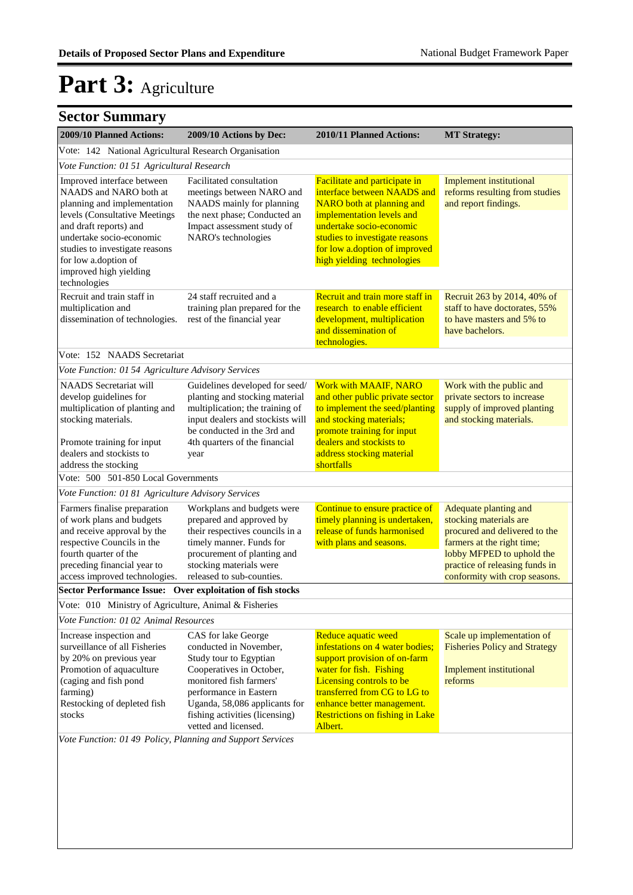| 2009/10 Planned Actions:                                                                                                                                                                                                                                                       | 2009/10 Actions by Dec:                                                                                                                                                                                      | 2010/11 Planned Actions:                                                                                                                                                               | <b>MT Strategy:</b>                                                                                                                                                                                            |
|--------------------------------------------------------------------------------------------------------------------------------------------------------------------------------------------------------------------------------------------------------------------------------|--------------------------------------------------------------------------------------------------------------------------------------------------------------------------------------------------------------|----------------------------------------------------------------------------------------------------------------------------------------------------------------------------------------|----------------------------------------------------------------------------------------------------------------------------------------------------------------------------------------------------------------|
| Vote: 142 National Agricultural Research Organisation                                                                                                                                                                                                                          |                                                                                                                                                                                                              |                                                                                                                                                                                        |                                                                                                                                                                                                                |
| Vote Function: 01 51 Agricultural Research                                                                                                                                                                                                                                     |                                                                                                                                                                                                              |                                                                                                                                                                                        |                                                                                                                                                                                                                |
| Improved interface between<br>NAADS and NARO both at<br>planning and implementation<br>levels (Consultative Meetings<br>and draft reports) and<br>undertake socio-economic<br>studies to investigate reasons<br>for low a.doption of<br>improved high yielding<br>technologies | Facilitated consultation<br>meetings between NARO and<br>NAADS mainly for planning<br>the next phase; Conducted an<br>Impact assessment study of<br>NARO's technologies                                      |                                                                                                                                                                                        | Implement institutional<br>reforms resulting from studies<br>and report findings.                                                                                                                              |
| Recruit and train staff in<br>multiplication and<br>dissemination of technologies.                                                                                                                                                                                             | 24 staff recruited and a<br>training plan prepared for the<br>rest of the financial year                                                                                                                     | Recruit and train more staff in<br>research to enable efficient<br>development, multiplication<br>and dissemination of<br>technologies.                                                | Recruit 263 by 2014, 40% of<br>staff to have doctorates, 55%<br>to have masters and 5% to<br>have bachelors.                                                                                                   |
| Vote: 152 NAADS Secretariat                                                                                                                                                                                                                                                    |                                                                                                                                                                                                              |                                                                                                                                                                                        |                                                                                                                                                                                                                |
| Vote Function: 01 54 Agriculture Advisory Services                                                                                                                                                                                                                             |                                                                                                                                                                                                              |                                                                                                                                                                                        |                                                                                                                                                                                                                |
| <b>NAADS</b> Secretariat will<br>develop guidelines for<br>multiplication of planting and<br>stocking materials.<br>Promote training for input                                                                                                                                 | Guidelines developed for seed/<br>planting and stocking material<br>multiplication; the training of<br>input dealers and stockists will<br>be conducted in the 3rd and<br>4th quarters of the financial      | <b>Work with MAAIF, NARO</b><br>and other public private sector<br>to implement the seed/planting<br>and stocking materials;<br>promote training for input<br>dealers and stockists to | Work with the public and<br>private sectors to increase<br>supply of improved planting<br>and stocking materials.                                                                                              |
| dealers and stockists to<br>address the stocking                                                                                                                                                                                                                               | year                                                                                                                                                                                                         | address stocking material<br>shortfalls                                                                                                                                                |                                                                                                                                                                                                                |
| Vote: 500 501-850 Local Governments                                                                                                                                                                                                                                            |                                                                                                                                                                                                              |                                                                                                                                                                                        |                                                                                                                                                                                                                |
| Vote Function: 01 81 Agriculture Advisory Services                                                                                                                                                                                                                             |                                                                                                                                                                                                              |                                                                                                                                                                                        |                                                                                                                                                                                                                |
| Farmers finalise preparation<br>of work plans and budgets<br>and receive approval by the<br>respective Councils in the<br>fourth quarter of the<br>preceding financial year to<br>access improved technologies.                                                                | Workplans and budgets were<br>prepared and approved by<br>their respectives councils in a<br>timely manner. Funds for<br>procurement of planting and<br>stocking materials were<br>released to sub-counties. | Continue to ensure practice of<br>timely planning is undertaken,<br>release of funds harmonised<br>with plans and seasons.                                                             | Adequate planting and<br>stocking materials are<br>procured and delivered to the<br>farmers at the right time;<br>lobby MFPED to uphold the<br>practice of releasing funds in<br>conformity with crop seasons. |
| Sector Performance Issue: Over exploitation of fish stocks                                                                                                                                                                                                                     |                                                                                                                                                                                                              |                                                                                                                                                                                        |                                                                                                                                                                                                                |
| Vote: 010 Ministry of Agriculture, Animal & Fisheries                                                                                                                                                                                                                          |                                                                                                                                                                                                              |                                                                                                                                                                                        |                                                                                                                                                                                                                |
| Vote Function: 01 02 Animal Resources                                                                                                                                                                                                                                          |                                                                                                                                                                                                              |                                                                                                                                                                                        |                                                                                                                                                                                                                |
| Increase inspection and<br>surveillance of all Fisheries<br>by 20% on previous year<br>Promotion of aquaculture<br>(caging and fish pond                                                                                                                                       | CAS for lake George<br>conducted in November,<br>Study tour to Egyptian<br>Cooperatives in October,<br>monitored fish farmers'                                                                               | Reduce aquatic weed<br>infestations on 4 water bodies;<br>support provision of on-farm<br>water for fish. Fishing<br>Licensing controls to be                                          | Scale up implementation of<br><b>Fisheries Policy and Strategy</b><br>Implement institutional<br>reforms                                                                                                       |
| farming)<br>Restocking of depleted fish<br>stocks                                                                                                                                                                                                                              | performance in Eastern<br>Uganda, 58,086 applicants for<br>fishing activities (licensing)<br>vetted and licensed.                                                                                            | transferred from CG to LG to<br>enhance better management.<br><b>Restrictions on fishing in Lake</b><br>Albert.                                                                        |                                                                                                                                                                                                                |
| Vote Function: 01 49 Policy, Planning and Support Services                                                                                                                                                                                                                     |                                                                                                                                                                                                              |                                                                                                                                                                                        |                                                                                                                                                                                                                |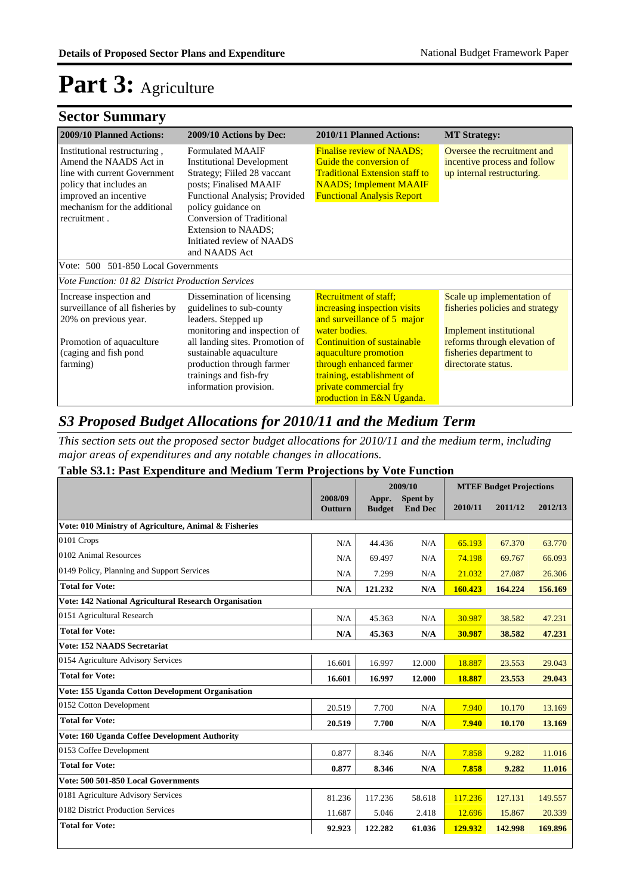### **Sector Summary**

| <b>2009/10 Planned Actions:</b>                                                                                                                                                                                                                                                                                                                                                                                                                                             | 2009/10 Actions by Dec:                                                                                       | 2010/11 Planned Actions:                                                                                                                                                    | <b>MT Strategy:</b>                                                                       |
|-----------------------------------------------------------------------------------------------------------------------------------------------------------------------------------------------------------------------------------------------------------------------------------------------------------------------------------------------------------------------------------------------------------------------------------------------------------------------------|---------------------------------------------------------------------------------------------------------------|-----------------------------------------------------------------------------------------------------------------------------------------------------------------------------|-------------------------------------------------------------------------------------------|
| <b>Formulated MAAIF</b><br>Institutional restructuring,<br>Amend the NAADS Act in<br><b>Institutional Development</b><br>Strategy; Fiiled 28 vaccant<br>line with current Government<br>posts; Finalised MAAIF<br>policy that includes an<br>improved an incentive<br>Functional Analysis; Provided<br>mechanism for the additional<br>policy guidance on<br>Conversion of Traditional<br>recruitment.<br>Extension to NAADS:<br>Initiated review of NAADS<br>and NAADS Act |                                                                                                               | <b>Finalise review of NAADS;</b><br>Guide the conversion of<br><b>Traditional Extension staff to</b><br><b>NAADS</b> ; Implement MAAIF<br><b>Functional Analysis Report</b> | Oversee the recruitment and<br>incentive process and follow<br>up internal restructuring. |
| Vote: 500 501-850 Local Governments                                                                                                                                                                                                                                                                                                                                                                                                                                         |                                                                                                               |                                                                                                                                                                             |                                                                                           |
| <i>Vote Function: 0182 District Production Services</i>                                                                                                                                                                                                                                                                                                                                                                                                                     |                                                                                                               |                                                                                                                                                                             |                                                                                           |
| Increase inspection and<br>surveillance of all fisheries by<br>20% on previous year.                                                                                                                                                                                                                                                                                                                                                                                        | Dissemination of licensing<br>guidelines to sub-county<br>leaders. Stepped up<br>monitoring and inspection of | <b>Recruitment of staff:</b><br>increasing inspection visits<br>and surveillance of 5 major<br>water bodies.                                                                | Scale up implementation of<br>fisheries policies and strategy<br>Implement institutional  |
| Promotion of aquaculture                                                                                                                                                                                                                                                                                                                                                                                                                                                    | all landing sites. Promotion of                                                                               | <b>Continuition of sustainable</b>                                                                                                                                          | reforms through elevation of                                                              |
| (caging and fish pond<br>farming)                                                                                                                                                                                                                                                                                                                                                                                                                                           | sustainable aquaculture<br>production through farmer                                                          | aquaculture promotion<br>through enhanced farmer                                                                                                                            | fisheries department to<br>directorate status.                                            |
|                                                                                                                                                                                                                                                                                                                                                                                                                                                                             | trainings and fish-fry                                                                                        | training, establishment of                                                                                                                                                  |                                                                                           |
|                                                                                                                                                                                                                                                                                                                                                                                                                                                                             | information provision.                                                                                        | private commercial fry                                                                                                                                                      |                                                                                           |
|                                                                                                                                                                                                                                                                                                                                                                                                                                                                             |                                                                                                               | production in E&N Uganda.                                                                                                                                                   |                                                                                           |

#### *S3 Proposed Budget Allocations for 2010/11 and the Medium Term*

*This section sets out the proposed sector budget allocations for 2010/11 and the medium term, including major areas of expenditures and any notable changes in allocations.* 

#### **Table S3.1: Past Expenditure and Medium Term Projections by Vote Function**

|                                                              |                    | 2009/10                |                            | <b>MTEF Budget Projections</b> |         |         |
|--------------------------------------------------------------|--------------------|------------------------|----------------------------|--------------------------------|---------|---------|
|                                                              | 2008/09<br>Outturn | Appr.<br><b>Budget</b> | Spent by<br><b>End Dec</b> | 2010/11                        | 2011/12 | 2012/13 |
| Vote: 010 Ministry of Agriculture, Animal & Fisheries        |                    |                        |                            |                                |         |         |
| 0101 Crops                                                   | N/A                | 44.436                 | N/A                        | 65.193                         | 67.370  | 63.770  |
| 0102 Animal Resources                                        | N/A                | 69.497                 | N/A                        | 74.198                         | 69.767  | 66.093  |
| 0149 Policy, Planning and Support Services                   | N/A                | 7.299                  | N/A                        | 21.032                         | 27.087  | 26.306  |
| <b>Total for Vote:</b>                                       | N/A                | 121.232                | N/A                        | 160.423                        | 164.224 | 156.169 |
| <b>Vote: 142 National Agricultural Research Organisation</b> |                    |                        |                            |                                |         |         |
| 0151 Agricultural Research                                   | N/A                | 45.363                 | N/A                        | 30.987                         | 38.582  | 47.231  |
| <b>Total for Vote:</b>                                       | N/A                | 45.363                 | N/A                        | 30.987                         | 38.582  | 47.231  |
| <b>Vote: 152 NAADS Secretariat</b>                           |                    |                        |                            |                                |         |         |
| 0154 Agriculture Advisory Services                           | 16.601             | 16.997                 | 12.000                     | 18.887                         | 23.553  | 29.043  |
| <b>Total for Vote:</b>                                       | 16.601             | 16.997                 | 12.000                     | 18.887                         | 23.553  | 29.043  |
| Vote: 155 Uganda Cotton Development Organisation             |                    |                        |                            |                                |         |         |
| 0152 Cotton Development                                      | 20.519             | 7.700                  | N/A                        | 7.940                          | 10.170  | 13.169  |
| <b>Total for Vote:</b>                                       | 20.519             | 7.700                  | N/A                        | 7.940                          | 10.170  | 13.169  |
| Vote: 160 Uganda Coffee Development Authority                |                    |                        |                            |                                |         |         |
| 0153 Coffee Development                                      | 0.877              | 8.346                  | N/A                        | 7.858                          | 9.282   | 11.016  |
| <b>Total for Vote:</b>                                       | 0.877              | 8.346                  | N/A                        | 7.858                          | 9.282   | 11.016  |
| Vote: 500 501-850 Local Governments                          |                    |                        |                            |                                |         |         |
| 0181 Agriculture Advisory Services                           | 81.236             | 117.236                | 58.618                     | 117.236                        | 127.131 | 149.557 |
| 0182 District Production Services                            | 11.687             | 5.046                  | 2.418                      | 12.696                         | 15.867  | 20.339  |
| <b>Total for Vote:</b>                                       | 92.923             | 122.282                | 61.036                     | 129.932                        | 142.998 | 169.896 |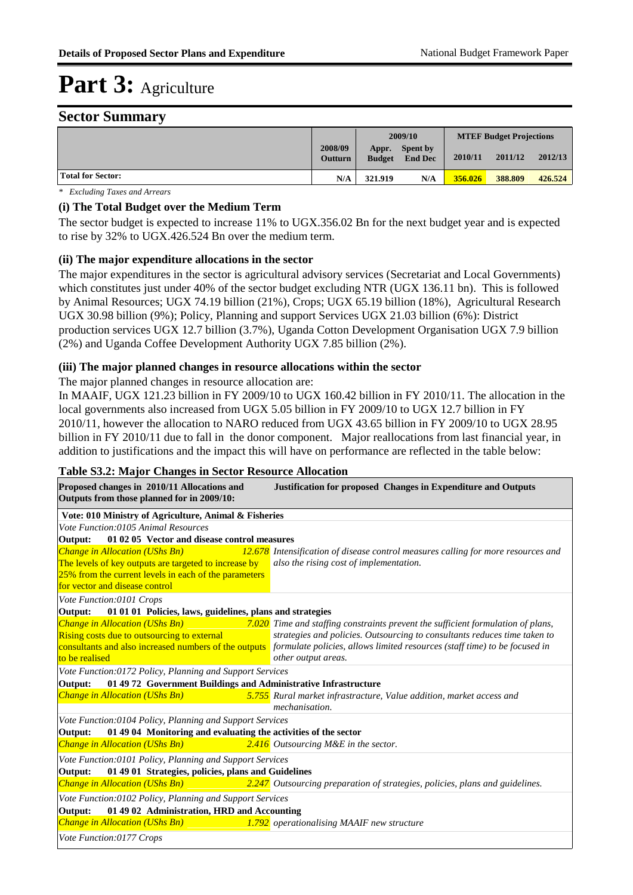#### **Sector Summary**

|                          |                    | 2009/10                |                                   | <b>MTEF Budget Projections</b> |         |         |
|--------------------------|--------------------|------------------------|-----------------------------------|--------------------------------|---------|---------|
|                          | 2008/09<br>Outturn | Appr.<br><b>Budget</b> | <b>Spent by</b><br><b>End Dec</b> | 2010/11                        | 2011/12 | 2012/13 |
| <b>Total for Sector:</b> | N/A                | 321.919                | N/A                               | 356,026                        | 388.809 | 426.524 |

*\* Excluding Taxes and Arrears*

#### **(i) The Total Budget over the Medium Term**

The sector budget is expected to increase 11% to UGX.356.02 Bn for the next budget year and is expected to rise by 32% to UGX.426.524 Bn over the medium term.

#### **(ii) The major expenditure allocations in the sector**

The major expenditures in the sector is agricultural advisory services (Secretariat and Local Governments) which constitutes just under 40% of the sector budget excluding NTR (UGX 136.11 bn). This is followed by Animal Resources; UGX 74.19 billion (21%), Crops; UGX 65.19 billion (18%), Agricultural Research UGX 30.98 billion (9%); Policy, Planning and support Services UGX 21.03 billion (6%): District production services UGX 12.7 billion (3.7%), Uganda Cotton Development Organisation UGX 7.9 billion (2%) and Uganda Coffee Development Authority UGX 7.85 billion (2%).

#### **(iii) The major planned changes in resource allocations within the sector**

The major planned changes in resource allocation are:

In MAAIF, UGX 121.23 billion in FY 2009/10 to UGX 160.42 billion in FY 2010/11. The allocation in the local governments also increased from UGX 5.05 billion in FY 2009/10 to UGX 12.7 billion in FY 2010/11, however the allocation to NARO reduced from UGX 43.65 billion in FY 2009/10 to UGX 28.95 billion in FY 2010/11 due to fall in the donor component. Major reallocations from last financial year, in addition to justifications and the impact this will have on performance are reflected in the table below:

| Proposed changes in 2010/11 Allocations and<br>Outputs from those planned for in 2009/10:                                                        | <b>Justification for proposed Changes in Expenditure and Outputs</b>                                                             |  |  |  |  |  |  |
|--------------------------------------------------------------------------------------------------------------------------------------------------|----------------------------------------------------------------------------------------------------------------------------------|--|--|--|--|--|--|
| Vote: 010 Ministry of Agriculture, Animal & Fisheries                                                                                            |                                                                                                                                  |  |  |  |  |  |  |
| Vote Function:0105 Animal Resources                                                                                                              |                                                                                                                                  |  |  |  |  |  |  |
| 01 02 05 Vector and disease control measures<br>Output:                                                                                          |                                                                                                                                  |  |  |  |  |  |  |
| Change in Allocation (UShs Bn)<br>and the state of the state of the state of the state of the state of the state of the state of the state of th | 12.678 Intensification of disease control measures calling for more resources and                                                |  |  |  |  |  |  |
| The levels of key outputs are targeted to increase by                                                                                            | also the rising cost of implementation.                                                                                          |  |  |  |  |  |  |
| 25% from the current levels in each of the parameters                                                                                            |                                                                                                                                  |  |  |  |  |  |  |
| for vector and disease control                                                                                                                   |                                                                                                                                  |  |  |  |  |  |  |
| Vote Function:0101 Crops                                                                                                                         |                                                                                                                                  |  |  |  |  |  |  |
| Output:<br>01 01 01 Policies, laws, guidelines, plans and strategies                                                                             |                                                                                                                                  |  |  |  |  |  |  |
| Change in Allocation (UShs Bn)                                                                                                                   | 7.020 Time and staffing constraints prevent the sufficient formulation of plans,                                                 |  |  |  |  |  |  |
| <b>Rising costs due to outsourcing to external</b>                                                                                               | strategies and policies. Outsourcing to consultants reduces time taken to                                                        |  |  |  |  |  |  |
|                                                                                                                                                  | consultants and also increased numbers of the outputs formulate policies, allows limited resources (staff time) to be focused in |  |  |  |  |  |  |
| to be realised                                                                                                                                   | other output areas.                                                                                                              |  |  |  |  |  |  |
| Vote Function:0172 Policy, Planning and Support Services                                                                                         |                                                                                                                                  |  |  |  |  |  |  |
| 01 49 72 Government Buildings and Administrative Infrastructure<br>Output:                                                                       |                                                                                                                                  |  |  |  |  |  |  |
| <b>Change in Allocation (UShs Bn)</b>                                                                                                            | 5.755 Rural market infrastracture, Value addition, market access and                                                             |  |  |  |  |  |  |
|                                                                                                                                                  | mechanisation.                                                                                                                   |  |  |  |  |  |  |
| Vote Function:0104 Policy, Planning and Support Services                                                                                         |                                                                                                                                  |  |  |  |  |  |  |
| 01 49 04 Monitoring and evaluating the activities of the sector<br>Output:                                                                       |                                                                                                                                  |  |  |  |  |  |  |
| <b>Change in Allocation (UShs Bn)</b>                                                                                                            | $2.416$ Outsourcing M&E in the sector.                                                                                           |  |  |  |  |  |  |
| Vote Function:0101 Policy, Planning and Support Services                                                                                         |                                                                                                                                  |  |  |  |  |  |  |
| 01 49 01 Strategies, policies, plans and Guidelines<br>Output:                                                                                   |                                                                                                                                  |  |  |  |  |  |  |
|                                                                                                                                                  | <b>Change in Allocation (UShs Bn)</b> 2.247 Outsourcing preparation of strategies, policies, plans and guidelines.               |  |  |  |  |  |  |
| Vote Function:0102 Policy, Planning and Support Services                                                                                         |                                                                                                                                  |  |  |  |  |  |  |
| 01 49 02 Administration, HRD and Accounting<br>Output:                                                                                           |                                                                                                                                  |  |  |  |  |  |  |
| <b>Change in Allocation (UShs Bn)</b>                                                                                                            | 1.792 operationalising MAAIF new structure                                                                                       |  |  |  |  |  |  |
| Vote Function:0177 Crops                                                                                                                         |                                                                                                                                  |  |  |  |  |  |  |

#### **Table S3.2: Major Changes in Sector Resource Allocation**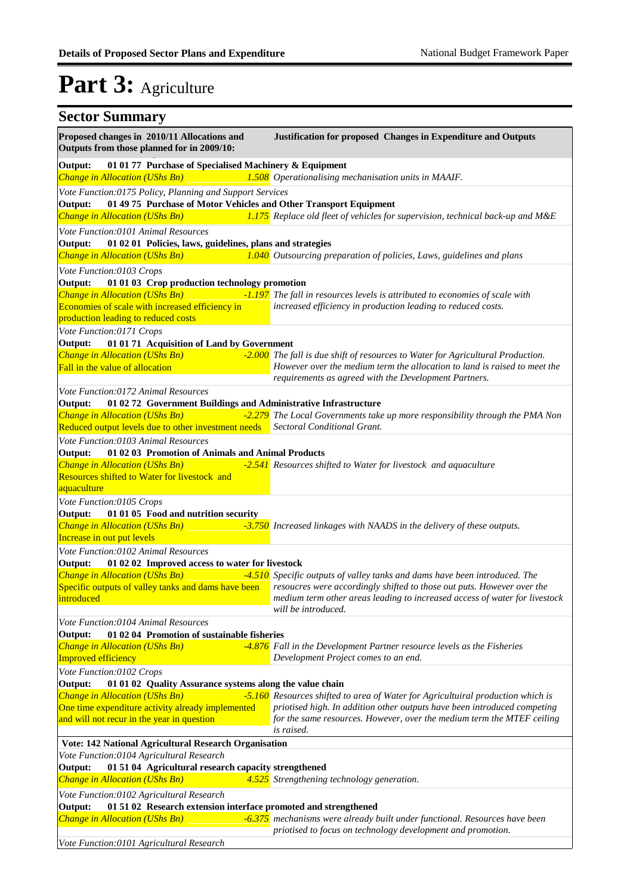| <b>Sector Summary</b>                                                                                                                                                                                            |                                                                                                                                                                                                                                                           |
|------------------------------------------------------------------------------------------------------------------------------------------------------------------------------------------------------------------|-----------------------------------------------------------------------------------------------------------------------------------------------------------------------------------------------------------------------------------------------------------|
| Proposed changes in 2010/11 Allocations and<br>Outputs from those planned for in 2009/10:                                                                                                                        | Justification for proposed Changes in Expenditure and Outputs                                                                                                                                                                                             |
| 01 01 77 Purchase of Specialised Machinery & Equipment<br>Output:<br>Change in Allocation (UShs Bn)                                                                                                              | 1.508 Operationalising mechanisation units in MAAIF.                                                                                                                                                                                                      |
| Vote Function:0175 Policy, Planning and Support Services<br>01 49 75 Purchase of Motor Vehicles and Other Transport Equipment<br>Output:<br>Change in Allocation (UShs Bn)                                       | 1.175 Replace old fleet of vehicles for supervision, technical back-up and M&E                                                                                                                                                                            |
| Vote Function:0101 Animal Resources<br>01 02 01 Policies, laws, guidelines, plans and strategies<br>Output:                                                                                                      |                                                                                                                                                                                                                                                           |
| Change in Allocation (UShs Bn)                                                                                                                                                                                   | 1.040 Outsourcing preparation of policies, Laws, guidelines and plans                                                                                                                                                                                     |
| Vote Function:0103 Crops<br>Output:<br>01 01 03 Crop production technology promotion<br>Change in Allocation (UShs Bn)<br>Economies of scale with increased efficiency in<br>production leading to reduced costs | -1.197 The fall in resources levels is attributed to economies of scale with<br>increased efficiency in production leading to reduced costs.                                                                                                              |
| Vote Function:0171 Crops<br>Output:<br>01 01 71 Acquisition of Land by Government<br>Change in Allocation (UShs Bn)<br>Fall in the value of allocation                                                           | -2.000 The fall is due shift of resources to Water for Agricultural Production.<br>However over the medium term the allocation to land is raised to meet the                                                                                              |
| Vote Function:0172 Animal Resources<br>01 02 72 Government Buildings and Administrative Infrastructure<br>Output:                                                                                                | requirements as agreed with the Development Partners.                                                                                                                                                                                                     |
| Change in Allocation (UShs Bn)<br>Reduced output levels due to other investment needs Sectoral Conditional Grant.                                                                                                | -2.279 The Local Governments take up more responsibility through the PMA Non                                                                                                                                                                              |
| Vote Function:0103 Animal Resources<br>Output:<br>01 02 03 Promotion of Animals and Animal Products<br>Change in Allocation (UShs Bn)<br>Resources shifted to Water for livestock and<br>aquaculture             | -2.541 Resources shifted to Water for livestock and aquaculture                                                                                                                                                                                           |
| Vote Function:0105 Crops<br>Output:<br>01 01 05 Food and nutrition security<br>Change in Allocation (UShs Bn)<br>Increase in out put levels                                                                      | -3.750 Increased linkages with NAADS in the delivery of these outputs.                                                                                                                                                                                    |
| Vote Function:0102 Animal Resources<br>Output:<br>01 02 02 Improved access to water for livestock<br>Change in Allocation (UShs Bn)<br>Specific outputs of valley tanks and dams have been<br>introduced         | -4.510 Specific outputs of valley tanks and dams have been introduced. The<br>resoucres were accordingly shifted to those out puts. However over the<br>medium term other areas leading to increased access of water for livestock<br>will be introduced. |
| Vote Function:0104 Animal Resources<br>Output:<br>01 02 04 Promotion of sustainable fisheries<br>Change in Allocation (UShs Bn)<br>Improved efficiency                                                           | -4.876 Fall in the Development Partner resource levels as the Fisheries<br>Development Project comes to an end.                                                                                                                                           |
| Vote Function:0102 Crops<br>Output:<br>01 01 02 Quality Assurance systems along the value chain                                                                                                                  |                                                                                                                                                                                                                                                           |
| Change in Allocation (UShs Bn)<br>One time expenditure activity already implemented<br>and will not recur in the year in question                                                                                | -5.160 Resources shifted to area of Water for Agricultuiral production which is<br>priotised high. In addition other outputs have been introduced competing<br>for the same resources. However, over the medium term the MTEF ceiling<br>is raised.       |
| Vote: 142 National Agricultural Research Organisation<br>Vote Function:0104 Agricultural Research<br>01 51 04 Agricultural research capacity strengthened<br>Output:                                             |                                                                                                                                                                                                                                                           |
| Change in Allocation (UShs Bn)                                                                                                                                                                                   | 4.525 Strengthening technology generation.                                                                                                                                                                                                                |
| Vote Function:0102 Agricultural Research<br>01 51 02 Research extension interface promoted and strengthened<br>Output:                                                                                           |                                                                                                                                                                                                                                                           |
| Change in Allocation (UShs Bn)                                                                                                                                                                                   | -6.375 mechanisms were already built under functional. Resources have been<br>priotised to focus on technology development and promotion.                                                                                                                 |
| Vote Function:0101 Agricultural Research                                                                                                                                                                         |                                                                                                                                                                                                                                                           |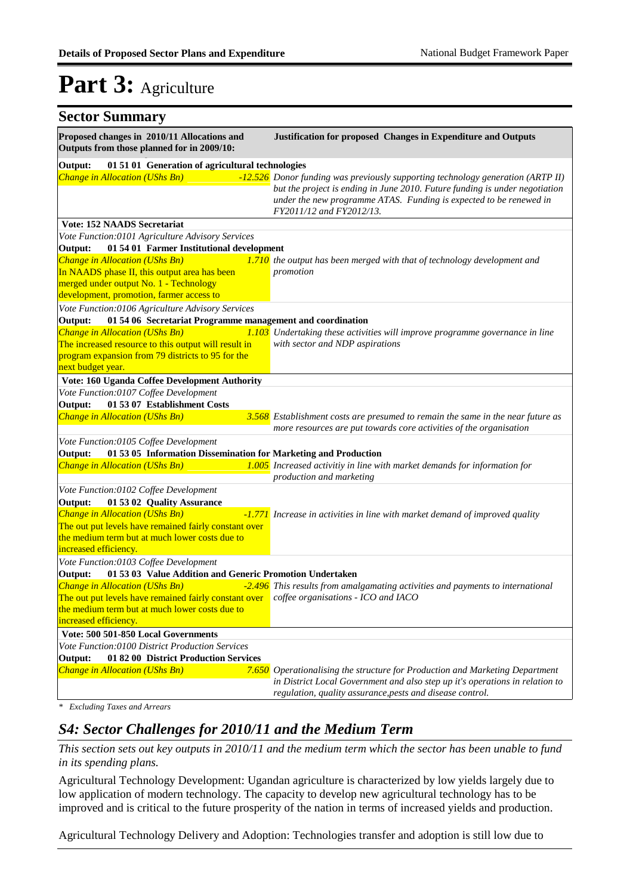| <b>Sector Summary</b>                                                                                                            |                                                                                                                                                                                                                                                                  |
|----------------------------------------------------------------------------------------------------------------------------------|------------------------------------------------------------------------------------------------------------------------------------------------------------------------------------------------------------------------------------------------------------------|
| Proposed changes in 2010/11 Allocations and<br>Outputs from those planned for in 2009/10:                                        | Justification for proposed Changes in Expenditure and Outputs                                                                                                                                                                                                    |
| 01 51 01 Generation of agricultural technologies<br>Output:                                                                      |                                                                                                                                                                                                                                                                  |
| Change in Allocation (UShs Bn)                                                                                                   | -12.526 Donor funding was previously supporting technology generation (ARTP II)<br>but the project is ending in June 2010. Future funding is under negotiation<br>under the new programme ATAS. Funding is expected to be renewed in<br>FY2011/12 and FY2012/13. |
| <b>Vote: 152 NAADS Secretariat</b>                                                                                               |                                                                                                                                                                                                                                                                  |
| Vote Function:0101 Agriculture Advisory Services                                                                                 |                                                                                                                                                                                                                                                                  |
| 01 54 01 Farmer Institutional development<br>Output:                                                                             |                                                                                                                                                                                                                                                                  |
| Change in Allocation (UShs Bn)                                                                                                   | 1.710 the output has been merged with that of technology development and                                                                                                                                                                                         |
| In NAADS phase II, this output area has been                                                                                     | promotion                                                                                                                                                                                                                                                        |
| merged under output No. 1 - Technology<br>development, promotion, farmer access to                                               |                                                                                                                                                                                                                                                                  |
| Vote Function:0106 Agriculture Advisory Services                                                                                 |                                                                                                                                                                                                                                                                  |
| 01 54 06 Secretariat Programme management and coordination<br>Output:                                                            |                                                                                                                                                                                                                                                                  |
| <b>Change in Allocation (UShs Bn)</b>                                                                                            | 1.103 Undertaking these activities will improve programme governance in line                                                                                                                                                                                     |
| The increased resource to this output will result in                                                                             | with sector and NDP aspirations                                                                                                                                                                                                                                  |
| program expansion from 79 districts to 95 for the                                                                                |                                                                                                                                                                                                                                                                  |
| next budget year.                                                                                                                |                                                                                                                                                                                                                                                                  |
| Vote: 160 Uganda Coffee Development Authority                                                                                    |                                                                                                                                                                                                                                                                  |
| Vote Function:0107 Coffee Development                                                                                            |                                                                                                                                                                                                                                                                  |
| Output:<br>01 53 07 Establishment Costs                                                                                          |                                                                                                                                                                                                                                                                  |
| <b>Change in Allocation (UShs Bn)</b>                                                                                            | 3.568 Establishment costs are presumed to remain the same in the near future as<br>more resources are put towards core activities of the organisation                                                                                                            |
| Vote Function:0105 Coffee Development                                                                                            |                                                                                                                                                                                                                                                                  |
| 01 53 05 Information Dissemination for Marketing and Production<br>Output:                                                       |                                                                                                                                                                                                                                                                  |
| Change in Allocation (UShs Bn)                                                                                                   | 1.005 Increased activitiy in line with market demands for information for<br>production and marketing                                                                                                                                                            |
| Vote Function:0102 Coffee Development                                                                                            |                                                                                                                                                                                                                                                                  |
| Output:<br>01 53 02 Quality Assurance                                                                                            |                                                                                                                                                                                                                                                                  |
| Change in Allocation (UShs Bn)                                                                                                   | -1.771 Increase in activities in line with market demand of improved quality                                                                                                                                                                                     |
| The out put levels have remained fairly constant over<br>the medium term but at much lower costs due to<br>increased efficiency. |                                                                                                                                                                                                                                                                  |
| Vote Function:0103 Coffee Development                                                                                            |                                                                                                                                                                                                                                                                  |
| Output: 01 53 03 Value Addition and Generic Promotion Undertaken                                                                 |                                                                                                                                                                                                                                                                  |
|                                                                                                                                  | <b>Change in Allocation (UShs Bn)</b> $-2.496$ This results from amalgamating activities and payments to international                                                                                                                                           |
| The out put levels have remained fairly constant over coffee organisations - ICO and IACO                                        |                                                                                                                                                                                                                                                                  |
| the medium term but at much lower costs due to<br>increased efficiency.                                                          |                                                                                                                                                                                                                                                                  |
| Vote: 500 501-850 Local Governments                                                                                              |                                                                                                                                                                                                                                                                  |
| Vote Function: 0100 District Production Services                                                                                 |                                                                                                                                                                                                                                                                  |
| Output:<br>01 82 00 District Production Services                                                                                 |                                                                                                                                                                                                                                                                  |
| <b>Change in Allocation (UShs Bn)</b>                                                                                            | 7.650 Operationalising the structure for Production and Marketing Department                                                                                                                                                                                     |
|                                                                                                                                  | in District Local Government and also step up it's operations in relation to                                                                                                                                                                                     |
|                                                                                                                                  | regulation, quality assurance, pests and disease control.                                                                                                                                                                                                        |
| $\ast$<br><b>Excluding Taxes and Arrears</b>                                                                                     |                                                                                                                                                                                                                                                                  |

#### *S4: Sector Challenges for 2010/11 and the Medium Term*

*This section sets out key outputs in 2010/11 and the medium term which the sector has been unable to fund in its spending plans.*

Agricultural Technology Development: Ugandan agriculture is characterized by low yields largely due to low application of modern technology. The capacity to develop new agricultural technology has to be improved and is critical to the future prosperity of the nation in terms of increased yields and production.

Agricultural Technology Delivery and Adoption: Technologies transfer and adoption is still low due to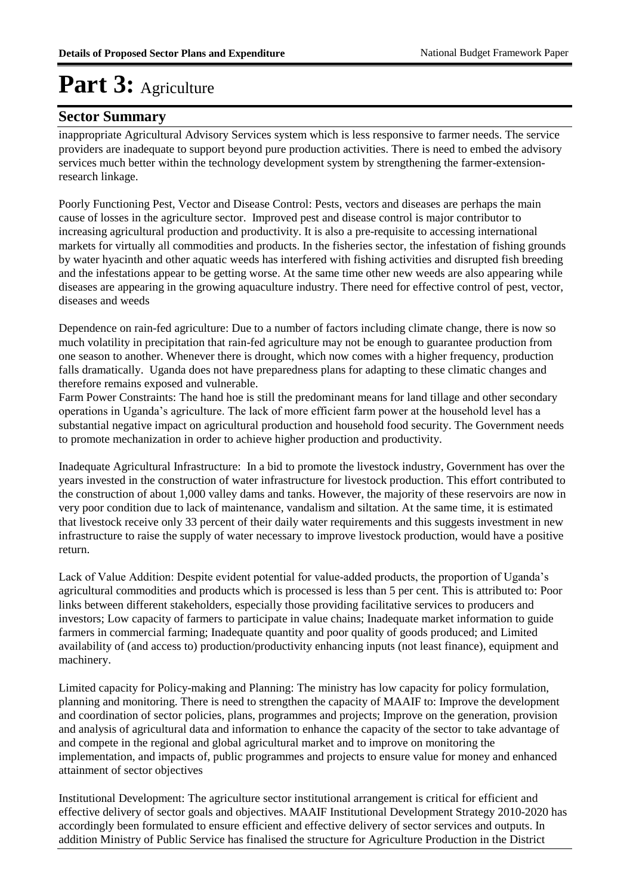#### **Sector Summary**

inappropriate Agricultural Advisory Services system which is less responsive to farmer needs. The service providers are inadequate to support beyond pure production activities. There is need to embed the advisory services much better within the technology development system by strengthening the farmer-extensionresearch linkage.

Poorly Functioning Pest, Vector and Disease Control: Pests, vectors and diseases are perhaps the main cause of losses in the agriculture sector. Improved pest and disease control is major contributor to increasing agricultural production and productivity. It is also a pre-requisite to accessing international markets for virtually all commodities and products. In the fisheries sector, the infestation of fishing grounds by water hyacinth and other aquatic weeds has interfered with fishing activities and disrupted fish breeding and the infestations appear to be getting worse. At the same time other new weeds are also appearing while diseases are appearing in the growing aquaculture industry. There need for effective control of pest, vector, diseases and weeds

Dependence on rain-fed agriculture: Due to a number of factors including climate change, there is now so much volatility in precipitation that rain-fed agriculture may not be enough to guarantee production from one season to another. Whenever there is drought, which now comes with a higher frequency, production falls dramatically. Uganda does not have preparedness plans for adapting to these climatic changes and therefore remains exposed and vulnerable.

Farm Power Constraints: The hand hoe is still the predominant means for land tillage and other secondary operations in Uganda's agriculture. The lack of more efficient farm power at the household level has a substantial negative impact on agricultural production and household food security. The Government needs to promote mechanization in order to achieve higher production and productivity.

Inadequate Agricultural Infrastructure: In a bid to promote the livestock industry, Government has over the years invested in the construction of water infrastructure for livestock production. This effort contributed to the construction of about 1,000 valley dams and tanks. However, the majority of these reservoirs are now in very poor condition due to lack of maintenance, vandalism and siltation. At the same time, it is estimated that livestock receive only 33 percent of their daily water requirements and this suggests investment in new infrastructure to raise the supply of water necessary to improve livestock production, would have a positive return.

Lack of Value Addition: Despite evident potential for value-added products, the proportion of Uganda's agricultural commodities and products which is processed is less than 5 per cent. This is attributed to: Poor links between different stakeholders, especially those providing facilitative services to producers and investors; Low capacity of farmers to participate in value chains; Inadequate market information to guide farmers in commercial farming; Inadequate quantity and poor quality of goods produced; and Limited availability of (and access to) production/productivity enhancing inputs (not least finance), equipment and machinery.

Limited capacity for Policy-making and Planning: The ministry has low capacity for policy formulation, planning and monitoring. There is need to strengthen the capacity of MAAIF to: Improve the development and coordination of sector policies, plans, programmes and projects; Improve on the generation, provision and analysis of agricultural data and information to enhance the capacity of the sector to take advantage of and compete in the regional and global agricultural market and to improve on monitoring the implementation, and impacts of, public programmes and projects to ensure value for money and enhanced attainment of sector objectives

Institutional Development: The agriculture sector institutional arrangement is critical for efficient and effective delivery of sector goals and objectives. MAAIF Institutional Development Strategy 2010-2020 has accordingly been formulated to ensure efficient and effective delivery of sector services and outputs. In addition Ministry of Public Service has finalised the structure for Agriculture Production in the District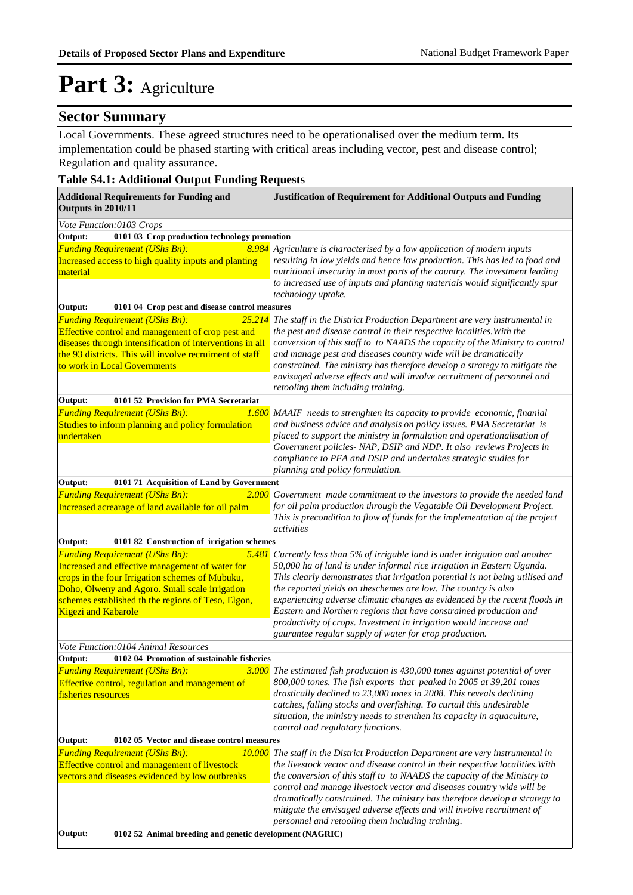#### **Sector Summary**

Local Governments. These agreed structures need to be operationalised over the medium term. Its implementation could be phased starting with critical areas including vector, pest and disease control; Regulation and quality assurance.

#### **Table S4.1: Additional Output Funding Requests**

| <b>Additional Requirements for Funding and</b><br>Outputs in 2010/11                                                                                                                                                                                                              | <b>Justification of Requirement for Additional Outputs and Funding</b>                                                                                                                                                                                                                                                                                                                                                                                                                                                                                                                           |
|-----------------------------------------------------------------------------------------------------------------------------------------------------------------------------------------------------------------------------------------------------------------------------------|--------------------------------------------------------------------------------------------------------------------------------------------------------------------------------------------------------------------------------------------------------------------------------------------------------------------------------------------------------------------------------------------------------------------------------------------------------------------------------------------------------------------------------------------------------------------------------------------------|
| Vote Function:0103 Crops                                                                                                                                                                                                                                                          |                                                                                                                                                                                                                                                                                                                                                                                                                                                                                                                                                                                                  |
| 0101 03 Crop production technology promotion<br>Output:                                                                                                                                                                                                                           |                                                                                                                                                                                                                                                                                                                                                                                                                                                                                                                                                                                                  |
| <b>Funding Requirement (UShs Bn):</b><br>Increased access to high quality inputs and planting<br>material                                                                                                                                                                         | 8.984 Agriculture is characterised by a low application of modern inputs<br>resulting in low yields and hence low production. This has led to food and<br>nutritional insecurity in most parts of the country. The investment leading<br>to increased use of inputs and planting materials would significantly spur<br>technology uptake.                                                                                                                                                                                                                                                        |
| Output:<br>0101 04 Crop pest and disease control measures                                                                                                                                                                                                                         |                                                                                                                                                                                                                                                                                                                                                                                                                                                                                                                                                                                                  |
| <b>Funding Requirement (UShs Bn):</b><br>25.214<br>Effective control and management of crop pest and<br>diseases through intensification of interventions in all<br>the 93 districts. This will involve recruiment of staff<br>to work in Local Governments                       | The staff in the District Production Department are very instrumental in<br>the pest and disease control in their respective localities. With the<br>conversion of this staff to to NAADS the capacity of the Ministry to control<br>and manage pest and diseases country wide will be dramatically<br>constrained. The ministry has therefore develop a strategy to mitigate the<br>envisaged adverse effects and will involve recruitment of personnel and<br>retooling them including training.                                                                                               |
| Output:<br>0101 52 Provision for PMA Secretariat                                                                                                                                                                                                                                  |                                                                                                                                                                                                                                                                                                                                                                                                                                                                                                                                                                                                  |
| <b>Funding Requirement (UShs Bn):</b><br>1.600<br>Studies to inform planning and policy formulation<br>undertaken                                                                                                                                                                 | MAAIF needs to strenghten its capacity to provide economic, finanial<br>and business advice and analysis on policy issues. PMA Secretariat is<br>placed to support the ministry in formulation and operationalisation of<br>Government policies- NAP, DSIP and NDP. It also reviews Projects in<br>compliance to PFA and DSIP and undertakes strategic studies for<br>planning and policy formulation.                                                                                                                                                                                           |
| Output:<br>0101 71 Acquisition of Land by Government                                                                                                                                                                                                                              |                                                                                                                                                                                                                                                                                                                                                                                                                                                                                                                                                                                                  |
| <b>Funding Requirement (UShs Bn):</b><br>Increased acrearage of land available for oil palm                                                                                                                                                                                       | <b>2.000</b> Government made commitment to the investors to provide the needed land<br>for oil palm production through the Vegatable Oil Development Project.<br>This is precondition to flow of funds for the implementation of the project<br>activities                                                                                                                                                                                                                                                                                                                                       |
| Output:<br>0101 82 Construction of irrigation schemes                                                                                                                                                                                                                             |                                                                                                                                                                                                                                                                                                                                                                                                                                                                                                                                                                                                  |
| <b>Funding Requirement (UShs Bn):</b><br>Increased and effective management of water for<br>crops in the four Irrigation schemes of Mubuku,<br>Doho, Olweny and Agoro. Small scale irrigation<br>schemes established th the regions of Teso, Elgon,<br><b>Kigezi and Kabarole</b> | $5.481$ Currently less than 5% of irrigable land is under irrigation and another<br>50,000 ha of land is under informal rice irrigation in Eastern Uganda.<br>This clearly demonstrates that irrigation potential is not being utilised and<br>the reported yields on theschemes are low. The country is also<br>experiencing adverse climatic changes as evidenced by the recent floods in<br>Eastern and Northern regions that have constrained production and<br>productivity of crops. Investment in irrigation would increase and<br>gaurantee regular supply of water for crop production. |
| Vote Function:0104 Animal Resources                                                                                                                                                                                                                                               |                                                                                                                                                                                                                                                                                                                                                                                                                                                                                                                                                                                                  |
| 0102 04 Promotion of sustainable fisheries<br>Output:                                                                                                                                                                                                                             |                                                                                                                                                                                                                                                                                                                                                                                                                                                                                                                                                                                                  |
| <b>Funding Requirement (UShs Bn):</b><br>Effective control, regulation and management of<br>fisheries resources                                                                                                                                                                   | 3.000 The estimated fish production is 430,000 tones against potential of over<br>800,000 tones. The fish exports that peaked in 2005 at 39,201 tones<br>drastically declined to 23,000 tones in 2008. This reveals declining<br>catches, falling stocks and overfishing. To curtail this undesirable<br>situation, the ministry needs to strenthen its capacity in aquaculture,<br>control and regulatory functions.                                                                                                                                                                            |
| Output:<br>0102 05 Vector and disease control measures                                                                                                                                                                                                                            |                                                                                                                                                                                                                                                                                                                                                                                                                                                                                                                                                                                                  |
| <b>Funding Requirement (UShs Bn):</b><br>Effective control and management of livestock<br>vectors and diseases evidenced by low outbreaks                                                                                                                                         | 10.000 The staff in the District Production Department are very instrumental in<br>the livestock vector and disease control in their respective localities. With<br>the conversion of this staff to to NAADS the capacity of the Ministry to<br>control and manage livestock vector and diseases country wide will be<br>dramatically constrained. The ministry has therefore develop a strategy to<br>mitigate the envisaged adverse effects and will involve recruitment of<br>personnel and retooling them including training.                                                                |
| 0102 52 Animal breeding and genetic development (NAGRIC)<br>Output:                                                                                                                                                                                                               |                                                                                                                                                                                                                                                                                                                                                                                                                                                                                                                                                                                                  |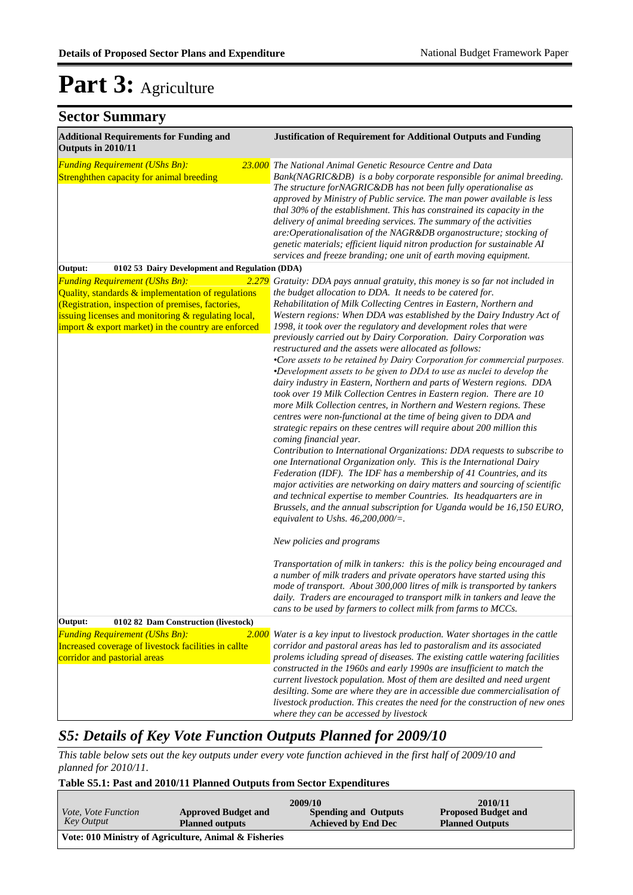| <b>Sector Summary</b>                                                                                                                                                                                                                                                   |                                                                                                                                                                                                                                                                                                                                                                                                                                                                                                                                                                                                                                                                                                                                                                                                                                                                                                                                                                                                                                                                                                                                                                                                                                                                                                                                                                                                                                                                                                                                                               |
|-------------------------------------------------------------------------------------------------------------------------------------------------------------------------------------------------------------------------------------------------------------------------|---------------------------------------------------------------------------------------------------------------------------------------------------------------------------------------------------------------------------------------------------------------------------------------------------------------------------------------------------------------------------------------------------------------------------------------------------------------------------------------------------------------------------------------------------------------------------------------------------------------------------------------------------------------------------------------------------------------------------------------------------------------------------------------------------------------------------------------------------------------------------------------------------------------------------------------------------------------------------------------------------------------------------------------------------------------------------------------------------------------------------------------------------------------------------------------------------------------------------------------------------------------------------------------------------------------------------------------------------------------------------------------------------------------------------------------------------------------------------------------------------------------------------------------------------------------|
| <b>Additional Requirements for Funding and</b><br>Outputs in 2010/11                                                                                                                                                                                                    | <b>Justification of Requirement for Additional Outputs and Funding</b>                                                                                                                                                                                                                                                                                                                                                                                                                                                                                                                                                                                                                                                                                                                                                                                                                                                                                                                                                                                                                                                                                                                                                                                                                                                                                                                                                                                                                                                                                        |
| <b>Funding Requirement (UShs Bn):</b><br>Strenghthen capacity for animal breeding                                                                                                                                                                                       | 23.000 The National Animal Genetic Resource Centre and Data<br>Bank(NAGRIC&DB) is a boby corporate responsible for animal breeding.<br>The structure forNAGRIC&DB has not been fully operationalise as<br>approved by Ministry of Public service. The man power available is less<br>thal 30% of the establishment. This has constrained its capacity in the<br>delivery of animal breeding services. The summary of the activities<br>are:Operationalisation of the NAGR&DB organostructure; stocking of<br>genetic materials; efficient liquid nitron production for sustainable AI<br>services and freeze branding; one unit of earth moving equipment.                                                                                                                                                                                                                                                                                                                                                                                                                                                                                                                                                                                                                                                                                                                                                                                                                                                                                                    |
| Output:<br>0102 53 Dairy Development and Regulation (DDA)                                                                                                                                                                                                               |                                                                                                                                                                                                                                                                                                                                                                                                                                                                                                                                                                                                                                                                                                                                                                                                                                                                                                                                                                                                                                                                                                                                                                                                                                                                                                                                                                                                                                                                                                                                                               |
| 2.279<br><b>Funding Requirement (UShs Bn):</b><br>Quality, standards & implementation of regulations<br>(Registration, inspection of premises, factories,<br>issuing licenses and monitoring & regulating local,<br>import & export market) in the country are enforced | Gratuity: DDA pays annual gratuity, this money is so far not included in<br>the budget allocation to DDA. It needs to be catered for.<br>Rehabilitation of Milk Collecting Centres in Eastern, Northern and<br>Western regions: When DDA was established by the Dairy Industry Act of<br>1998, it took over the regulatory and development roles that were<br>previously carried out by Dairy Corporation. Dairy Corporation was<br>restructured and the assets were allocated as follows:<br>•Core assets to be retained by Dairy Corporation for commercial purposes.<br>•Development assets to be given to DDA to use as nuclei to develop the<br>dairy industry in Eastern, Northern and parts of Western regions. DDA<br>took over 19 Milk Collection Centres in Eastern region. There are 10<br>more Milk Collection centres, in Northern and Western regions. These<br>centres were non-functional at the time of being given to DDA and<br>strategic repairs on these centres will require about 200 million this<br>coming financial year.<br>Contribution to International Organizations: DDA requests to subscribe to<br>one International Organization only. This is the International Dairy<br>Federation (IDF). The IDF has a membership of 41 Countries, and its<br>major activities are networking on dairy matters and sourcing of scientific<br>and technical expertise to member Countries. Its headquarters are in<br>Brussels, and the annual subscription for Uganda would be 16,150 EURO,<br>equivalent to Ushs. $46,200,000/\equiv$ . |
|                                                                                                                                                                                                                                                                         | New policies and programs<br>Transportation of milk in tankers: this is the policy being encouraged and<br>a number of milk traders and private operators have started using this<br>mode of transport. About 300,000 litres of milk is transported by tankers<br>daily. Traders are encouraged to transport milk in tankers and leave the<br>cans to be used by farmers to collect milk from farms to MCCs.                                                                                                                                                                                                                                                                                                                                                                                                                                                                                                                                                                                                                                                                                                                                                                                                                                                                                                                                                                                                                                                                                                                                                  |
| Output:<br>0102 82 Dam Construction (livestock)                                                                                                                                                                                                                         |                                                                                                                                                                                                                                                                                                                                                                                                                                                                                                                                                                                                                                                                                                                                                                                                                                                                                                                                                                                                                                                                                                                                                                                                                                                                                                                                                                                                                                                                                                                                                               |
| 2.000<br><b>Funding Requirement (UShs Bn):</b><br>Increased coverage of livestock facilities in callte<br>corridor and pastorial areas                                                                                                                                  | Water is a key input to livestock production. Water shortages in the cattle<br>corridor and pastoral areas has led to pastoralism and its associated<br>prolems icluding spread of diseases. The existing cattle watering facilities<br>constructed in the 1960s and early 1990s are insufficient to match the<br>current livestock population. Most of them are desilted and need urgent<br>desilting. Some are where they are in accessible due commercialisation of<br>livestock production. This creates the need for the construction of new ones<br>where they can be accessed by livestock                                                                                                                                                                                                                                                                                                                                                                                                                                                                                                                                                                                                                                                                                                                                                                                                                                                                                                                                                             |

#### *S5: Details of Key Vote Function Outputs Planned for 2009/10*

*This table below sets out the key outputs under every vote function achieved in the first half of 2009/10 and planned for 2010/11.*

#### **Table S5.1: Past and 2010/11 Planned Outputs from Sector Expenditures**

| <i>Vote, Vote Function</i><br>Key Output | <b>Approved Budget and</b><br><b>Planned outputs</b>  | 2009/10<br><b>Spending and Outputs</b><br><b>Achieved by End Dec</b> | 2010/11<br><b>Proposed Budget and</b><br><b>Planned Outputs</b> |
|------------------------------------------|-------------------------------------------------------|----------------------------------------------------------------------|-----------------------------------------------------------------|
|                                          | Vote: 010 Ministry of Agriculture, Animal & Fisheries |                                                                      |                                                                 |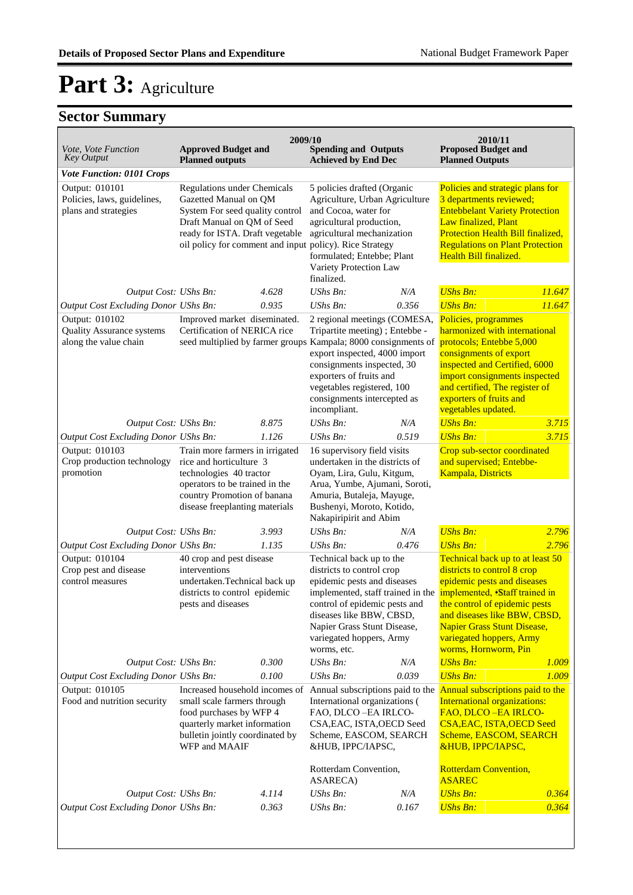| Vote, Vote Function<br><b>Key Output</b>                                    | <b>Approved Budget and</b><br><b>Planned outputs</b>                                                                                                                                                                       | 2009/10 | <b>Spending and Outputs</b><br><b>Achieved by End Dec</b>                                                                                                                                                                   |                              | 2010/11<br><b>Proposed Budget and</b><br><b>Planned Outputs</b>                                                                                                                                                                                                                                                              |        |
|-----------------------------------------------------------------------------|----------------------------------------------------------------------------------------------------------------------------------------------------------------------------------------------------------------------------|---------|-----------------------------------------------------------------------------------------------------------------------------------------------------------------------------------------------------------------------------|------------------------------|------------------------------------------------------------------------------------------------------------------------------------------------------------------------------------------------------------------------------------------------------------------------------------------------------------------------------|--------|
| <b>Vote Function: 0101 Crops</b>                                            |                                                                                                                                                                                                                            |         |                                                                                                                                                                                                                             |                              |                                                                                                                                                                                                                                                                                                                              |        |
| Output: 010101<br>Policies, laws, guidelines,<br>plans and strategies       | <b>Regulations under Chemicals</b><br>Gazetted Manual on QM<br>System For seed quality control<br>Draft Manual on QM of Seed<br>ready for ISTA. Draft vegetable<br>oil policy for comment and input policy). Rice Strategy |         | 5 policies drafted (Organic<br>Agriculture, Urban Agriculture<br>and Cocoa, water for<br>agricultural production,<br>agricultural mechanization<br>formulated; Entebbe; Plant<br>Variety Protection Law<br>finalized.       |                              | Policies and strategic plans for<br>3 departments reviewed;<br><b>Entebbelant Variety Protection</b><br>Law finalized, Plant<br>Protection Health Bill finalized,<br><b>Regulations on Plant Protection</b><br>Health Bill finalized.                                                                                        |        |
| Output Cost: UShs Bn:                                                       |                                                                                                                                                                                                                            | 4.628   | <b>UShs Bn:</b>                                                                                                                                                                                                             | N/A                          | <b>UShs Bn:</b>                                                                                                                                                                                                                                                                                                              | 11.647 |
| Output Cost Excluding Donor UShs Bn:                                        |                                                                                                                                                                                                                            | 0.935   | UShs Bn:                                                                                                                                                                                                                    | 0.356                        | <b>UShs Bn:</b>                                                                                                                                                                                                                                                                                                              | 11.647 |
| Output: 010102<br><b>Quality Assurance systems</b><br>along the value chain | Improved market diseminated.<br>Certification of NERICA rice<br>seed multiplied by farmer groups Kampala; 8000 consignments of                                                                                             |         | Tripartite meeting); Entebbe -<br>export inspected, 4000 import<br>consignments inspected, 30<br>exporters of fruits and<br>vegetables registered, 100<br>consignments intercepted as<br>incompliant.                       | 2 regional meetings (COMESA, | Policies, programmes<br>harmonized with international<br>protocols; Entebbe 5,000<br>consignments of export<br>inspected and Certified, 6000<br>import consignments inspected<br>and certified, The register of<br>exporters of fruits and<br>vegetables updated.                                                            |        |
| Output Cost: UShs Bn:                                                       |                                                                                                                                                                                                                            | 8.875   | UShs Bn:                                                                                                                                                                                                                    | N/A                          | <b>UShs Bn:</b>                                                                                                                                                                                                                                                                                                              | 3.715  |
| Output Cost Excluding Donor UShs Bn:                                        |                                                                                                                                                                                                                            | 1.126   | UShs Bn:                                                                                                                                                                                                                    | 0.519                        | <b>UShs Bn:</b>                                                                                                                                                                                                                                                                                                              | 3.715  |
| Output: 010103<br>Crop production technology<br>promotion                   | Train more farmers in irrigated<br>rice and horticulture 3<br>technologies 40 tractor<br>operators to be trained in the<br>country Promotion of banana<br>disease freeplanting materials                                   |         | 16 supervisory field visits<br>undertaken in the districts of<br>Oyam, Lira, Gulu, Kitgum,<br>Arua, Yumbe, Ajumani, Soroti,<br>Amuria, Butaleja, Mayuge,<br>Bushenyi, Moroto, Kotido,<br>Nakapiripirit and Abim             |                              | Crop sub-sector coordinated<br>and supervised; Entebbe-<br><b>Kampala</b> , Districts                                                                                                                                                                                                                                        |        |
| Output Cost: UShs Bn:                                                       |                                                                                                                                                                                                                            | 3.993   | $UShs Bn$ :                                                                                                                                                                                                                 | N/A                          | <b>UShs Bn:</b>                                                                                                                                                                                                                                                                                                              | 2.796  |
| Output Cost Excluding Donor UShs Bn:                                        |                                                                                                                                                                                                                            | 1.135   | UShs Bn:                                                                                                                                                                                                                    | 0.476                        | <b>UShs Bn:</b>                                                                                                                                                                                                                                                                                                              | 2.796  |
| Output: 010104<br>Crop pest and disease<br>control measures                 | 40 crop and pest disease<br>interventions<br>undertaken.Technical back up<br>districts to control epidemic<br>pests and diseases                                                                                           |         | Technical back up to the<br>districts to control crop<br>epidemic pests and diseases<br>control of epidemic pests and<br>diseases like BBW, CBSD,<br>Napier Grass Stunt Disease,<br>variegated hoppers, Army<br>worms, etc. |                              | Technical back up to at least 50<br>districts to control 8 crop<br>epidemic pests and diseases<br>implemented, staff trained in the implemented, Staff trained in<br>the control of epidemic pests<br>and diseases like BBW, CBSD,<br><b>Napier Grass Stunt Disease,</b><br>variegated hoppers, Army<br>worms, Hornworm, Pin |        |
| Output Cost: UShs Bn:                                                       |                                                                                                                                                                                                                            | 0.300   | UShs Bn:                                                                                                                                                                                                                    | N/A                          | <b>UShs Bn:</b>                                                                                                                                                                                                                                                                                                              | 1.009  |
| Output Cost Excluding Donor UShs Bn:                                        |                                                                                                                                                                                                                            | 0.100   | <b>UShs Bn:</b>                                                                                                                                                                                                             | 0.039                        | <b>UShs Bn:</b>                                                                                                                                                                                                                                                                                                              | 1.009  |
| Output: 010105<br>Food and nutrition security                               | Increased household incomes of<br>small scale farmers through<br>food purchases by WFP 4<br>quarterly market information<br>bulletin jointly coordinated by<br>WFP and MAAIF                                               |         | Annual subscriptions paid to the<br>International organizations (<br>FAO, DLCO-EA IRLCO-<br>CSA, EAC, ISTA, OECD Seed<br>Scheme, EASCOM, SEARCH<br>&HUB, IPPC/IAPSC,<br>Rotterdam Convention,<br>ASARECA)                   |                              | Annual subscriptions paid to the<br><b>International organizations:</b><br>FAO, DLCO-EA IRLCO-<br><b>CSA, EAC, ISTA, OECD Seed</b><br>Scheme, EASCOM, SEARCH<br><b>&amp;HUB, IPPC/IAPSC,</b><br><b>Rotterdam Convention,</b><br><b>ASAREC</b>                                                                                |        |
| Output Cost: UShs Bn:                                                       |                                                                                                                                                                                                                            | 4.114   | UShs Bn:                                                                                                                                                                                                                    | N/A                          | <b>UShs Bn:</b>                                                                                                                                                                                                                                                                                                              | 0.364  |
| <b>Output Cost Excluding Donor UShs Bn:</b>                                 |                                                                                                                                                                                                                            | 0.363   | UShs Bn:                                                                                                                                                                                                                    | 0.167                        | <b>UShs Bn:</b>                                                                                                                                                                                                                                                                                                              | 0.364  |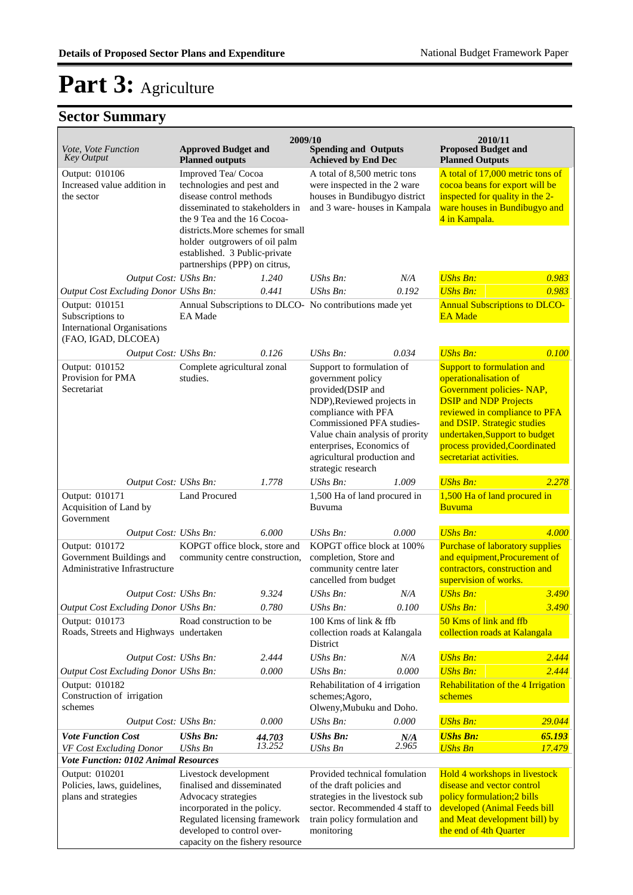| <i>Vote, Vote Function</i><br><b>Key Output</b>                                                     | <b>Approved Budget and</b><br><b>Planned outputs</b>                                                                                                                                                                                                                                  | 2009/10          | <b>Spending and Outputs</b><br><b>Achieved by End Dec</b>                                                                                                                                                                                                                  |              | 2010/11<br><b>Proposed Budget and</b><br><b>Planned Outputs</b>                                                                                                                                                                                                                             |                  |
|-----------------------------------------------------------------------------------------------------|---------------------------------------------------------------------------------------------------------------------------------------------------------------------------------------------------------------------------------------------------------------------------------------|------------------|----------------------------------------------------------------------------------------------------------------------------------------------------------------------------------------------------------------------------------------------------------------------------|--------------|---------------------------------------------------------------------------------------------------------------------------------------------------------------------------------------------------------------------------------------------------------------------------------------------|------------------|
| Output: 010106<br>Increased value addition in<br>the sector                                         | Improved Tea/ Cocoa<br>technologies and pest and<br>disease control methods<br>disseminated to stakeholders in<br>the 9 Tea and the 16 Cocoa-<br>districts. More schemes for small<br>holder outgrowers of oil palm<br>established. 3 Public-private<br>partnerships (PPP) on citrus, |                  | A total of 8,500 metric tons<br>were inspected in the 2 ware<br>houses in Bundibugyo district<br>and 3 ware-houses in Kampala                                                                                                                                              |              | A total of 17,000 metric tons of<br>cocoa beans for export will be<br>inspected for quality in the 2-<br>ware houses in Bundibugyo and<br>4 in Kampala.                                                                                                                                     |                  |
| Output Cost: UShs Bn:                                                                               |                                                                                                                                                                                                                                                                                       | 1.240            | $UShs Bn$ :                                                                                                                                                                                                                                                                | N/A          | <b>UShs Bn:</b>                                                                                                                                                                                                                                                                             | 0.983            |
| Output Cost Excluding Donor UShs Bn:                                                                |                                                                                                                                                                                                                                                                                       | 0.441            | UShs Bn:                                                                                                                                                                                                                                                                   | 0.192        | <b>UShs Bn:</b>                                                                                                                                                                                                                                                                             | 0.983            |
| Output: 010151<br>Subscriptions to<br><b>International Organisations</b><br>(FAO, IGAD, DLCOEA)     | <b>EA</b> Made                                                                                                                                                                                                                                                                        |                  | Annual Subscriptions to DLCO- No contributions made yet                                                                                                                                                                                                                    |              | <b>Annual Subscriptions to DLCO-</b><br><b>EA</b> Made                                                                                                                                                                                                                                      |                  |
| Output Cost: UShs Bn:                                                                               |                                                                                                                                                                                                                                                                                       | 0.126            | UShs Bn:                                                                                                                                                                                                                                                                   | 0.034        | <b>UShs Bn:</b>                                                                                                                                                                                                                                                                             | 0.100            |
| Output: 010152<br>Provision for PMA<br>Secretariat                                                  | Complete agricultural zonal<br>studies.                                                                                                                                                                                                                                               |                  | Support to formulation of<br>government policy<br>provided(DSIP and<br>NDP), Reviewed projects in<br>compliance with PFA<br>Commissioned PFA studies-<br>Value chain analysis of prority<br>enterprises, Economics of<br>agricultural production and<br>strategic research |              | <b>Support to formulation and</b><br>operationalisation of<br>Government policies- NAP,<br><b>DSIP</b> and <b>NDP</b> Projects<br>reviewed in compliance to PFA<br>and DSIP. Strategic studies<br>undertaken, Support to budget<br>process provided, Coordinated<br>secretariat activities. |                  |
| Output Cost: UShs Bn:                                                                               |                                                                                                                                                                                                                                                                                       | 1.778            | UShs Bn:                                                                                                                                                                                                                                                                   | 1.009        | <b>UShs Bn:</b>                                                                                                                                                                                                                                                                             | 2.278            |
| Output: 010171<br>Acquisition of Land by<br>Government                                              | <b>Land Procured</b>                                                                                                                                                                                                                                                                  |                  | 1,500 Ha of land procured in<br>Buvuma                                                                                                                                                                                                                                     |              | 1,500 Ha of land procured in<br><b>Buvuma</b>                                                                                                                                                                                                                                               |                  |
| Output Cost: UShs Bn:                                                                               |                                                                                                                                                                                                                                                                                       | 6.000            | UShs Bn:                                                                                                                                                                                                                                                                   | 0.000        | <b>UShs Bn:</b>                                                                                                                                                                                                                                                                             | 4.000            |
| Output: 010172<br>Government Buildings and<br>Administrative Infrastructure                         | KOPGT office block, store and<br>community centre construction,                                                                                                                                                                                                                       |                  | KOPGT office block at 100%<br>completion, Store and<br>community centre later<br>cancelled from budget                                                                                                                                                                     |              | <b>Purchase of laboratory supplies</b><br>and equipment, Procurement of<br>contractors, construction and<br>supervision of works.                                                                                                                                                           |                  |
| Output Cost: UShs Bn:                                                                               |                                                                                                                                                                                                                                                                                       | 9.324            | UShs Bn:                                                                                                                                                                                                                                                                   | N/A          | <b>UShs Bn:</b>                                                                                                                                                                                                                                                                             | 3.490            |
| Output Cost Excluding Donor UShs Bn:                                                                |                                                                                                                                                                                                                                                                                       | 0.780            | UShs Bn:                                                                                                                                                                                                                                                                   | 0.100        | <b>UShs Bn:</b>                                                                                                                                                                                                                                                                             | <u>3.490</u>     |
| Output: 010173<br>Roads, Streets and Highways undertaken                                            | Road construction to be                                                                                                                                                                                                                                                               |                  | 100 Kms of link & ffb<br>collection roads at Kalangala<br>District                                                                                                                                                                                                         |              | 50 Kms of link and ffb<br>collection roads at Kalangala                                                                                                                                                                                                                                     |                  |
| Output Cost: UShs Bn:                                                                               |                                                                                                                                                                                                                                                                                       | 2.444            | UShs Bn:                                                                                                                                                                                                                                                                   | N/A          | <b>UShs Bn:</b>                                                                                                                                                                                                                                                                             | 2.444            |
| <b>Output Cost Excluding Donor UShs Bn:</b>                                                         |                                                                                                                                                                                                                                                                                       | 0.000            | UShs Bn:                                                                                                                                                                                                                                                                   | 0.000        | <b>UShs Bn:</b>                                                                                                                                                                                                                                                                             | 2.444            |
| Output: 010182<br>Construction of irrigation<br>schemes                                             |                                                                                                                                                                                                                                                                                       |                  | Rehabilitation of 4 irrigation<br>schemes;Agoro,<br>Olweny, Mubuku and Doho.                                                                                                                                                                                               |              | <b>Rehabilitation of the 4 Irrigation</b><br>schemes                                                                                                                                                                                                                                        |                  |
| Output Cost: UShs Bn:                                                                               |                                                                                                                                                                                                                                                                                       | 0.000            | <b>UShs Bn:</b>                                                                                                                                                                                                                                                            | 0.000        | <b>UShs Bn:</b>                                                                                                                                                                                                                                                                             | 29.044           |
| <b>Vote Function Cost</b><br>VF Cost Excluding Donor<br><b>Vote Function: 0102 Animal Resources</b> | <b>UShs Bn:</b><br><b>UShs Bn</b>                                                                                                                                                                                                                                                     | 44.703<br>13.252 | <b>UShs Bn:</b><br>UShs Bn                                                                                                                                                                                                                                                 | N/A<br>2.965 | <b>UShs Bn:</b><br><b>UShs Bn</b>                                                                                                                                                                                                                                                           | 65.193<br>17.479 |
| Output: 010201                                                                                      | Livestock development                                                                                                                                                                                                                                                                 |                  | Provided technical fomulation                                                                                                                                                                                                                                              |              | Hold 4 workshops in livestock                                                                                                                                                                                                                                                               |                  |
| Policies, laws, guidelines,<br>plans and strategies                                                 | finalised and disseminated<br>Advocacy strategies<br>incorporated in the policy.<br>Regulated licensing framework<br>developed to control over-<br>capacity on the fishery resource                                                                                                   |                  | of the draft policies and<br>strategies in the livestock sub<br>sector. Recommended 4 staff to<br>train policy formulation and<br>monitoring                                                                                                                               |              | disease and vector control<br>policy formulation; 2 bills<br>developed (Animal Feeds bill<br>and Meat development bill) by<br>the end of 4th Quarter                                                                                                                                        |                  |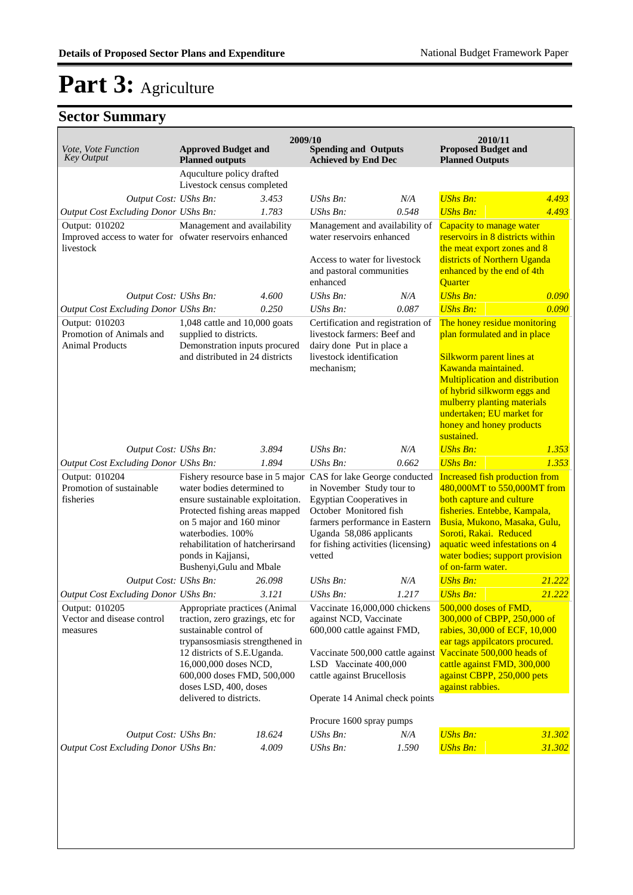| Vote, Vote Function<br><b>Key Output</b>                                                | <b>Approved Budget and</b><br><b>Planned outputs</b>                                                                                                                                                                                                                     | 2009/10 | <b>Spending and Outputs</b><br><b>Achieved by End Dec</b>                                                                                                                                                                                                              |       | 2010/11<br><b>Proposed Budget and</b><br><b>Planned Outputs</b>                                                                                                                                                                                                                                |        |
|-----------------------------------------------------------------------------------------|--------------------------------------------------------------------------------------------------------------------------------------------------------------------------------------------------------------------------------------------------------------------------|---------|------------------------------------------------------------------------------------------------------------------------------------------------------------------------------------------------------------------------------------------------------------------------|-------|------------------------------------------------------------------------------------------------------------------------------------------------------------------------------------------------------------------------------------------------------------------------------------------------|--------|
|                                                                                         | Aquculture policy drafted<br>Livestock census completed                                                                                                                                                                                                                  |         |                                                                                                                                                                                                                                                                        |       |                                                                                                                                                                                                                                                                                                |        |
| Output Cost: UShs Bn:                                                                   |                                                                                                                                                                                                                                                                          | 3.453   | $UShs Bn$ :                                                                                                                                                                                                                                                            | N/A   | <b>UShs Bn:</b>                                                                                                                                                                                                                                                                                | 4.493  |
| Output Cost Excluding Donor UShs Bn:                                                    |                                                                                                                                                                                                                                                                          | 1.783   | UShs Bn:                                                                                                                                                                                                                                                               | 0.548 | <b>UShs Bn:</b>                                                                                                                                                                                                                                                                                | 4.493  |
| Output: 010202<br>Improved access to water for ofwater reservoirs enhanced<br>livestock | Management and availability                                                                                                                                                                                                                                              |         | Management and availability of<br>water reservoirs enhanced<br>Access to water for livestock<br>and pastoral communities                                                                                                                                               |       | Capacity to manage water<br>reservoirs in 8 districts within<br>the meat export zones and 8<br>districts of Northern Uganda<br>enhanced by the end of 4th                                                                                                                                      |        |
|                                                                                         |                                                                                                                                                                                                                                                                          | 4.600   | enhanced<br>$UShs Bn$ :                                                                                                                                                                                                                                                | N/A   | Quarter<br><b>UShs Bn:</b>                                                                                                                                                                                                                                                                     | 0.090  |
| Output Cost: UShs Bn:<br>Output Cost Excluding Donor UShs Bn:                           |                                                                                                                                                                                                                                                                          | 0.250   | UShs Bn:                                                                                                                                                                                                                                                               | 0.087 | <b>UShs Bn:</b>                                                                                                                                                                                                                                                                                | 0.090  |
| Output: 010203<br>Promotion of Animals and<br><b>Animal Products</b>                    | 1,048 cattle and 10,000 goats<br>supplied to districts.<br>Demonstration inputs procured<br>and distributed in 24 districts                                                                                                                                              |         | Certification and registration of<br>livestock farmers: Beef and<br>dairy done Put in place a<br>livestock identification<br>mechanism;                                                                                                                                |       | The honey residue monitoring<br>plan formulated and in place<br>Silkworm parent lines at<br>Kawanda maintained.<br><b>Multiplication and distribution</b><br>of hybrid silkworm eggs and<br>mulberry planting materials<br>undertaken; EU market for<br>honey and honey products<br>sustained. |        |
| Output Cost: UShs Bn:                                                                   |                                                                                                                                                                                                                                                                          | 3.894   | $UShs Bn$ :                                                                                                                                                                                                                                                            | N/A   | <b>UShs Bn:</b>                                                                                                                                                                                                                                                                                | 1.353  |
| Output Cost Excluding Donor UShs Bn:                                                    |                                                                                                                                                                                                                                                                          | 1.894   | $UShs Bn$ :                                                                                                                                                                                                                                                            | 0.662 | <b>UShs Bn:</b>                                                                                                                                                                                                                                                                                | 1.353  |
| Output: 010204<br>Promotion of sustainable<br>fisheries                                 | water bodies determined to<br>ensure sustainable exploitation.<br>Protected fishing areas mapped<br>on 5 major and 160 minor<br>waterbodies. 100%<br>rehabilitation of hatcherirsand<br>ponds in Kajjansi,<br>Bushenyi, Gulu and Mbale                                   |         | Fishery resource base in 5 major CAS for lake George conducted<br>in November Study tour to<br><b>Egyptian Cooperatives in</b><br>October Monitored fish<br>farmers performance in Eastern<br>Uganda 58,086 applicants<br>for fishing activities (licensing)<br>vetted |       | <b>Increased fish production from</b><br>480,000MT to 550,000MT from<br>both capture and culture<br>fisheries. Entebbe, Kampala,<br>Busia, Mukono, Masaka, Gulu,<br>Soroti, Rakai. Reduced<br>aquatic weed infestations on 4<br>water bodies; support provision<br>of on-farm water.           |        |
| Output Cost: UShs Bn:                                                                   |                                                                                                                                                                                                                                                                          | 26.098  | UShs Bn:                                                                                                                                                                                                                                                               | N/A   | <b>UShs Bn:</b>                                                                                                                                                                                                                                                                                | 21.222 |
| Output Cost Excluding Donor UShs Bn:                                                    |                                                                                                                                                                                                                                                                          | 3.121   | UShs Bn:                                                                                                                                                                                                                                                               | 1.217 | <b>UShs Bn:</b>                                                                                                                                                                                                                                                                                | 21.222 |
| Output: 010205<br>Vector and disease control<br>measures                                | Appropriate practices (Animal<br>traction, zero grazings, etc for<br>sustainable control of<br>trypansosmiasis strengthened in<br>12 districts of S.E.Uganda.<br>16,000,000 doses NCD,<br>600,000 doses FMD, 500,000<br>doses LSD, 400, doses<br>delivered to districts. |         | Vaccinate 16,000,000 chickens<br>against NCD, Vaccinate<br>600,000 cattle against FMD,<br>LSD Vaccinate 400,000<br>cattle against Brucellosis<br>Operate 14 Animal check points                                                                                        |       | 500,000 doses of FMD,<br>300,000 of CBPP, 250,000 of<br>rabies, 30,000 of ECF, 10,000<br>ear tags appilcators procured.<br>Vaccinate 500,000 cattle against Vaccinate 500,000 heads of<br>cattle against FMD, 300,000<br>against CBPP, 250,000 pets<br>against rabbies.                        |        |
|                                                                                         |                                                                                                                                                                                                                                                                          |         | Procure 1600 spray pumps                                                                                                                                                                                                                                               |       |                                                                                                                                                                                                                                                                                                |        |
| Output Cost: UShs Bn:                                                                   |                                                                                                                                                                                                                                                                          | 18.624  | UShs Bn:                                                                                                                                                                                                                                                               | N/A   | <b>UShs Bn:</b>                                                                                                                                                                                                                                                                                | 31.302 |
| Output Cost Excluding Donor UShs Bn:                                                    |                                                                                                                                                                                                                                                                          | 4.009   | UShs Bn:                                                                                                                                                                                                                                                               | 1.590 | <b>UShs Bn:</b>                                                                                                                                                                                                                                                                                | 31.302 |
|                                                                                         |                                                                                                                                                                                                                                                                          |         |                                                                                                                                                                                                                                                                        |       |                                                                                                                                                                                                                                                                                                |        |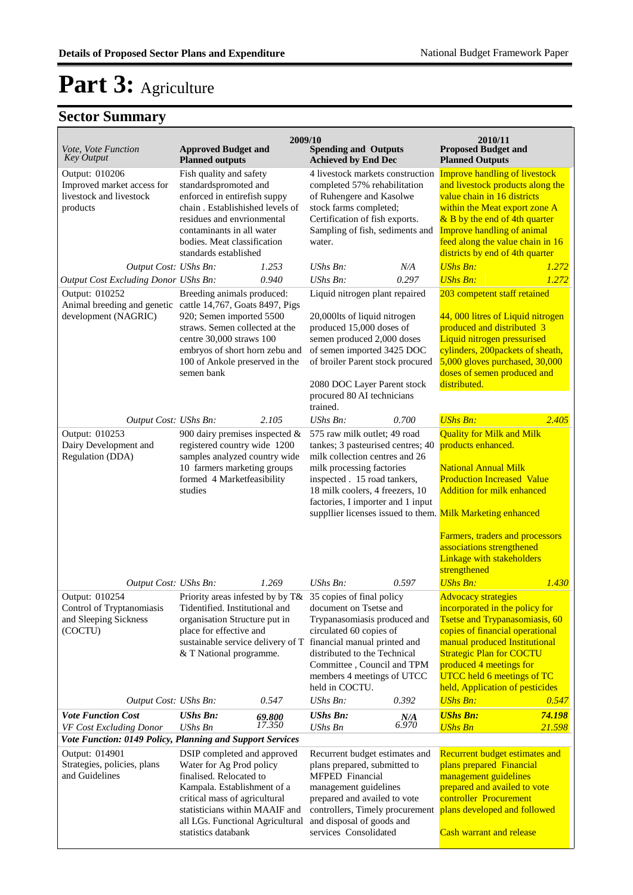| Vote, Vote Function<br><b>Key Output</b>                                                                                                                                | <b>Approved Budget and</b><br><b>Planned outputs</b>                                                                                                                                                                                                                                                                                | 2009/10 | <b>Spending and Outputs</b><br><b>Achieved by End Dec</b>                                                                                                                                                                                                                                                                                 |       | 2010/11<br><b>Proposed Budget and</b><br><b>Planned Outputs</b>                                                                                                                                                                                                                                                                                                                                                                                                                                    |        |
|-------------------------------------------------------------------------------------------------------------------------------------------------------------------------|-------------------------------------------------------------------------------------------------------------------------------------------------------------------------------------------------------------------------------------------------------------------------------------------------------------------------------------|---------|-------------------------------------------------------------------------------------------------------------------------------------------------------------------------------------------------------------------------------------------------------------------------------------------------------------------------------------------|-------|----------------------------------------------------------------------------------------------------------------------------------------------------------------------------------------------------------------------------------------------------------------------------------------------------------------------------------------------------------------------------------------------------------------------------------------------------------------------------------------------------|--------|
| Output: 010206<br>Improved market access for<br>livestock and livestock<br>products                                                                                     | Fish quality and safety<br>standardspromoted and<br>enforced in entirefish suppy<br>chain. Establishished levels of<br>residues and envrionmental<br>contaminants in all water<br>bodies. Meat classification<br>standards established                                                                                              |         | 4 livestock markets construction<br>completed 57% rehabilitation<br>of Ruhengere and Kasolwe<br>stock farms completed;<br>Certification of fish exports.<br>Sampling of fish, sediments and<br>water.                                                                                                                                     |       | <b>Improve handling of livestock</b><br>and livestock products along the<br>value chain in 16 districts<br>within the Meat export zone A<br>$&$ B by the end of 4th quarter<br><b>Improve handling of animal</b><br>feed along the value chain in 16<br>districts by end of 4th quarter                                                                                                                                                                                                            |        |
| Output Cost: UShs Bn:                                                                                                                                                   |                                                                                                                                                                                                                                                                                                                                     | 1.253   | $UShs Bn$ :                                                                                                                                                                                                                                                                                                                               | N/A   | <b>UShs Bn:</b>                                                                                                                                                                                                                                                                                                                                                                                                                                                                                    | 1.272  |
| Output Cost Excluding Donor UShs Bn:                                                                                                                                    |                                                                                                                                                                                                                                                                                                                                     | 0.940   | <b>UShs Bn:</b>                                                                                                                                                                                                                                                                                                                           | 0.297 | <b>UShs Bn:</b>                                                                                                                                                                                                                                                                                                                                                                                                                                                                                    | 1.272  |
| Output: 010252<br>Animal breeding and genetic cattle 14,767, Goats 8497, Pigs<br>development (NAGRIC)                                                                   | Breeding animals produced:<br>920; Semen imported 5500<br>straws. Semen collected at the<br>centre 30,000 straws 100<br>embryos of short horn zebu and<br>100 of Ankole preserved in the<br>semen bank                                                                                                                              |         | Liquid nitrogen plant repaired<br>20,000lts of liquid nitrogen<br>produced 15,000 doses of<br>semen produced 2,000 doses<br>of semen imported 3425 DOC<br>of broiler Parent stock procured<br>2080 DOC Layer Parent stock<br>procured 80 AI technicians<br>trained.                                                                       |       | 203 competent staff retained<br>44, 000 litres of Liquid nitrogen<br>produced and distributed 3<br>Liquid nitrogen pressurised<br>cylinders, 200packets of sheath,<br>5,000 gloves purchased, 30,000<br>doses of semen produced and<br>distributed.                                                                                                                                                                                                                                                |        |
| Output Cost: UShs Bn:                                                                                                                                                   |                                                                                                                                                                                                                                                                                                                                     | 2.105   | UShs Bn:                                                                                                                                                                                                                                                                                                                                  | 0.700 | <b>UShs Bn:</b>                                                                                                                                                                                                                                                                                                                                                                                                                                                                                    | 2.405  |
| Output: 010253<br>Dairy Development and<br>Regulation (DDA)<br>Output Cost: UShs Bn:<br>Output: 010254<br>Control of Tryptanomiasis<br>and Sleeping Sickness<br>(COCTU) | 900 dairy premises inspected &<br>registered country wide 1200<br>samples analyzed country wide<br>10 farmers marketing groups<br>formed 4 Marketfeasibility<br>studies<br>Priority areas infested by by T& 35 copies of final policy<br>Tidentified. Institutional and<br>organisation Structure put in<br>place for effective and | 1.269   | 575 raw milk outlet; 49 road<br>tankes; 3 pasteurised centres; 40<br>milk collection centres and 26<br>milk processing factories<br>inspected . 15 road tankers,<br>18 milk coolers, 4 freezers, 10<br>factories, I importer and 1 input<br>UShs Bn:<br>document on Tsetse and<br>Trypanasomiasis produced and<br>circulated 60 copies of | 0.597 | <b>Quality for Milk and Milk</b><br>products enhanced.<br><b>National Annual Milk</b><br><b>Production Increased Value</b><br><b>Addition for milk enhanced</b><br>suppllier licenses issued to them. Milk Marketing enhanced<br>Farmers, traders and processors<br>associations strengthened<br>Linkage with stakeholders<br>strengthened<br><b>UShs Bn:</b><br><b>Advocacy strategies</b><br>incorporated in the policy for<br>Tsetse and Trypanasomiasis, 60<br>copies of financial operational | 1.430  |
| Output Cost: UShs Bn:                                                                                                                                                   | sustainable service delivery of T<br>& T National programme.                                                                                                                                                                                                                                                                        | 0.547   | financial manual printed and<br>distributed to the Technical<br>Committee, Council and TPM<br>members 4 meetings of UTCC<br>held in COCTU.<br>UShs Bn:                                                                                                                                                                                    | 0.392 | manual produced Institutional<br><b>Strategic Plan for COCTU</b><br>produced 4 meetings for<br>UTCC held 6 meetings of TC<br>held, Application of pesticides<br><b>UShs Bn:</b>                                                                                                                                                                                                                                                                                                                    | 0.547  |
| <b>Vote Function Cost</b>                                                                                                                                               | <b>UShs Bn:</b>                                                                                                                                                                                                                                                                                                                     | 69.800  | <b>UShs Bn:</b>                                                                                                                                                                                                                                                                                                                           | N/A   | <b>UShs Bn:</b>                                                                                                                                                                                                                                                                                                                                                                                                                                                                                    | 74.198 |
| VF Cost Excluding Donor                                                                                                                                                 | UShs Bn                                                                                                                                                                                                                                                                                                                             | 17.350  | UShs Bn                                                                                                                                                                                                                                                                                                                                   | 6.970 | <b>UShs Bn</b>                                                                                                                                                                                                                                                                                                                                                                                                                                                                                     | 21.598 |
| Vote Function: 0149 Policy, Planning and Support Services<br>Output: 014901<br>Strategies, policies, plans<br>and Guidelines                                            | DSIP completed and approved<br>Water for Ag Prod policy<br>finalised. Relocated to<br>Kampala. Establishment of a<br>critical mass of agricultural<br>statisticians within MAAIF and<br>all LGs. Functional Agricultural<br>statistics databank                                                                                     |         | Recurrent budget estimates and<br>plans prepared, submitted to<br>MFPED Financial<br>management guidelines<br>prepared and availed to vote<br>controllers, Timely procurement<br>and disposal of goods and<br>services Consolidated                                                                                                       |       | Recurrent budget estimates and<br>plans prepared Financial<br>management guidelines<br>prepared and availed to vote<br>controller Procurement<br>plans developed and followed<br><b>Cash warrant and release</b>                                                                                                                                                                                                                                                                                   |        |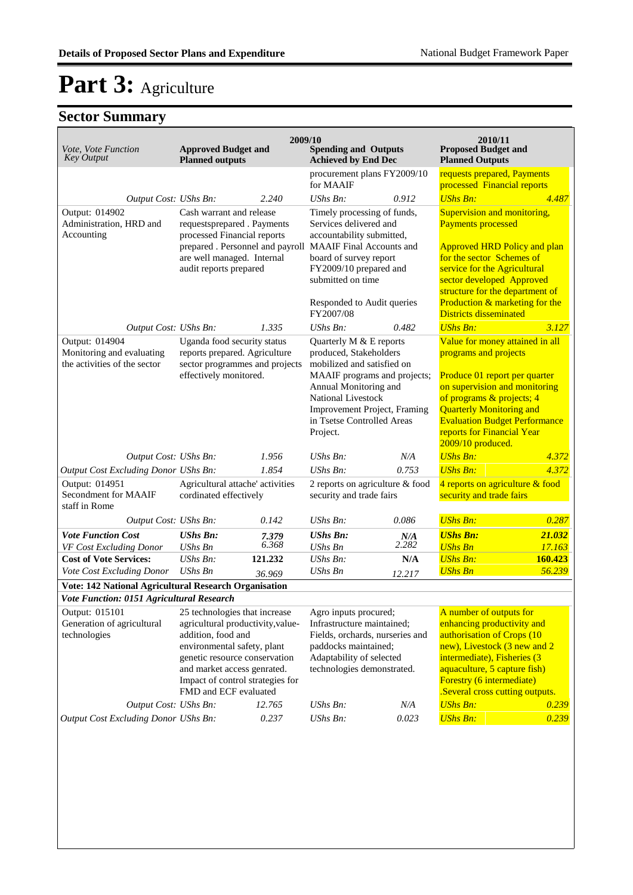| Vote, Vote Function<br><b>Key Output</b>                                                           | <b>Approved Budget and</b><br><b>Planned outputs</b>                                                                       | 2009/10        | <b>Spending and Outputs</b><br><b>Achieved by End Dec</b>                                                             |                        | 2010/11<br><b>Proposed Budget and</b><br><b>Planned Outputs</b>                                                                                         |                   |
|----------------------------------------------------------------------------------------------------|----------------------------------------------------------------------------------------------------------------------------|----------------|-----------------------------------------------------------------------------------------------------------------------|------------------------|---------------------------------------------------------------------------------------------------------------------------------------------------------|-------------------|
|                                                                                                    |                                                                                                                            |                | procurement plans FY2009/10                                                                                           |                        | requests prepared, Payments                                                                                                                             |                   |
| Output Cost: UShs Bn:                                                                              |                                                                                                                            | 2.240          | for MAAIF<br>UShs Bn:                                                                                                 | 0.912                  | processed Financial reports<br><b>UShs Bn:</b>                                                                                                          | 4.487             |
| Output: 014902<br>Administration, HRD and<br>Accounting                                            | Cash warrant and release<br>requestsprepared . Payments<br>processed Financial reports<br>prepared . Personnel and payroll |                | Timely processing of funds,<br>Services delivered and<br>accountability submitted,<br><b>MAAIF</b> Final Accounts and |                        | Supervision and monitoring,<br><b>Payments processed</b><br><b>Approved HRD Policy and plan</b>                                                         |                   |
|                                                                                                    | are well managed. Internal<br>audit reports prepared                                                                       |                | board of survey report<br>FY2009/10 prepared and<br>submitted on time                                                 |                        | for the sector Schemes of<br>service for the Agricultural<br>sector developed Approved<br>structure for the department of                               |                   |
|                                                                                                    |                                                                                                                            |                | Responded to Audit queries<br>FY2007/08                                                                               |                        | Production & marketing for the<br><b>Districts disseminated</b>                                                                                         |                   |
| Output Cost: UShs Bn:                                                                              |                                                                                                                            | 1.335          | UShs Bn:                                                                                                              | 0.482                  | <b>UShs Bn:</b>                                                                                                                                         | 3.127             |
| Output: 014904<br>Monitoring and evaluating<br>the activities of the sector                        | Uganda food security status<br>reports prepared. Agriculture<br>sector programmes and projects                             |                | Quarterly M & E reports<br>produced, Stakeholders<br>mobilized and satisfied on                                       |                        | Value for money attained in all<br>programs and projects                                                                                                |                   |
|                                                                                                    | effectively monitored.                                                                                                     |                | MAAIF programs and projects;<br>Annual Monitoring and                                                                 |                        | Produce 01 report per quarter<br>on supervision and monitoring                                                                                          |                   |
|                                                                                                    |                                                                                                                            |                | National Livestock<br>Improvement Project, Framing<br>in Tsetse Controlled Areas<br>Project.                          |                        | of programs & projects; 4<br><b>Quarterly Monitoring and</b><br><b>Evaluation Budget Performance</b><br>reports for Financial Year<br>2009/10 produced. |                   |
| Output Cost: UShs Bn:                                                                              |                                                                                                                            | 1.956          | $UShs Bn$ :                                                                                                           | N/A                    | <b>UShs Bn:</b>                                                                                                                                         | 4.372             |
| Output Cost Excluding Donor UShs Bn:                                                               |                                                                                                                            | 1.854          | <b>UShs Bn:</b>                                                                                                       | 0.753                  | <b>UShs Bn:</b>                                                                                                                                         | 4.372             |
| Output: 014951<br>Secondment for MAAIF<br>staff in Rome                                            | Agricultural attache' activities<br>cordinated effectively                                                                 |                | 2 reports on agriculture & food<br>security and trade fairs                                                           |                        | 4 reports on agriculture & food<br>security and trade fairs                                                                                             |                   |
| Output Cost: UShs Bn:                                                                              |                                                                                                                            | 0.142          | $UShs Bn$ :                                                                                                           | 0.086                  | <b>UShs Bn:</b>                                                                                                                                         | 0.287             |
| <b>Vote Function Cost</b><br>VF Cost Excluding Donor                                               | <b>UShs Bn:</b><br><b>UShs Bn</b>                                                                                          | 7.379<br>6.368 | <b>UShs Bn:</b><br><b>UShs Bn</b>                                                                                     | $N/A$ <sub>2.282</sub> | <b>UShs Bn:</b><br><b>UShs Bn</b>                                                                                                                       | 21.032<br>17.163  |
| <b>Cost of Vote Services:</b><br>Vote Cost Excluding Donor                                         | $UShs Bn$ :<br><b>UShs Bn</b>                                                                                              | 121.232        | <b>UShs Bn:</b><br><b>UShs Bn</b>                                                                                     | N/A                    | <b>UShs Bn:</b><br><b>UShs Bn</b>                                                                                                                       | 160.423<br>56.239 |
| Vote: 142 National Agricultural Research Organisation                                              |                                                                                                                            | 36.969         |                                                                                                                       | 12.217                 |                                                                                                                                                         |                   |
| Vote Function: 0151 Agricultural Research                                                          |                                                                                                                            |                |                                                                                                                       |                        |                                                                                                                                                         |                   |
| Output: 015101<br>Generation of agricultural                                                       | 25 technologies that increase<br>agricultural productivity, value-                                                         |                | Agro inputs procured;<br>Infrastructure maintained;                                                                   |                        | A number of outputs for<br>enhancing productivity and                                                                                                   |                   |
| technologies<br>addition, food and<br>environmental safety, plant<br>genetic resource conservation |                                                                                                                            |                | Fields, orchards, nurseries and<br>paddocks maintained;<br>Adaptability of selected                                   |                        | authorisation of Crops (10<br>new), Livestock (3 new and 2<br>intermediate), Fisheries (3                                                               |                   |
|                                                                                                    | and market access genrated.<br>Impact of control strategies for<br>FMD and ECF evaluated                                   |                | technologies demonstrated.                                                                                            |                        | aquaculture, 5 capture fish)<br>Forestry (6 intermediate)<br>.Several cross cutting outputs.                                                            |                   |
| Output Cost: UShs Bn:                                                                              |                                                                                                                            | 12.765         | UShs Bn:                                                                                                              | N/A                    | <b>UShs Bn:</b>                                                                                                                                         | 0.239             |
| <b>Output Cost Excluding Donor UShs Bn:</b>                                                        |                                                                                                                            | 0.237          | UShs Bn:                                                                                                              | 0.023                  | <b>UShs Bn:</b>                                                                                                                                         | 0.239             |
|                                                                                                    |                                                                                                                            |                |                                                                                                                       |                        |                                                                                                                                                         |                   |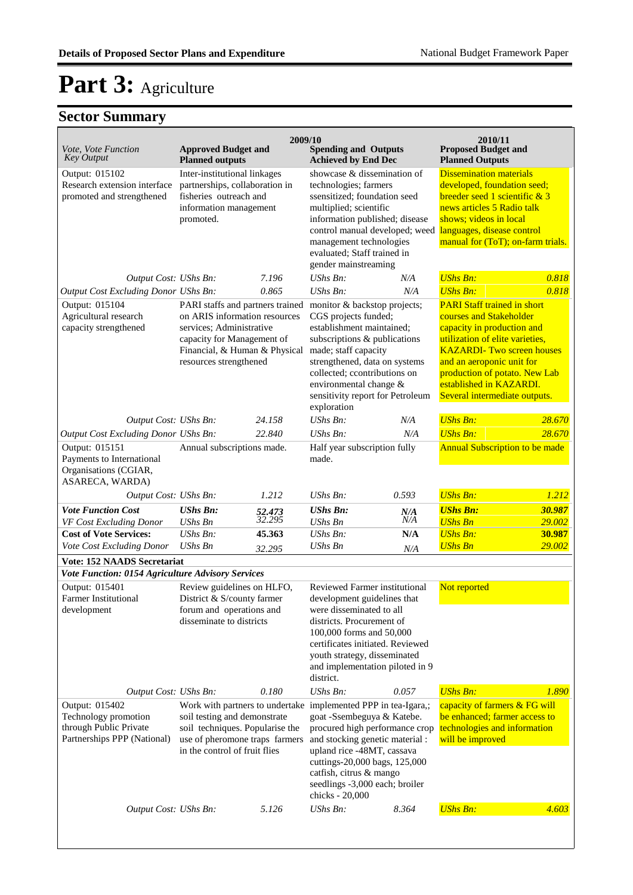| Vote, Vote Function<br><b>Key Output</b>                                                                                        | <b>Approved Budget and</b><br><b>Planned outputs</b>                                                                                                                                   | 2009/10                    | <b>Spending and Outputs</b><br><b>Achieved by End Dec</b>                                                                                                                                                                                                                               |                   | 2010/11<br><b>Proposed Budget and</b><br><b>Planned Outputs</b>                                                                                                                                                                                                                               |                            |
|---------------------------------------------------------------------------------------------------------------------------------|----------------------------------------------------------------------------------------------------------------------------------------------------------------------------------------|----------------------------|-----------------------------------------------------------------------------------------------------------------------------------------------------------------------------------------------------------------------------------------------------------------------------------------|-------------------|-----------------------------------------------------------------------------------------------------------------------------------------------------------------------------------------------------------------------------------------------------------------------------------------------|----------------------------|
| Output: 015102<br>Research extension interface<br>promoted and strengthened                                                     | Inter-institutional linkages<br>partnerships, collaboration in<br>fisheries outreach and<br>information management<br>promoted.                                                        |                            | showcase & dissemination of<br>technologies; farmers<br>ssensitized; foundation seed<br>multiplied; scientific<br>information published; disease<br>control manual developed; weed<br>management technologies<br>evaluated; Staff trained in<br>gender mainstreaming                    |                   | <b>Dissemination materials</b><br>developed, foundation seed;<br>breeder seed 1 scientific $& 3$<br>news articles 5 Radio talk<br>shows; videos in local<br>languages, disease control<br>manual for (ToT); on-farm trials.                                                                   |                            |
| Output Cost: UShs Bn:                                                                                                           |                                                                                                                                                                                        | 7.196                      | UShs Bn:                                                                                                                                                                                                                                                                                | N/A               | <b>UShs Bn:</b>                                                                                                                                                                                                                                                                               | 0.818                      |
| Output Cost Excluding Donor UShs Bn:                                                                                            |                                                                                                                                                                                        | 0.865                      | UShs Bn:                                                                                                                                                                                                                                                                                | N/A               | <b>UShs Bn:</b>                                                                                                                                                                                                                                                                               | 0.818                      |
| Output: 015104<br>Agricultural research<br>capacity strengthened                                                                | PARI staffs and partners trained<br>on ARIS information resources<br>services; Administrative<br>capacity for Management of<br>Financial, & Human & Physical<br>resources strengthened |                            | monitor & backstop projects;<br>CGS projects funded;<br>establishment maintained;<br>subscriptions & publications<br>made; staff capacity<br>strengthened, data on systems<br>collected; ccontributions on<br>environmental change &<br>sensitivity report for Petroleum<br>exploration |                   | <b>PARI Staff trained in short</b><br>courses and Stakeholder<br>capacity in production and<br>utilization of elite varieties,<br><b>KAZARDI- Two screen houses</b><br>and an aeroponic unit for<br>production of potato. New Lab<br>established in KAZARDI.<br>Several intermediate outputs. |                            |
| Output Cost: UShs Bn:                                                                                                           |                                                                                                                                                                                        | 24.158                     | UShs Bn:                                                                                                                                                                                                                                                                                | N/A               | <b>UShs Bn:</b>                                                                                                                                                                                                                                                                               | 28.670                     |
| Output Cost Excluding Donor UShs Bn:<br>Output: 015151<br>Payments to International<br>Organisations (CGIAR,<br>ASARECA, WARDA) | Annual subscriptions made.                                                                                                                                                             | 22.840                     | UShs Bn:<br>Half year subscription fully<br>made.                                                                                                                                                                                                                                       | N/A               | <b>UShs Bn:</b><br><b>Annual Subscription to be made</b>                                                                                                                                                                                                                                      | 28.670                     |
| Output Cost: UShs Bn:                                                                                                           |                                                                                                                                                                                        | 1.212                      | UShs Bn:                                                                                                                                                                                                                                                                                | 0.593             | <b>UShs Bn:</b>                                                                                                                                                                                                                                                                               | 1.212                      |
| <b>Vote Function Cost</b><br>VF Cost Excluding Donor<br><b>Cost of Vote Services:</b>                                           | <b>UShs Bn:</b><br><b>UShs Bn</b><br>$UShs Bn$ :                                                                                                                                       | 52.473<br>32.295<br>45.363 | <b>UShs Bn:</b><br><b>UShs Bn</b><br>UShs Bn:                                                                                                                                                                                                                                           | N/A<br>N/A<br>N/A | <b>UShs Bn:</b><br><b>UShs Bn</b><br><b>UShs Bn:</b>                                                                                                                                                                                                                                          | 30.987<br>29.002<br>30.987 |
| Vote Cost Excluding Donor                                                                                                       | <b>UShs Bn</b>                                                                                                                                                                         | 32.295                     | UShs Bn                                                                                                                                                                                                                                                                                 | N/A               | <b>UShs Bn</b>                                                                                                                                                                                                                                                                                | 29.002                     |
| <b>Vote: 152 NAADS Secretariat</b><br>Vote Function: 0154 Agriculture Advisory Services                                         |                                                                                                                                                                                        |                            |                                                                                                                                                                                                                                                                                         |                   |                                                                                                                                                                                                                                                                                               |                            |
| Output: 015401<br><b>Farmer Institutional</b><br>development                                                                    | Review guidelines on HLFO,<br>District & S/county farmer<br>forum and operations and<br>disseminate to districts                                                                       |                            | Reviewed Farmer institutional<br>development guidelines that<br>were disseminated to all<br>districts. Procurement of<br>100,000 forms and 50,000<br>certificates initiated. Reviewed<br>youth strategy, disseminated<br>and implementation piloted in 9<br>district.                   |                   | Not reported                                                                                                                                                                                                                                                                                  |                            |
| Output Cost: UShs Bn:                                                                                                           |                                                                                                                                                                                        | 0.180                      | <b>UShs Bn:</b>                                                                                                                                                                                                                                                                         | 0.057             | <b>UShs Bn:</b>                                                                                                                                                                                                                                                                               | 1.890                      |
| Output: 015402<br>Technology promotion<br>through Public Private<br>Partnerships PPP (National)                                 | Work with partners to undertake<br>soil testing and demonstrate<br>soil techniques. Popularise the<br>use of pheromone traps farmers<br>in the control of fruit flies                  |                            | implemented PPP in tea-Igara,;<br>goat -Ssembeguya & Katebe.<br>procured high performance crop<br>and stocking genetic material :<br>upland rice -48MT, cassava<br>cuttings-20,000 bags, 125,000<br>catfish, citrus & mango<br>seedlings -3,000 each; broiler<br>chicks - 20,000        |                   | capacity of farmers & FG will<br>be enhanced; farmer access to<br>technologies and information<br>will be improved                                                                                                                                                                            |                            |
| Output Cost: UShs Bn:                                                                                                           |                                                                                                                                                                                        | 5.126                      | UShs Bn:                                                                                                                                                                                                                                                                                | 8.364             | <b>UShs Bn:</b>                                                                                                                                                                                                                                                                               | 4.603                      |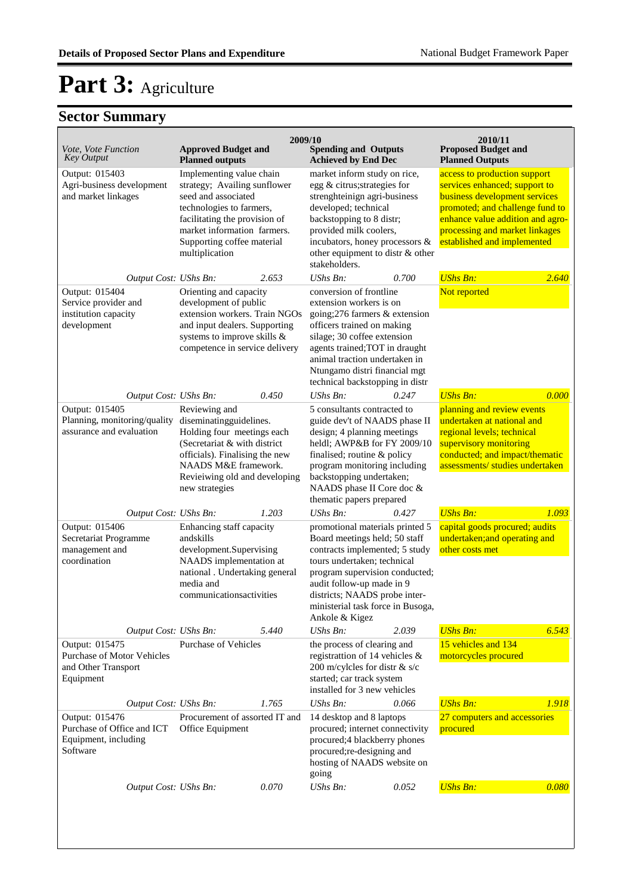| Vote, Vote Function<br>Key Output                                                       | <b>Approved Budget and</b><br><b>Planned outputs</b>                                                                                                                                                                        | 2009/10 | <b>Spending and Outputs</b><br><b>Achieved by End Dec</b>                                                                                                                                                                                                                                |       | 2010/11<br><b>Proposed Budget and</b><br><b>Planned Outputs</b>                                                                                                                                                                        |       |
|-----------------------------------------------------------------------------------------|-----------------------------------------------------------------------------------------------------------------------------------------------------------------------------------------------------------------------------|---------|------------------------------------------------------------------------------------------------------------------------------------------------------------------------------------------------------------------------------------------------------------------------------------------|-------|----------------------------------------------------------------------------------------------------------------------------------------------------------------------------------------------------------------------------------------|-------|
| Output: 015403<br>Agri-business development<br>and market linkages                      | Implementing value chain<br>strategy; Availing sunflower<br>seed and associated<br>technologies to farmers,<br>facilitating the provision of<br>market information farmers.<br>Supporting coffee material<br>multiplication |         | market inform study on rice,<br>egg & citrus; strategies for<br>strenghteinign agri-business<br>developed; technical<br>backstopping to 8 distr;<br>provided milk coolers,<br>incubators, honey processors &<br>other equipment to distr & other<br>stakeholders.                        |       | access to production support<br>services enhanced; support to<br>business development services<br>promoted; and challenge fund to<br>enhance value addition and agro-<br>processing and market linkages<br>established and implemented |       |
| Output Cost: UShs Bn:                                                                   |                                                                                                                                                                                                                             | 2.653   | UShs Bn:                                                                                                                                                                                                                                                                                 | 0.700 | <b>UShs Bn:</b>                                                                                                                                                                                                                        | 2.640 |
| Output: 015404<br>Service provider and<br>institution capacity<br>development           | Orienting and capacity<br>development of public<br>extension workers. Train NGOs<br>and input dealers. Supporting<br>systems to improve skills &<br>competence in service delivery                                          |         | conversion of frontline<br>extension workers is on<br>going; 276 farmers & extension<br>officers trained on making<br>silage; 30 coffee extension<br>agents trained; TOT in draught<br>animal traction undertaken in<br>Ntungamo distri financial mgt<br>technical backstopping in distr |       | Not reported                                                                                                                                                                                                                           |       |
| Output Cost: UShs Bn:                                                                   |                                                                                                                                                                                                                             | 0.450   | <b>UShs Bn:</b>                                                                                                                                                                                                                                                                          | 0.247 | <b>UShs Bn:</b>                                                                                                                                                                                                                        | 0.000 |
| Output: 015405<br>Planning, monitoring/quality<br>assurance and evaluation              | Reviewing and<br>diseminatingguidelines.<br>Holding four meetings each<br>(Secretariat & with district<br>officials). Finalising the new<br>NAADS M&E framework.<br>Revieiwing old and developing<br>new strategies         |         | 5 consultants contracted to<br>guide dev't of NAADS phase II<br>design; 4 planning meetings<br>heldl; AWP&B for FY 2009/10<br>finalised; routine & policy<br>program monitoring including<br>backstopping undertaken;<br>NAADS phase II Core doc &<br>thematic papers prepared           |       | planning and review events<br>undertaken at national and<br>regional levels; technical<br>supervisory monitoring<br>conducted; and impact/thematic<br>assessments/ studies undertaken                                                  |       |
| Output Cost: UShs Bn:                                                                   |                                                                                                                                                                                                                             | 1.203   | UShs Bn:                                                                                                                                                                                                                                                                                 | 0.427 | <b>UShs Bn:</b>                                                                                                                                                                                                                        | 1.093 |
| Output: 015406<br>Secretariat Programme<br>management and<br>coordination               | Enhancing staff capacity<br>andskills<br>development.Supervising<br>NAADS implementation at<br>national . Undertaking general<br>media and<br>communications activities                                                     |         | promotional materials printed 5<br>Board meetings held; 50 staff<br>contracts implemented; 5 study<br>tours undertaken; technical<br>program supervision conducted;<br>audit follow-up made in 9<br>districts; NAADS probe inter-                                                        |       | capital goods procured; audits<br>undertaken; and operating and<br>other costs met                                                                                                                                                     |       |
|                                                                                         |                                                                                                                                                                                                                             |         | ministerial task force in Busoga,<br>Ankole & Kigez                                                                                                                                                                                                                                      |       |                                                                                                                                                                                                                                        |       |
| Output Cost: UShs Bn:                                                                   |                                                                                                                                                                                                                             | 5.440   | UShs Bn:                                                                                                                                                                                                                                                                                 | 2.039 | <b>UShs Bn:</b>                                                                                                                                                                                                                        | 6.543 |
| Output: 015475<br><b>Purchase of Motor Vehicles</b><br>and Other Transport<br>Equipment | <b>Purchase of Vehicles</b>                                                                                                                                                                                                 |         | the process of clearing and<br>registrattion of 14 vehicles &<br>200 m/cylcles for distr & s/c<br>started; car track system<br>installed for 3 new vehicles                                                                                                                              |       | 15 vehicles and 134<br>motorcycles procured                                                                                                                                                                                            |       |
| Output Cost: UShs Bn:                                                                   |                                                                                                                                                                                                                             | 1.765   | UShs Bn:                                                                                                                                                                                                                                                                                 | 0.066 | <b>UShs Bn:</b>                                                                                                                                                                                                                        | 1.918 |
| Output: 015476<br>Purchase of Office and ICT<br>Equipment, including<br>Software        | Procurement of assorted IT and<br>Office Equipment                                                                                                                                                                          |         | 14 desktop and 8 laptops<br>procured; internet connectivity<br>procured;4 blackberry phones<br>procured;re-designing and<br>hosting of NAADS website on<br>going                                                                                                                         |       | 27 computers and accessories<br>procured                                                                                                                                                                                               |       |
| Output Cost: UShs Bn:                                                                   |                                                                                                                                                                                                                             | 0.070   | <b>UShs Bn:</b>                                                                                                                                                                                                                                                                          | 0.052 | <b>UShs Bn:</b>                                                                                                                                                                                                                        | 0.080 |
|                                                                                         |                                                                                                                                                                                                                             |         |                                                                                                                                                                                                                                                                                          |       |                                                                                                                                                                                                                                        |       |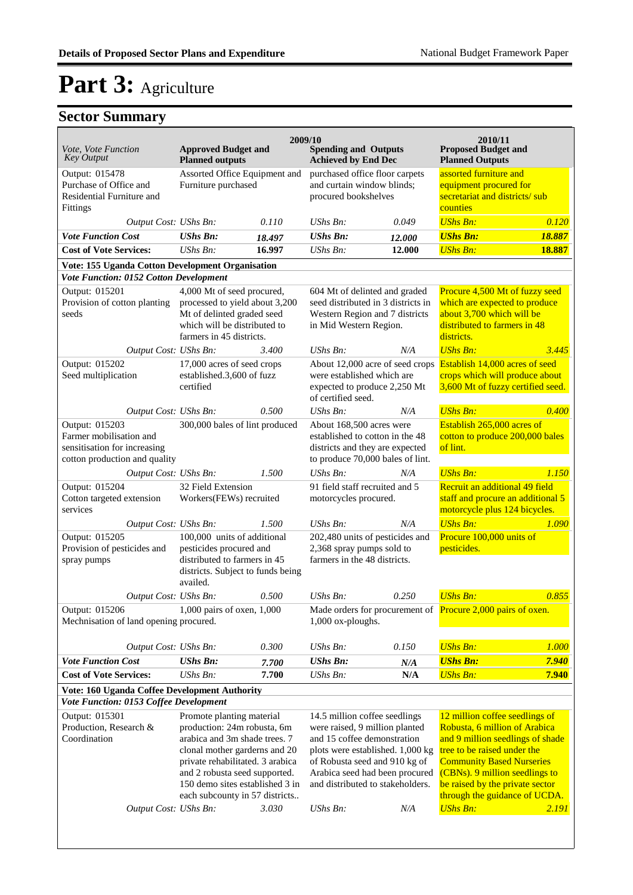| <i>Vote, Vote Function</i><br><b>Key Output</b>                                                            | <b>Approved Budget and</b><br><b>Planned outputs</b>                                                                                                                                                                                                                 |                                                      | 2009/10<br><b>Spending and Outputs</b><br><b>Achieved by End Dec</b>                                                                                                                                                                                  |                                                                                      | 2010/11<br><b>Proposed Budget and</b><br><b>Planned Outputs</b>                                                                                                                                                                                                                                 |        |
|------------------------------------------------------------------------------------------------------------|----------------------------------------------------------------------------------------------------------------------------------------------------------------------------------------------------------------------------------------------------------------------|------------------------------------------------------|-------------------------------------------------------------------------------------------------------------------------------------------------------------------------------------------------------------------------------------------------------|--------------------------------------------------------------------------------------|-------------------------------------------------------------------------------------------------------------------------------------------------------------------------------------------------------------------------------------------------------------------------------------------------|--------|
| Output: 015478<br>Purchase of Office and<br>Residential Furniture and<br>Fittings                          |                                                                                                                                                                                                                                                                      | Assorted Office Equipment and<br>Furniture purchased |                                                                                                                                                                                                                                                       | purchased office floor carpets<br>and curtain window blinds;<br>procured bookshelves | assorted furniture and<br>equipment procured for<br>secretariat and districts/sub<br>counties                                                                                                                                                                                                   |        |
| Output Cost: UShs Bn:                                                                                      |                                                                                                                                                                                                                                                                      | 0.110                                                | $\mathit{UShs}\, \mathit{Bn}$ :                                                                                                                                                                                                                       | 0.049                                                                                | <b>UShs Bn:</b>                                                                                                                                                                                                                                                                                 | 0.120  |
| <b>Vote Function Cost</b>                                                                                  | <b>UShs Bn:</b>                                                                                                                                                                                                                                                      | 18.497                                               | <b>UShs Bn:</b>                                                                                                                                                                                                                                       | 12.000                                                                               | <b>UShs Bn:</b>                                                                                                                                                                                                                                                                                 | 18.887 |
| <b>Cost of Vote Services:</b>                                                                              | $UShs Bn$ :                                                                                                                                                                                                                                                          | 16.997                                               | <b>UShs Bn:</b>                                                                                                                                                                                                                                       | 12.000                                                                               | <b>UShs Bn:</b>                                                                                                                                                                                                                                                                                 | 18.887 |
| Vote: 155 Uganda Cotton Development Organisation<br>Vote Function: 0152 Cotton Development                 |                                                                                                                                                                                                                                                                      |                                                      |                                                                                                                                                                                                                                                       |                                                                                      |                                                                                                                                                                                                                                                                                                 |        |
| Output: 015201<br>Provision of cotton planting<br>seeds                                                    | 4,000 Mt of seed procured,<br>processed to yield about 3,200<br>Mt of delinted graded seed<br>which will be distributed to<br>farmers in 45 districts.                                                                                                               |                                                      | 604 Mt of delinted and graded<br>seed distributed in 3 districts in<br>Western Region and 7 districts<br>in Mid Western Region.                                                                                                                       |                                                                                      | Procure 4,500 Mt of fuzzy seed<br>which are expected to produce<br>about 3,700 which will be<br>distributed to farmers in 48<br>districts.                                                                                                                                                      |        |
| Output Cost: UShs Bn:                                                                                      |                                                                                                                                                                                                                                                                      | 3.400                                                | $UShs Bn$ :                                                                                                                                                                                                                                           | N/A                                                                                  | <b>UShs Bn:</b>                                                                                                                                                                                                                                                                                 | 3.445  |
| Output: 015202<br>Seed multiplication                                                                      | 17,000 acres of seed crops<br>established.3,600 of fuzz<br>certified                                                                                                                                                                                                 |                                                      | About 12,000 acre of seed crops<br>were established which are<br>expected to produce 2,250 Mt<br>of certified seed.                                                                                                                                   |                                                                                      | Establish 14,000 acres of seed<br>crops which will produce about<br>3,600 Mt of fuzzy certified seed.                                                                                                                                                                                           |        |
| Output Cost: UShs Bn:                                                                                      |                                                                                                                                                                                                                                                                      | 0.500                                                | UShs Bn:                                                                                                                                                                                                                                              | N/A                                                                                  | <b>UShs Bn:</b>                                                                                                                                                                                                                                                                                 | 0.400  |
| Output: 015203<br>Farmer mobilisation and<br>sensitisation for increasing<br>cotton production and quality | 300,000 bales of lint produced                                                                                                                                                                                                                                       |                                                      | About 168,500 acres were<br>established to cotton in the 48<br>districts and they are expected<br>to produce 70,000 bales of lint.                                                                                                                    |                                                                                      | Establish 265,000 acres of<br>cotton to produce 200,000 bales<br>of lint.                                                                                                                                                                                                                       |        |
| Output Cost: UShs Bn:                                                                                      |                                                                                                                                                                                                                                                                      | 1.500                                                | $UShs Bn$ :                                                                                                                                                                                                                                           | N/A                                                                                  | <b>UShs Bn:</b>                                                                                                                                                                                                                                                                                 | 1.150  |
| Output: 015204<br>Cotton targeted extension<br>services                                                    | 32 Field Extension<br>Workers(FEWs) recruited                                                                                                                                                                                                                        |                                                      | 91 field staff recruited and 5<br>motorcycles procured.                                                                                                                                                                                               |                                                                                      | Recruit an additional 49 field<br>staff and procure an additional 5<br>motorcycle plus 124 bicycles.                                                                                                                                                                                            |        |
| Output Cost: UShs Bn:                                                                                      |                                                                                                                                                                                                                                                                      | 1.500                                                | $UShs Bn$ :                                                                                                                                                                                                                                           | N/A                                                                                  | <b>UShs Bn:</b>                                                                                                                                                                                                                                                                                 | 1.090  |
| Output: 015205<br>Provision of pesticides and<br>spray pumps                                               | 100,000 units of additional<br>pesticides procured and<br>distributed to farmers in 45<br>districts. Subject to funds being<br>availed.                                                                                                                              |                                                      | 202,480 units of pesticides and<br>2,368 spray pumps sold to<br>farmers in the 48 districts.                                                                                                                                                          |                                                                                      | Procure 100,000 units of<br>pesticides.                                                                                                                                                                                                                                                         |        |
| Output Cost: UShs Bn:                                                                                      |                                                                                                                                                                                                                                                                      | 0.500                                                | $UShs Bn$ :                                                                                                                                                                                                                                           | 0.250                                                                                | <b>UShs Bn:</b>                                                                                                                                                                                                                                                                                 | 0.855  |
| Output: 015206<br>Mechnisation of land opening procured.                                                   | 1,000 pairs of oxen, 1,000                                                                                                                                                                                                                                           |                                                      | 1,000 ox-ploughs.                                                                                                                                                                                                                                     |                                                                                      | Made orders for procurement of Procure 2,000 pairs of oxen.                                                                                                                                                                                                                                     |        |
| Output Cost: UShs Bn:                                                                                      |                                                                                                                                                                                                                                                                      | 0.300                                                | UShs Bn:                                                                                                                                                                                                                                              | 0.150                                                                                | <b>UShs Bn:</b>                                                                                                                                                                                                                                                                                 | 1.000  |
| <b>Vote Function Cost</b>                                                                                  | <b>UShs Bn:</b>                                                                                                                                                                                                                                                      | 7.700                                                | <b>UShs Bn:</b>                                                                                                                                                                                                                                       | N/A                                                                                  | <b>UShs Bn:</b>                                                                                                                                                                                                                                                                                 | 7.940  |
| <b>Cost of Vote Services:</b>                                                                              | <b>UShs Bn:</b>                                                                                                                                                                                                                                                      | 7.700                                                | <b>UShs Bn:</b>                                                                                                                                                                                                                                       | N/A                                                                                  | <b>UShs Bn:</b>                                                                                                                                                                                                                                                                                 | 7.940  |
| <b>Vote: 160 Uganda Coffee Development Authority</b><br>Vote Function: 0153 Coffee Development             |                                                                                                                                                                                                                                                                      |                                                      |                                                                                                                                                                                                                                                       |                                                                                      |                                                                                                                                                                                                                                                                                                 |        |
| Output: 015301<br>Production, Research &<br>Coordination<br>Output Cost: UShs Bn:                          | Promote planting material<br>production: 24m robusta, 6m<br>arabica and 3m shade trees. 7<br>clonal mother garderns and 20<br>private rehabilitated. 3 arabica<br>and 2 robusta seed supported.<br>150 demo sites established 3 in<br>each subcounty in 57 districts | 3.030                                                | 14.5 million coffee seedlings<br>were raised, 9 million planted<br>and 15 coffee demonstration<br>plots were established. 1,000 kg<br>of Robusta seed and 910 kg of<br>Arabica seed had been procured<br>and distributed to stakeholders.<br>UShs Bn: | N/A                                                                                  | 12 million coffee seedlings of<br>Robusta, 6 million of Arabica<br>and 9 million seedlings of shade<br>tree to be raised under the<br><b>Community Based Nurseries</b><br>(CBNs). 9 million seedlings to<br>be raised by the private sector<br>through the guidance of UCDA.<br><b>UShs Bn:</b> | 2.191  |
|                                                                                                            |                                                                                                                                                                                                                                                                      |                                                      |                                                                                                                                                                                                                                                       |                                                                                      |                                                                                                                                                                                                                                                                                                 |        |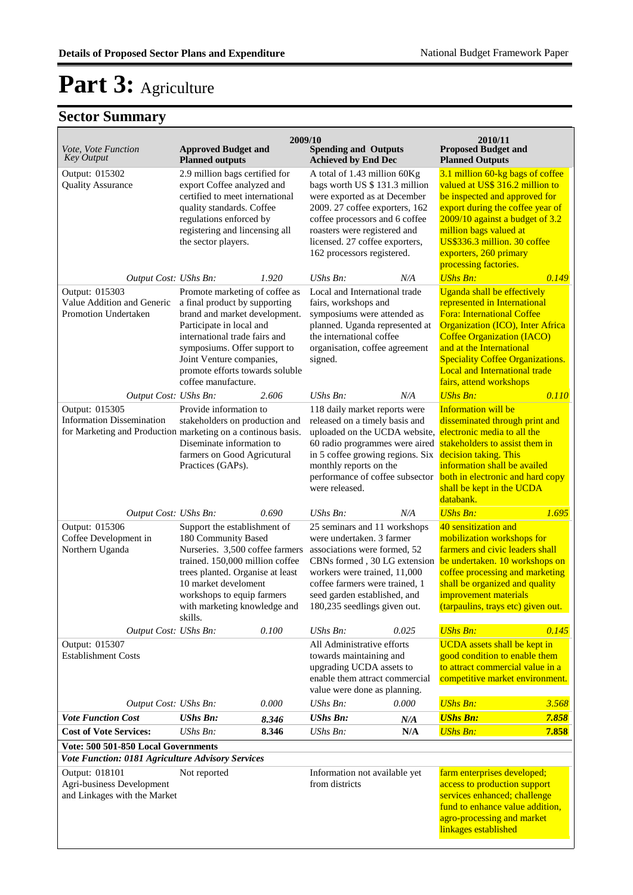| Vote, Vote Function                                                                                                | <b>Approved Budget and</b>                                                                                                                                                                                                                                                          |                | 2009/10<br><b>Spending and Outputs</b>                                                                                                                                                                                                                             |            | 2010/11<br><b>Proposed Budget and</b>                                                                                                                                                                                                                                                                                      |                |
|--------------------------------------------------------------------------------------------------------------------|-------------------------------------------------------------------------------------------------------------------------------------------------------------------------------------------------------------------------------------------------------------------------------------|----------------|--------------------------------------------------------------------------------------------------------------------------------------------------------------------------------------------------------------------------------------------------------------------|------------|----------------------------------------------------------------------------------------------------------------------------------------------------------------------------------------------------------------------------------------------------------------------------------------------------------------------------|----------------|
| <b>Key Output</b>                                                                                                  | <b>Planned outputs</b>                                                                                                                                                                                                                                                              |                | <b>Achieved by End Dec</b>                                                                                                                                                                                                                                         |            | <b>Planned Outputs</b>                                                                                                                                                                                                                                                                                                     |                |
| Output: 015302<br><b>Quality Assurance</b>                                                                         | 2.9 million bags certified for<br>export Coffee analyzed and<br>certified to meet international<br>quality standards. Coffee<br>regulations enforced by<br>registering and lincensing all<br>the sector players.                                                                    |                | A total of 1.43 million 60Kg<br>bags worth US \$ 131.3 million<br>were exported as at December<br>2009. 27 coffee exporters, 162<br>coffee processors and 6 coffee<br>roasters were registered and<br>licensed. 27 coffee exporters,<br>162 processors registered. |            | 3.1 million 60-kg bags of coffee<br>valued at US\$ 316.2 million to<br>be inspected and approved for<br>export during the coffee year of<br>2009/10 against a budget of 3.2<br>million bags valued at<br>US\$336.3 million. 30 coffee<br>exporters, 260 primary<br>processing factories.                                   |                |
| Output Cost: UShs Bn:                                                                                              |                                                                                                                                                                                                                                                                                     | 1.920          | $UShs Bn$ :                                                                                                                                                                                                                                                        | N/A        | <b>UShs Bn:</b>                                                                                                                                                                                                                                                                                                            | 0.149          |
| Output: 015303<br>Value Addition and Generic<br>Promotion Undertaken                                               | Promote marketing of coffee as<br>a final product by supporting<br>brand and market development.<br>Participate in local and<br>international trade fairs and<br>symposiums. Offer support to<br>Joint Venture companies,<br>promote efforts towards soluble<br>coffee manufacture. |                | Local and International trade<br>fairs, workshops and<br>symposiums were attended as<br>planned. Uganda represented at<br>the international coffee<br>organisation, coffee agreement<br>signed.                                                                    |            | Uganda shall be effectively<br>represented in International<br><b>Fora: International Coffee</b><br><b>Organization (ICO), Inter Africa</b><br><b>Coffee Organization (IACO)</b><br>and at the International<br><b>Speciality Coffee Organizations.</b><br><b>Local and International trade</b><br>fairs, attend workshops |                |
| Output Cost: UShs Bn:                                                                                              |                                                                                                                                                                                                                                                                                     | 2.606          | $UShs Bn$ :                                                                                                                                                                                                                                                        | N/A        | <b>UShs Bn:</b>                                                                                                                                                                                                                                                                                                            | 0.110          |
| Output: 015305<br><b>Information Dissemination</b><br>for Marketing and Production marketing on a continous basis. | Provide information to<br>stakeholders on production and<br>Diseminate information to<br>farmers on Good Agricutural<br>Practices (GAPs).                                                                                                                                           |                | 118 daily market reports were<br>released on a timely basis and<br>uploaded on the UCDA website,<br>60 radio programmes were aired<br>in 5 coffee growing regions. Six<br>monthly reports on the<br>were released.                                                 |            | Information will be<br>disseminated through print and<br>electronic media to all the<br>stakeholders to assist them in<br>decision taking. This<br>information shall be availed<br>performance of coffee subsector both in electronic and hard copy<br>shall be kept in the UCDA<br>databank.                              |                |
| Output Cost: UShs Bn:                                                                                              |                                                                                                                                                                                                                                                                                     | 0.690          | UShs Bn:                                                                                                                                                                                                                                                           | N/A        | <b>UShs Bn:</b>                                                                                                                                                                                                                                                                                                            | 1.695          |
| Output: 015306<br>Coffee Development in<br>Northern Uganda                                                         | Support the establishment of<br>180 Community Based<br>Nurseries. 3,500 coffee farmers<br>trained. 150,000 million coffee<br>trees planted. Organise at least<br>10 market develoment<br>workshops to equip farmers<br>with marketing knowledge and                                 |                | 25 seminars and 11 workshops<br>were undertaken. 3 farmer<br>associations were formed, 52<br>CBNs formed, 30 LG extension<br>workers were trained, 11,000<br>coffee farmers were trained, 1<br>seed garden established, and<br>180,235 seedlings given out.        |            | 40 sensitization and<br>mobilization workshops for<br>farmers and civic leaders shall<br>be undertaken. 10 workshops on<br>coffee processing and marketing<br>shall be organized and quality<br>improvement materials<br>(tarpaulins, trays etc) given out.                                                                |                |
| Output Cost: UShs Bn:                                                                                              | skills.                                                                                                                                                                                                                                                                             | 0.100          | UShs Bn:                                                                                                                                                                                                                                                           | 0.025      | <b>UShs Bn:</b>                                                                                                                                                                                                                                                                                                            | 0.145          |
| Output: 015307<br><b>Establishment Costs</b>                                                                       |                                                                                                                                                                                                                                                                                     |                | All Administrative efforts<br>towards maintaining and<br>upgrading UCDA assets to<br>enable them attract commercial<br>value were done as planning.                                                                                                                |            | <b>UCDA</b> assets shall be kept in<br>good condition to enable them<br>to attract commercial value in a<br>competitive market environment.                                                                                                                                                                                |                |
| Output Cost: UShs Bn:<br><b>Vote Function Cost</b>                                                                 | <b>UShs Bn:</b>                                                                                                                                                                                                                                                                     | 0.000          | UShs Bn:<br><b>UShs Bn:</b>                                                                                                                                                                                                                                        | 0.000      | <b>UShs Bn:</b><br><b>UShs Bn:</b>                                                                                                                                                                                                                                                                                         | 3.568<br>7.858 |
| <b>Cost of Vote Services:</b>                                                                                      | UShs Bn:                                                                                                                                                                                                                                                                            | 8.346<br>8.346 | $\mathit{UShs}\, \mathit{Bn}$ :                                                                                                                                                                                                                                    | N/A<br>N/A | <b>UShs Bn:</b>                                                                                                                                                                                                                                                                                                            | 7.858          |
| Vote: 500 501-850 Local Governments                                                                                |                                                                                                                                                                                                                                                                                     |                |                                                                                                                                                                                                                                                                    |            |                                                                                                                                                                                                                                                                                                                            |                |
| Vote Function: 0181 Agriculture Advisory Services                                                                  |                                                                                                                                                                                                                                                                                     |                |                                                                                                                                                                                                                                                                    |            |                                                                                                                                                                                                                                                                                                                            |                |
| Output: 018101<br>Agri-business Development<br>and Linkages with the Market                                        | Not reported                                                                                                                                                                                                                                                                        |                | Information not available yet<br>from districts                                                                                                                                                                                                                    |            | farm enterprises developed;<br>access to production support<br>services enhanced; challenge<br>fund to enhance value addition,<br>agro-processing and market<br>linkages established                                                                                                                                       |                |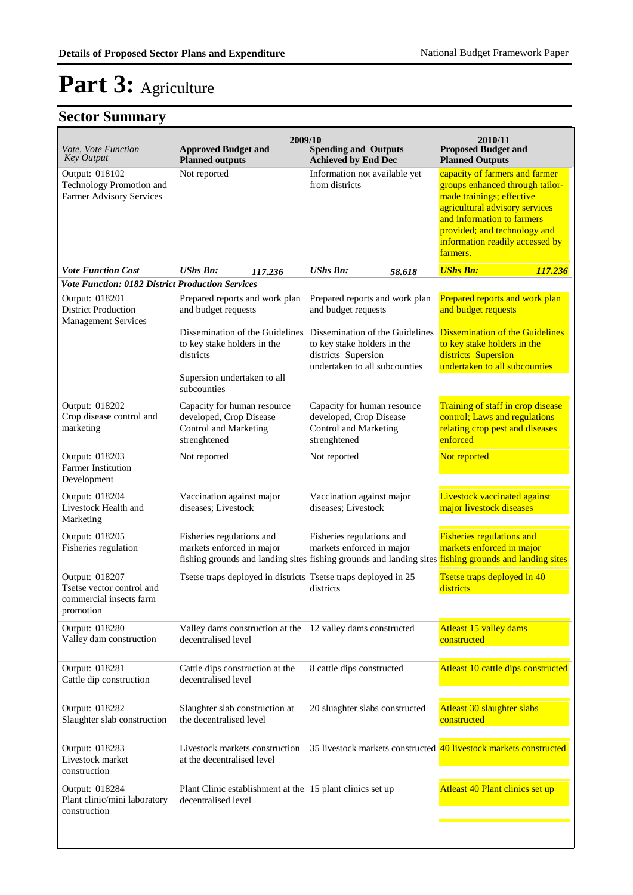| Vote, Vote Function<br><b>Key Output</b>                                            | 2009/10<br><b>Approved Budget and</b><br><b>Planned outputs</b>                                 | <b>Spending and Outputs</b><br><b>Achieved by End Dec</b>                                                              | 2010/11<br><b>Proposed Budget and</b><br><b>Planned Outputs</b>                                                                                                                                                                               |
|-------------------------------------------------------------------------------------|-------------------------------------------------------------------------------------------------|------------------------------------------------------------------------------------------------------------------------|-----------------------------------------------------------------------------------------------------------------------------------------------------------------------------------------------------------------------------------------------|
| Output: 018102<br>Technology Promotion and<br>Farmer Advisory Services              | Not reported                                                                                    | Information not available yet<br>from districts                                                                        | capacity of farmers and farmer<br>groups enhanced through tailor-<br>made trainings; effective<br>agricultural advisory services<br>and information to farmers<br>provided; and technology and<br>information readily accessed by<br>farmers. |
| <b>Vote Function Cost</b>                                                           | <b>UShs Bn:</b><br>117.236                                                                      | <b>UShs Bn:</b><br>58.618                                                                                              | <b>UShs Bn:</b><br>117.236                                                                                                                                                                                                                    |
| <b>Vote Function: 0182 District Production Services</b>                             |                                                                                                 |                                                                                                                        |                                                                                                                                                                                                                                               |
| Output: 018201<br><b>District Production</b><br><b>Management Services</b>          | Prepared reports and work plan<br>and budget requests                                           | Prepared reports and work plan<br>and budget requests                                                                  | Prepared reports and work plan<br>and budget requests                                                                                                                                                                                         |
|                                                                                     | Dissemination of the Guidelines<br>to key stake holders in the<br>districts                     | Dissemination of the Guidelines<br>to key stake holders in the<br>districts Supersion<br>undertaken to all subcounties | <b>Dissemination of the Guidelines</b><br>to key stake holders in the<br>districts Supersion<br>undertaken to all subcounties                                                                                                                 |
|                                                                                     | Supersion undertaken to all<br>subcounties                                                      |                                                                                                                        |                                                                                                                                                                                                                                               |
| Output: 018202<br>Crop disease control and<br>marketing                             | Capacity for human resource<br>developed, Crop Disease<br>Control and Marketing<br>strenghtened | Capacity for human resource<br>developed, Crop Disease<br>Control and Marketing<br>strenghtened                        | Training of staff in crop disease<br>control; Laws and regulations<br>relating crop pest and diseases<br>enforced                                                                                                                             |
| Output: 018203<br><b>Farmer Institution</b><br>Development                          | Not reported                                                                                    | Not reported                                                                                                           | Not reported                                                                                                                                                                                                                                  |
| Output: 018204<br>Livestock Health and<br>Marketing                                 | Vaccination against major<br>diseases; Livestock                                                | Vaccination against major<br>diseases; Livestock                                                                       | <b>Livestock vaccinated against</b><br>major livestock diseases                                                                                                                                                                               |
| Output: 018205<br>Fisheries regulation                                              | Fisheries regulations and<br>markets enforced in major                                          | Fisheries regulations and<br>markets enforced in major                                                                 | <b>Fisheries regulations and</b><br>markets enforced in major<br>fishing grounds and landing sites fishing grounds and landing sites fishing grounds and landing sites                                                                        |
| Output: 018207<br>Tsetse vector control and<br>commercial insects farm<br>promotion | Tsetse traps deployed in districts Tsetse traps deployed in 25                                  | districts                                                                                                              | Tsetse traps deployed in 40<br>districts                                                                                                                                                                                                      |
| Output: 018280<br>Valley dam construction                                           | Valley dams construction at the 12 valley dams constructed<br>decentralised level               |                                                                                                                        | Atleast 15 valley dams<br>constructed                                                                                                                                                                                                         |
| Output: 018281<br>Cattle dip construction                                           | Cattle dips construction at the<br>decentralised level                                          | 8 cattle dips constructed                                                                                              | Atleast 10 cattle dips constructed                                                                                                                                                                                                            |
| Output: 018282<br>Slaughter slab construction                                       | Slaughter slab construction at<br>the decentralised level                                       | 20 sluaghter slabs constructed                                                                                         | Atleast 30 slaughter slabs<br>constructed                                                                                                                                                                                                     |
| Output: 018283<br>Livestock market<br>construction                                  | Livestock markets construction<br>at the decentralised level                                    |                                                                                                                        | 35 livestock markets constructed 40 livestock markets constructed                                                                                                                                                                             |
| Output: 018284<br>Plant clinic/mini laboratory<br>construction                      | Plant Clinic establishment at the 15 plant clinics set up<br>decentralised level                |                                                                                                                        | Atleast 40 Plant clinics set up                                                                                                                                                                                                               |
|                                                                                     |                                                                                                 |                                                                                                                        |                                                                                                                                                                                                                                               |